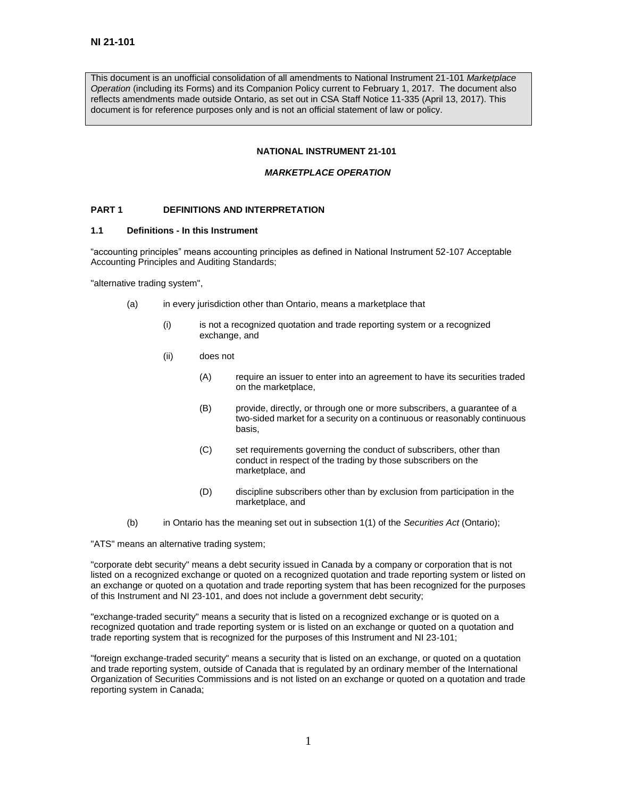This document is an unofficial consolidation of all amendments to National Instrument 21-101 *Marketplace Operation* (including its Forms) and its Companion Policy current to February 1, 2017. The document also reflects amendments made outside Ontario, as set out in CSA Staff Notice 11-335 (April 13, 2017). This document is for reference purposes only and is not an official statement of law or policy.

# **NATIONAL INSTRUMENT 21-101**

#### *MARKETPLACE OPERATION*

#### **PART 1 DEFINITIONS AND INTERPRETATION**

#### **1.1 Definitions - In this Instrument**

"accounting principles" means accounting principles as defined in National Instrument 52-107 Acceptable Accounting Principles and Auditing Standards;

"alternative trading system",

- (a) in every jurisdiction other than Ontario, means a marketplace that
	- (i) is not a recognized quotation and trade reporting system or a recognized exchange, and
	- (ii) does not
		- (A) require an issuer to enter into an agreement to have its securities traded on the marketplace,
		- (B) provide, directly, or through one or more subscribers, a guarantee of a two-sided market for a security on a continuous or reasonably continuous basis,
		- (C) set requirements governing the conduct of subscribers, other than conduct in respect of the trading by those subscribers on the marketplace, and
		- (D) discipline subscribers other than by exclusion from participation in the marketplace, and
- (b) in Ontario has the meaning set out in subsection 1(1) of the *Securities Act* (Ontario);

"ATS" means an alternative trading system;

"corporate debt security" means a debt security issued in Canada by a company or corporation that is not listed on a recognized exchange or quoted on a recognized quotation and trade reporting system or listed on an exchange or quoted on a quotation and trade reporting system that has been recognized for the purposes of this Instrument and NI 23-101, and does not include a government debt security;

"exchange-traded security" means a security that is listed on a recognized exchange or is quoted on a recognized quotation and trade reporting system or is listed on an exchange or quoted on a quotation and trade reporting system that is recognized for the purposes of this Instrument and NI 23-101;

"foreign exchange-traded security" means a security that is listed on an exchange, or quoted on a quotation and trade reporting system, outside of Canada that is regulated by an ordinary member of the International Organization of Securities Commissions and is not listed on an exchange or quoted on a quotation and trade reporting system in Canada;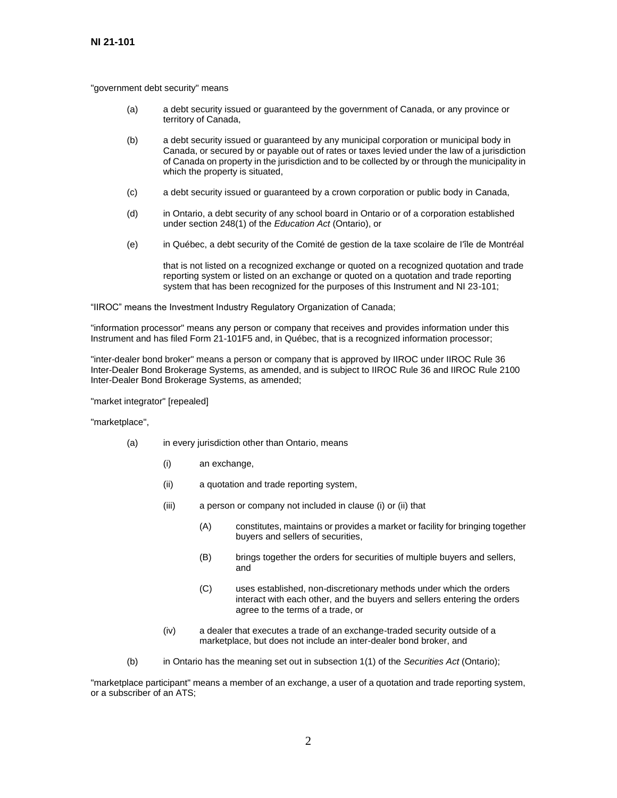"government debt security" means

- (a) a debt security issued or guaranteed by the government of Canada, or any province or territory of Canada,
- (b) a debt security issued or guaranteed by any municipal corporation or municipal body in Canada, or secured by or payable out of rates or taxes levied under the law of a jurisdiction of Canada on property in the jurisdiction and to be collected by or through the municipality in which the property is situated,
- (c) a debt security issued or guaranteed by a crown corporation or public body in Canada,
- (d) in Ontario, a debt security of any school board in Ontario or of a corporation established under section 248(1) of the *Education Act* (Ontario), or
- (e) in Québec, a debt security of the Comité de gestion de la taxe scolaire de I'île de Montréal

that is not listed on a recognized exchange or quoted on a recognized quotation and trade reporting system or listed on an exchange or quoted on a quotation and trade reporting system that has been recognized for the purposes of this Instrument and NI 23-101;

"IIROC" means the Investment Industry Regulatory Organization of Canada;

"information processor" means any person or company that receives and provides information under this Instrument and has filed Form 21-101F5 and, in Québec, that is a recognized information processor;

"inter-dealer bond broker" means a person or company that is approved by IIROC under IIROC Rule 36 Inter-Dealer Bond Brokerage Systems, as amended, and is subject to IIROC Rule 36 and IIROC Rule 2100 Inter-Dealer Bond Brokerage Systems, as amended;

"market integrator" [repealed]

"marketplace",

- (a) in every jurisdiction other than Ontario, means
	- (i) an exchange,
	- (ii) a quotation and trade reporting system,
	- (iii) a person or company not included in clause (i) or (ii) that
		- (A) constitutes, maintains or provides a market or facility for bringing together buyers and sellers of securities,
		- (B) brings together the orders for securities of multiple buyers and sellers, and
		- (C) uses established, non-discretionary methods under which the orders interact with each other, and the buyers and sellers entering the orders agree to the terms of a trade, or
	- (iv) a dealer that executes a trade of an exchange-traded security outside of a marketplace, but does not include an inter-dealer bond broker, and
- (b) in Ontario has the meaning set out in subsection 1(1) of the *Securities Act* (Ontario);

"marketplace participant" means a member of an exchange, a user of a quotation and trade reporting system, or a subscriber of an ATS;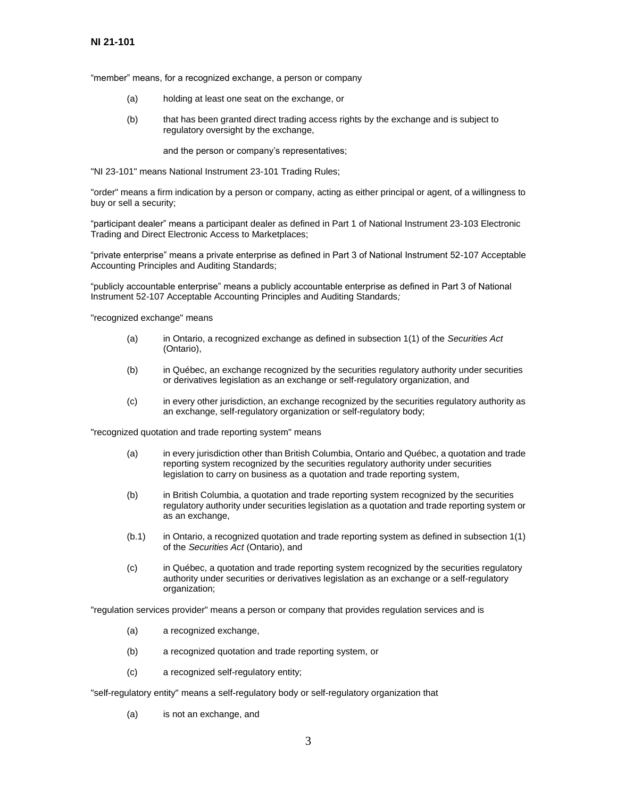"member" means, for a recognized exchange, a person or company

- (a) holding at least one seat on the exchange, or
- (b) that has been granted direct trading access rights by the exchange and is subject to regulatory oversight by the exchange,

and the person or company's representatives;

"NI 23-101" means National Instrument 23-101 Trading Rules;

"order" means a firm indication by a person or company, acting as either principal or agent, of a willingness to buy or sell a security;

"participant dealer" means a participant dealer as defined in Part 1 of National Instrument 23-103 Electronic Trading and Direct Electronic Access to Marketplaces;

"private enterprise" means a private enterprise as defined in Part 3 of National Instrument 52-107 Acceptable Accounting Principles and Auditing Standards;

"publicly accountable enterprise" means a publicly accountable enterprise as defined in Part 3 of National Instrument 52-107 Acceptable Accounting Principles and Auditing Standards*;*

"recognized exchange" means

- (a) in Ontario, a recognized exchange as defined in subsection 1(1) of the *Securities Act*  (Ontario),
- (b) in Québec, an exchange recognized by the securities regulatory authority under securities or derivatives legislation as an exchange or self-regulatory organization, and
- (c) in every other jurisdiction, an exchange recognized by the securities regulatory authority as an exchange, self-regulatory organization or self-regulatory body;

"recognized quotation and trade reporting system" means

- (a) in every jurisdiction other than British Columbia, Ontario and Québec, a quotation and trade reporting system recognized by the securities regulatory authority under securities legislation to carry on business as a quotation and trade reporting system,
- (b) in British Columbia, a quotation and trade reporting system recognized by the securities regulatory authority under securities legislation as a quotation and trade reporting system or as an exchange,
- (b.1) in Ontario, a recognized quotation and trade reporting system as defined in subsection 1(1) of the *Securities Act* (Ontario), and
- (c) in Québec, a quotation and trade reporting system recognized by the securities regulatory authority under securities or derivatives legislation as an exchange or a self-regulatory organization;

"regulation services provider" means a person or company that provides regulation services and is

- (a) a recognized exchange,
- (b) a recognized quotation and trade reporting system, or
- (c) a recognized self-regulatory entity;

"self-regulatory entity" means a self-regulatory body or self-regulatory organization that

(a) is not an exchange, and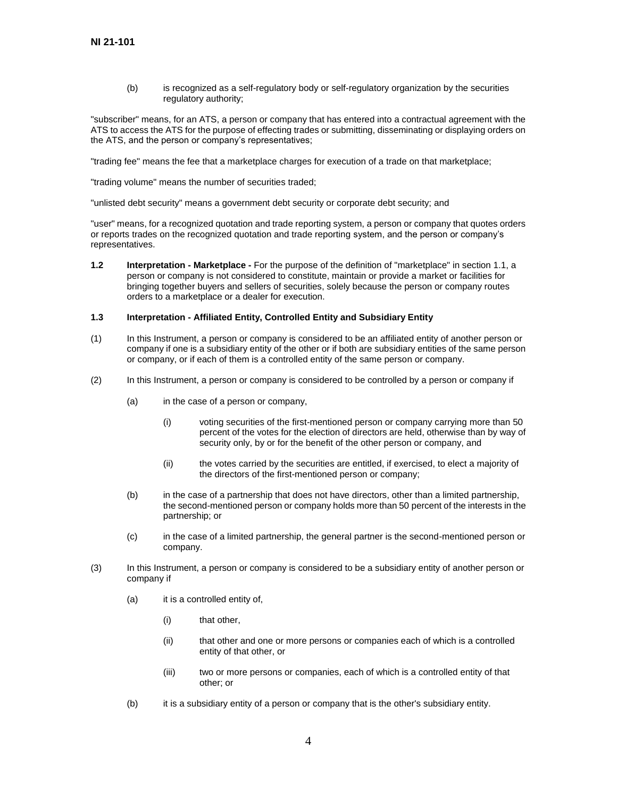(b) is recognized as a self-regulatory body or self-regulatory organization by the securities regulatory authority;

"subscriber" means, for an ATS, a person or company that has entered into a contractual agreement with the ATS to access the ATS for the purpose of effecting trades or submitting, disseminating or displaying orders on the ATS, and the person or company's representatives;

"trading fee" means the fee that a marketplace charges for execution of a trade on that marketplace;

"trading volume" means the number of securities traded;

"unlisted debt security" means a government debt security or corporate debt security; and

"user" means, for a recognized quotation and trade reporting system, a person or company that quotes orders or reports trades on the recognized quotation and trade reporting system, and the person or company's representatives.

**1.2 Interpretation - Marketplace -** For the purpose of the definition of "marketplace" in section 1.1, a person or company is not considered to constitute, maintain or provide a market or facilities for bringing together buyers and sellers of securities, solely because the person or company routes orders to a marketplace or a dealer for execution.

# **1.3 Interpretation - Affiliated Entity, Controlled Entity and Subsidiary Entity**

- (1) In this Instrument, a person or company is considered to be an affiliated entity of another person or company if one is a subsidiary entity of the other or if both are subsidiary entities of the same person or company, or if each of them is a controlled entity of the same person or company.
- (2) In this Instrument, a person or company is considered to be controlled by a person or company if
	- (a) in the case of a person or company,
		- (i) voting securities of the first-mentioned person or company carrying more than 50 percent of the votes for the election of directors are held, otherwise than by way of security only, by or for the benefit of the other person or company, and
		- (ii) the votes carried by the securities are entitled, if exercised, to elect a majority of the directors of the first-mentioned person or company;
	- (b) in the case of a partnership that does not have directors, other than a limited partnership, the second-mentioned person or company holds more than 50 percent of the interests in the partnership; or
	- (c) in the case of a limited partnership, the general partner is the second-mentioned person or company.
- (3) In this Instrument, a person or company is considered to be a subsidiary entity of another person or company if
	- (a) it is a controlled entity of,
		- (i) that other,
		- (ii) that other and one or more persons or companies each of which is a controlled entity of that other, or
		- (iii) two or more persons or companies, each of which is a controlled entity of that other; or
	- (b) it is a subsidiary entity of a person or company that is the other's subsidiary entity.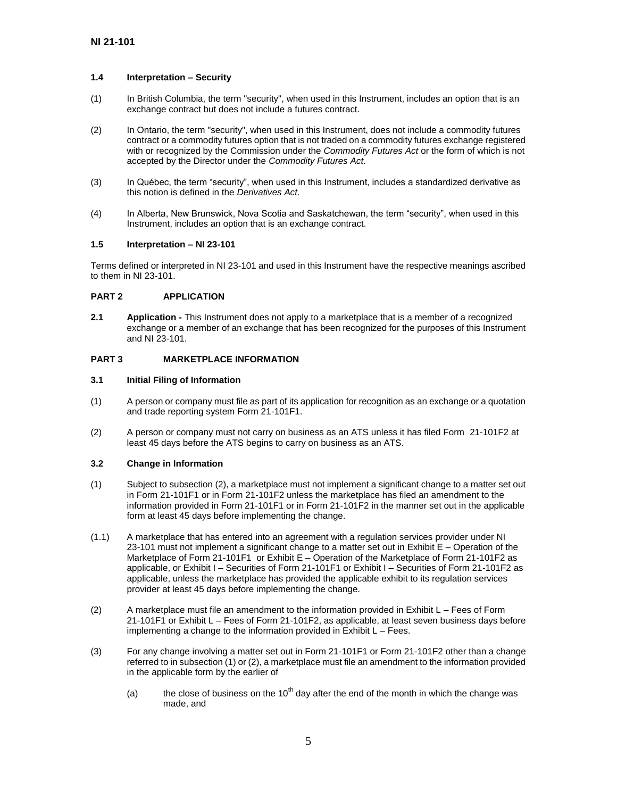# **1.4 Interpretation – Security**

- (1) In British Columbia, the term "security", when used in this Instrument, includes an option that is an exchange contract but does not include a futures contract.
- (2) In Ontario, the term "security", when used in this Instrument, does not include a commodity futures contract or a commodity futures option that is not traded on a commodity futures exchange registered with or recognized by the Commission under the *Commodity Futures Act* or the form of which is not accepted by the Director under the *Commodity Futures Act*.
- (3) In Québec, the term "security", when used in this Instrument, includes a standardized derivative as this notion is defined in the *Derivatives Act*.
- (4) In Alberta, New Brunswick, Nova Scotia and Saskatchewan, the term "security", when used in this Instrument, includes an option that is an exchange contract.

# **1.5 Interpretation – NI 23-101**

Terms defined or interpreted in NI 23-101 and used in this Instrument have the respective meanings ascribed to them in NI 23-101.

# **PART 2 APPLICATION**

**2.1 Application -** This Instrument does not apply to a marketplace that is a member of a recognized exchange or a member of an exchange that has been recognized for the purposes of this Instrument and NI 23-101.

# **PART 3 MARKETPLACE INFORMATION**

# **3.1 Initial Filing of Information**

- (1) A person or company must file as part of its application for recognition as an exchange or a quotation and trade reporting system Form 21-101F1.
- (2) A person or company must not carry on business as an ATS unless it has filed Form 21-101F2 at least 45 days before the ATS begins to carry on business as an ATS.

# **3.2 Change in Information**

- (1) Subject to subsection (2), a marketplace must not implement a significant change to a matter set out in Form 21-101F1 or in Form 21-101F2 unless the marketplace has filed an amendment to the information provided in Form 21-101F1 or in Form 21-101F2 in the manner set out in the applicable form at least 45 days before implementing the change.
- (1.1) A marketplace that has entered into an agreement with a regulation services provider under NI 23-101 must not implement a significant change to a matter set out in Exhibit E – Operation of the Marketplace of Form 21-101F1 or Exhibit E - Operation of the Marketplace of Form 21-101F2 as applicable, or Exhibit I – Securities of Form 21-101F1 or Exhibit I – Securities of Form 21-101F2 as applicable, unless the marketplace has provided the applicable exhibit to its regulation services provider at least 45 days before implementing the change.
- (2) A marketplace must file an amendment to the information provided in Exhibit L Fees of Form 21-101F1 or Exhibit L – Fees of Form 21-101F2, as applicable, at least seven business days before implementing a change to the information provided in Exhibit L – Fees.
- (3) For any change involving a matter set out in Form 21-101F1 or Form 21-101F2 other than a change referred to in subsection (1) or (2), a marketplace must file an amendment to the information provided in the applicable form by the earlier of
	- (a) the close of business on the  $10<sup>th</sup>$  day after the end of the month in which the change was made, and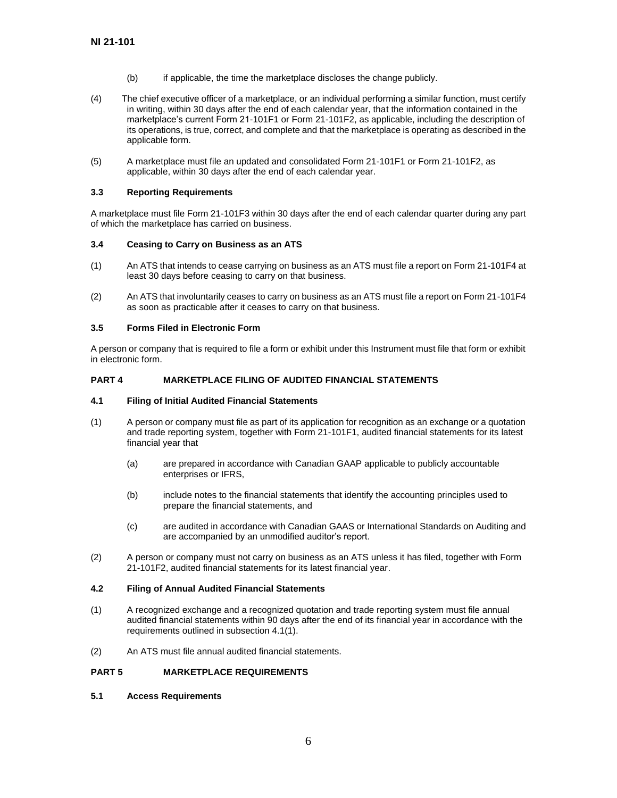- (b) if applicable, the time the marketplace discloses the change publicly.
- (4) The chief executive officer of a marketplace, or an individual performing a similar function, must certify in writing, within 30 days after the end of each calendar year, that the information contained in the marketplace's current Form 21-101F1 or Form 21-101F2, as applicable, including the description of its operations, is true, correct, and complete and that the marketplace is operating as described in the applicable form.
- (5) A marketplace must file an updated and consolidated Form 21-101F1 or Form 21-101F2, as applicable, within 30 days after the end of each calendar year.

# **3.3 Reporting Requirements**

A marketplace must file Form 21-101F3 within 30 days after the end of each calendar quarter during any part of which the marketplace has carried on business.

# **3.4 Ceasing to Carry on Business as an ATS**

- (1) An ATS that intends to cease carrying on business as an ATS must file a report on Form 21-101F4 at least 30 days before ceasing to carry on that business.
- (2) An ATS that involuntarily ceases to carry on business as an ATS must file a report on Form 21-101F4 as soon as practicable after it ceases to carry on that business.

# **3.5 Forms Filed in Electronic Form**

A person or company that is required to file a form or exhibit under this Instrument must file that form or exhibit in electronic form.

# **PART 4 MARKETPLACE FILING OF AUDITED FINANCIAL STATEMENTS**

# **4.1 Filing of Initial Audited Financial Statements**

- (1) A person or company must file as part of its application for recognition as an exchange or a quotation and trade reporting system, together with Form 21-101F1, audited financial statements for its latest financial year that
	- (a) are prepared in accordance with Canadian GAAP applicable to publicly accountable enterprises or IFRS,
	- (b) include notes to the financial statements that identify the accounting principles used to prepare the financial statements, and
	- (c) are audited in accordance with Canadian GAAS or International Standards on Auditing and are accompanied by an unmodified auditor's report.
- (2) A person or company must not carry on business as an ATS unless it has filed, together with Form 21-101F2, audited financial statements for its latest financial year.

# **4.2 Filing of Annual Audited Financial Statements**

- (1) A recognized exchange and a recognized quotation and trade reporting system must file annual audited financial statements within 90 days after the end of its financial year in accordance with the requirements outlined in subsection 4.1(1).
- (2) An ATS must file annual audited financial statements.

# **PART 5 MARKETPLACE REQUIREMENTS**

# **5.1 Access Requirements**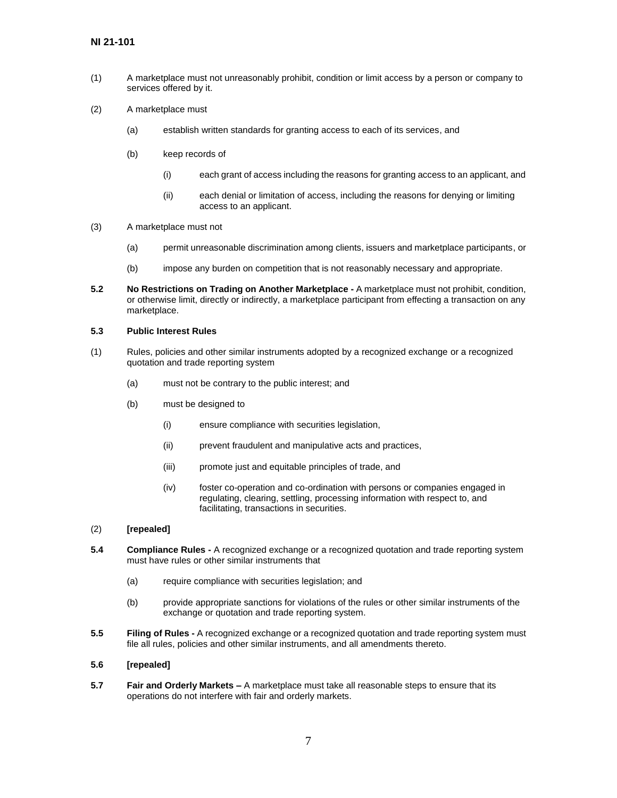- (1) A marketplace must not unreasonably prohibit, condition or limit access by a person or company to services offered by it.
- (2) A marketplace must
	- (a) establish written standards for granting access to each of its services, and
	- (b) keep records of
		- (i) each grant of access including the reasons for granting access to an applicant, and
		- (ii) each denial or limitation of access, including the reasons for denying or limiting access to an applicant.
- (3) A marketplace must not
	- (a) permit unreasonable discrimination among clients, issuers and marketplace participants, or
	- (b) impose any burden on competition that is not reasonably necessary and appropriate.
- **5.2 No Restrictions on Trading on Another Marketplace -** A marketplace must not prohibit, condition, or otherwise limit, directly or indirectly, a marketplace participant from effecting a transaction on any marketplace.

#### **5.3 Public Interest Rules**

- (1) Rules, policies and other similar instruments adopted by a recognized exchange or a recognized quotation and trade reporting system
	- (a) must not be contrary to the public interest; and
	- (b) must be designed to
		- (i) ensure compliance with securities legislation,
		- (ii) prevent fraudulent and manipulative acts and practices,
		- (iii) promote just and equitable principles of trade, and
		- (iv) foster co-operation and co-ordination with persons or companies engaged in regulating, clearing, settling, processing information with respect to, and facilitating, transactions in securities.

# (2) **[repealed]**

- **5.4 Compliance Rules -** A recognized exchange or a recognized quotation and trade reporting system must have rules or other similar instruments that
	- (a) require compliance with securities legislation; and
	- (b) provide appropriate sanctions for violations of the rules or other similar instruments of the exchange or quotation and trade reporting system.
- **5.5 Filing of Rules -** A recognized exchange or a recognized quotation and trade reporting system must file all rules, policies and other similar instruments, and all amendments thereto.

# **5.6 [repealed]**

**5.7 Fair and Orderly Markets –** A marketplace must take all reasonable steps to ensure that its operations do not interfere with fair and orderly markets.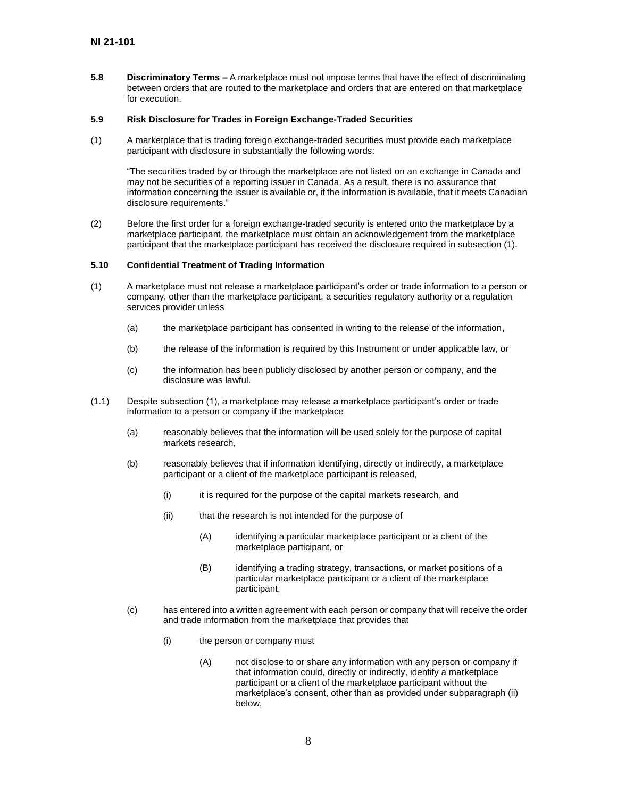**5.8 Discriminatory Terms –** A marketplace must not impose terms that have the effect of discriminating between orders that are routed to the marketplace and orders that are entered on that marketplace for execution.

#### **5.9 Risk Disclosure for Trades in Foreign Exchange-Traded Securities**

(1) A marketplace that is trading foreign exchange-traded securities must provide each marketplace participant with disclosure in substantially the following words:

"The securities traded by or through the marketplace are not listed on an exchange in Canada and may not be securities of a reporting issuer in Canada. As a result, there is no assurance that information concerning the issuer is available or, if the information is available, that it meets Canadian disclosure requirements."

(2) Before the first order for a foreign exchange-traded security is entered onto the marketplace by a marketplace participant, the marketplace must obtain an acknowledgement from the marketplace participant that the marketplace participant has received the disclosure required in subsection (1).

#### **5.10 Confidential Treatment of Trading Information**

- (1) A marketplace must not release a marketplace participant's order or trade information to a person or company, other than the marketplace participant, a securities regulatory authority or a regulation services provider unless
	- (a) the marketplace participant has consented in writing to the release of the information,
	- (b) the release of the information is required by this Instrument or under applicable law, or
	- (c) the information has been publicly disclosed by another person or company, and the disclosure was lawful.
- (1.1) Despite subsection (1), a marketplace may release a marketplace participant's order or trade information to a person or company if the marketplace
	- (a) reasonably believes that the information will be used solely for the purpose of capital markets research,
	- (b) reasonably believes that if information identifying, directly or indirectly, a marketplace participant or a client of the marketplace participant is released,
		- (i) it is required for the purpose of the capital markets research, and
		- (ii) that the research is not intended for the purpose of
			- (A) identifying a particular marketplace participant or a client of the marketplace participant, or
			- (B) identifying a trading strategy, transactions, or market positions of a particular marketplace participant or a client of the marketplace participant,
	- (c) has entered into a written agreement with each person or company that will receive the order and trade information from the marketplace that provides that
		- (i) the person or company must
			- (A) not disclose to or share any information with any person or company if that information could, directly or indirectly, identify a marketplace participant or a client of the marketplace participant without the marketplace's consent, other than as provided under subparagraph (ii) below,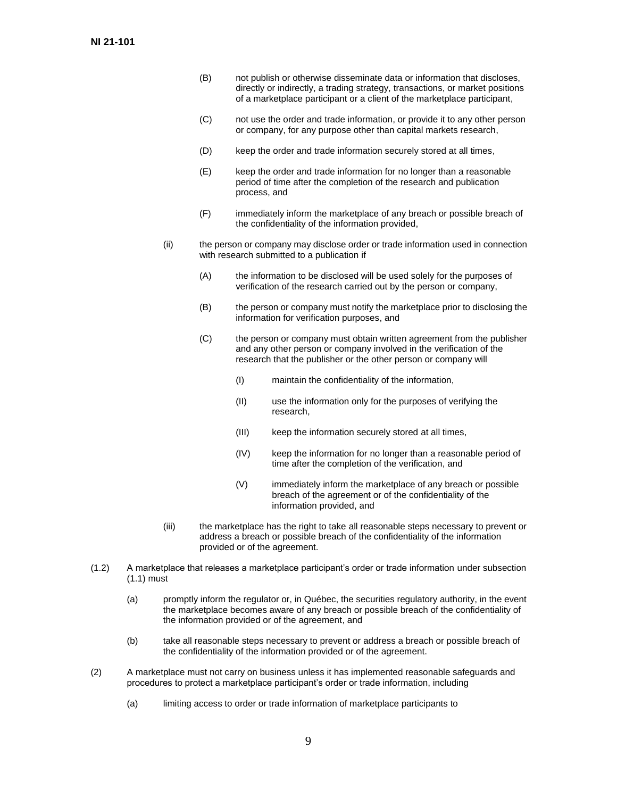- (B) not publish or otherwise disseminate data or information that discloses, directly or indirectly, a trading strategy, transactions, or market positions of a marketplace participant or a client of the marketplace participant,
- (C) not use the order and trade information, or provide it to any other person or company, for any purpose other than capital markets research,
- (D) keep the order and trade information securely stored at all times,
- (E) keep the order and trade information for no longer than a reasonable period of time after the completion of the research and publication process, and
- (F) immediately inform the marketplace of any breach or possible breach of the confidentiality of the information provided,
- (ii) the person or company may disclose order or trade information used in connection with research submitted to a publication if
	- (A) the information to be disclosed will be used solely for the purposes of verification of the research carried out by the person or company,
	- (B) the person or company must notify the marketplace prior to disclosing the information for verification purposes, and
	- (C) the person or company must obtain written agreement from the publisher and any other person or company involved in the verification of the research that the publisher or the other person or company will
		- (I) maintain the confidentiality of the information,
		- (II) use the information only for the purposes of verifying the research,
		- (III) keep the information securely stored at all times,
		- (IV) keep the information for no longer than a reasonable period of time after the completion of the verification, and
		- (V) immediately inform the marketplace of any breach or possible breach of the agreement or of the confidentiality of the information provided, and
- (iii) the marketplace has the right to take all reasonable steps necessary to prevent or address a breach or possible breach of the confidentiality of the information provided or of the agreement.
- (1.2) A marketplace that releases a marketplace participant's order or trade information under subsection (1.1) must
	- (a) promptly inform the regulator or, in Québec, the securities regulatory authority, in the event the marketplace becomes aware of any breach or possible breach of the confidentiality of the information provided or of the agreement, and
	- (b) take all reasonable steps necessary to prevent or address a breach or possible breach of the confidentiality of the information provided or of the agreement.
- (2) A marketplace must not carry on business unless it has implemented reasonable safeguards and procedures to protect a marketplace participant's order or trade information, including
	- (a) limiting access to order or trade information of marketplace participants to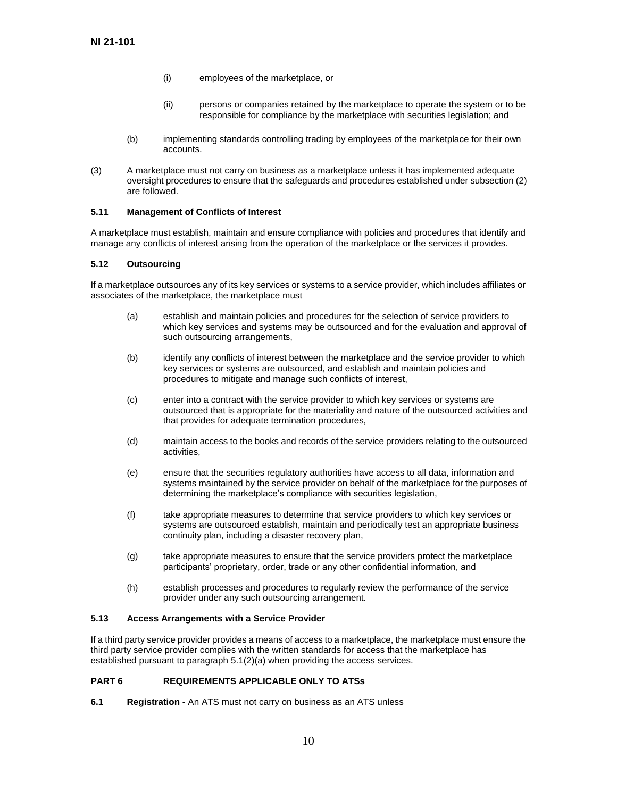- (i) employees of the marketplace, or
- (ii) persons or companies retained by the marketplace to operate the system or to be responsible for compliance by the marketplace with securities legislation; and
- (b) implementing standards controlling trading by employees of the marketplace for their own accounts.
- (3) A marketplace must not carry on business as a marketplace unless it has implemented adequate oversight procedures to ensure that the safeguards and procedures established under subsection (2) are followed.

#### **5.11 Management of Conflicts of Interest**

A marketplace must establish, maintain and ensure compliance with policies and procedures that identify and manage any conflicts of interest arising from the operation of the marketplace or the services it provides.

#### **5.12 Outsourcing**

If a marketplace outsources any of its key services or systems to a service provider, which includes affiliates or associates of the marketplace, the marketplace must

- (a) establish and maintain policies and procedures for the selection of service providers to which key services and systems may be outsourced and for the evaluation and approval of such outsourcing arrangements,
- (b) identify any conflicts of interest between the marketplace and the service provider to which key services or systems are outsourced, and establish and maintain policies and procedures to mitigate and manage such conflicts of interest,
- (c) enter into a contract with the service provider to which key services or systems are outsourced that is appropriate for the materiality and nature of the outsourced activities and that provides for adequate termination procedures,
- (d) maintain access to the books and records of the service providers relating to the outsourced activities,
- (e) ensure that the securities regulatory authorities have access to all data, information and systems maintained by the service provider on behalf of the marketplace for the purposes of determining the marketplace's compliance with securities legislation,
- (f) take appropriate measures to determine that service providers to which key services or systems are outsourced establish, maintain and periodically test an appropriate business continuity plan, including a disaster recovery plan,
- (g) take appropriate measures to ensure that the service providers protect the marketplace participants' proprietary, order, trade or any other confidential information, and
- (h) establish processes and procedures to regularly review the performance of the service provider under any such outsourcing arrangement.

# **5.13 Access Arrangements with a Service Provider**

If a third party service provider provides a means of access to a marketplace, the marketplace must ensure the third party service provider complies with the written standards for access that the marketplace has established pursuant to paragraph 5.1(2)(a) when providing the access services.

# **PART 6 REQUIREMENTS APPLICABLE ONLY TO ATSs**

**6.1 Registration -** An ATS must not carry on business as an ATS unless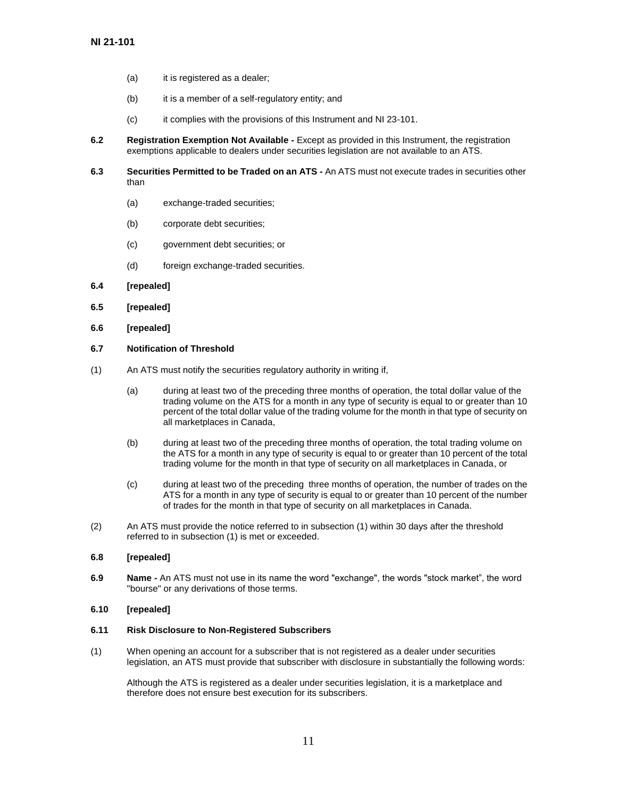- (a) it is registered as a dealer;
- (b) it is a member of a self-regulatory entity; and
- (c) it complies with the provisions of this Instrument and NI 23-101.
- **6.2 Registration Exemption Not Available -** Except as provided in this Instrument, the registration exemptions applicable to dealers under securities legislation are not available to an ATS.
- **6.3 Securities Permitted to be Traded on an ATS -** An ATS must not execute trades in securities other than
	- (a) exchange-traded securities;
	- (b) corporate debt securities;
	- (c) government debt securities; or
	- (d) foreign exchange-traded securities.

#### **6.4 [repealed]**

- **6.5 [repealed]**
- **6.6 [repealed]**

#### **6.7 Notification of Threshold**

- (1) An ATS must notify the securities regulatory authority in writing if,
	- (a) during at least two of the preceding three months of operation, the total dollar value of the trading volume on the ATS for a month in any type of security is equal to or greater than 10 percent of the total dollar value of the trading volume for the month in that type of security on all marketplaces in Canada,
	- (b) during at least two of the preceding three months of operation, the total trading volume on the ATS for a month in any type of security is equal to or greater than 10 percent of the total trading volume for the month in that type of security on all marketplaces in Canada, or
	- (c) during at least two of the preceding three months of operation, the number of trades on the ATS for a month in any type of security is equal to or greater than 10 percent of the number of trades for the month in that type of security on all marketplaces in Canada.
- (2) An ATS must provide the notice referred to in subsection (1) within 30 days after the threshold referred to in subsection (1) is met or exceeded.

# **6.8 [repealed]**

**6.9 Name -** An ATS must not use in its name the word "exchange", the words "stock market", the word "bourse" or any derivations of those terms.

# **6.10 [repealed]**

#### **6.11 Risk Disclosure to Non-Registered Subscribers**

(1) When opening an account for a subscriber that is not registered as a dealer under securities legislation, an ATS must provide that subscriber with disclosure in substantially the following words:

Although the ATS is registered as a dealer under securities legislation, it is a marketplace and therefore does not ensure best execution for its subscribers.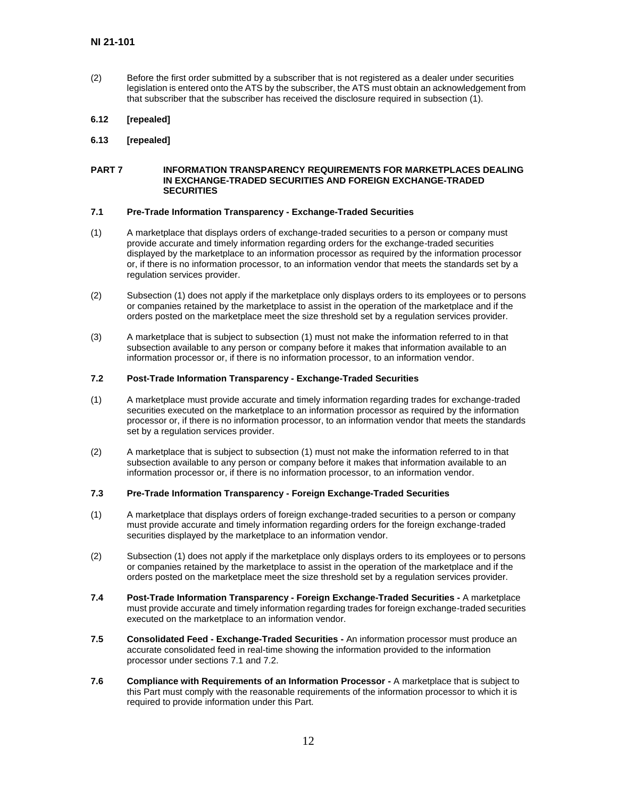(2) Before the first order submitted by a subscriber that is not registered as a dealer under securities legislation is entered onto the ATS by the subscriber, the ATS must obtain an acknowledgement from that subscriber that the subscriber has received the disclosure required in subsection (1).

# **6.12 [repealed]**

# **6.13 [repealed]**

#### **PART 7 INFORMATION TRANSPARENCY REQUIREMENTS FOR MARKETPLACES DEALING IN EXCHANGE-TRADED SECURITIES AND FOREIGN EXCHANGE-TRADED SECURITIES**

# **7.1 Pre-Trade Information Transparency - Exchange-Traded Securities**

- (1) A marketplace that displays orders of exchange-traded securities to a person or company must provide accurate and timely information regarding orders for the exchange-traded securities displayed by the marketplace to an information processor as required by the information processor or, if there is no information processor, to an information vendor that meets the standards set by a regulation services provider.
- (2) Subsection (1) does not apply if the marketplace only displays orders to its employees or to persons or companies retained by the marketplace to assist in the operation of the marketplace and if the orders posted on the marketplace meet the size threshold set by a regulation services provider.
- (3) A marketplace that is subject to subsection (1) must not make the information referred to in that subsection available to any person or company before it makes that information available to an information processor or, if there is no information processor, to an information vendor.

# **7.2 Post-Trade Information Transparency - Exchange-Traded Securities**

- (1) A marketplace must provide accurate and timely information regarding trades for exchange-traded securities executed on the marketplace to an information processor as required by the information processor or, if there is no information processor, to an information vendor that meets the standards set by a regulation services provider.
- (2) A marketplace that is subject to subsection (1) must not make the information referred to in that subsection available to any person or company before it makes that information available to an information processor or, if there is no information processor, to an information vendor.

# **7.3 Pre-Trade Information Transparency - Foreign Exchange-Traded Securities**

- (1) A marketplace that displays orders of foreign exchange-traded securities to a person or company must provide accurate and timely information regarding orders for the foreign exchange-traded securities displayed by the marketplace to an information vendor.
- (2) Subsection (1) does not apply if the marketplace only displays orders to its employees or to persons or companies retained by the marketplace to assist in the operation of the marketplace and if the orders posted on the marketplace meet the size threshold set by a regulation services provider.
- **7.4 Post-Trade Information Transparency - Foreign Exchange-Traded Securities -** A marketplace must provide accurate and timely information regarding trades for foreign exchange-traded securities executed on the marketplace to an information vendor.
- **7.5 Consolidated Feed - Exchange-Traded Securities -** An information processor must produce an accurate consolidated feed in real-time showing the information provided to the information processor under sections 7.1 and 7.2.
- **7.6 Compliance with Requirements of an Information Processor -** A marketplace that is subject to this Part must comply with the reasonable requirements of the information processor to which it is required to provide information under this Part.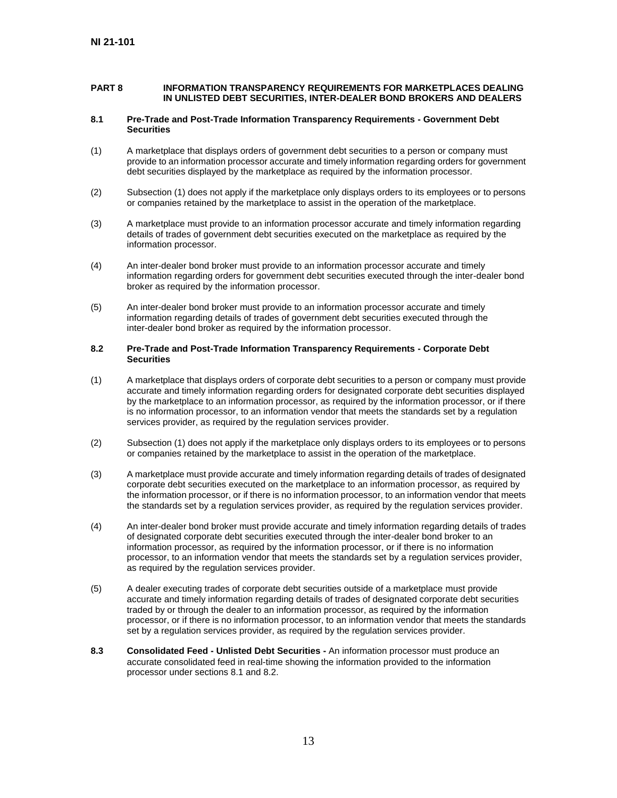#### **PART 8 INFORMATION TRANSPARENCY REQUIREMENTS FOR MARKETPLACES DEALING IN UNLISTED DEBT SECURITIES, INTER-DEALER BOND BROKERS AND DEALERS**

#### **8.1 Pre-Trade and Post-Trade Information Transparency Requirements - Government Debt Securities**

- (1) A marketplace that displays orders of government debt securities to a person or company must provide to an information processor accurate and timely information regarding orders for government debt securities displayed by the marketplace as required by the information processor.
- (2) Subsection (1) does not apply if the marketplace only displays orders to its employees or to persons or companies retained by the marketplace to assist in the operation of the marketplace.
- (3) A marketplace must provide to an information processor accurate and timely information regarding details of trades of government debt securities executed on the marketplace as required by the information processor.
- (4) An inter-dealer bond broker must provide to an information processor accurate and timely information regarding orders for government debt securities executed through the inter-dealer bond broker as required by the information processor.
- (5) An inter-dealer bond broker must provide to an information processor accurate and timely information regarding details of trades of government debt securities executed through the inter-dealer bond broker as required by the information processor.

# **8.2 Pre-Trade and Post-Trade Information Transparency Requirements - Corporate Debt Securities**

- (1) A marketplace that displays orders of corporate debt securities to a person or company must provide accurate and timely information regarding orders for designated corporate debt securities displayed by the marketplace to an information processor, as required by the information processor, or if there is no information processor, to an information vendor that meets the standards set by a regulation services provider, as required by the regulation services provider.
- (2) Subsection (1) does not apply if the marketplace only displays orders to its employees or to persons or companies retained by the marketplace to assist in the operation of the marketplace.
- (3) A marketplace must provide accurate and timely information regarding details of trades of designated corporate debt securities executed on the marketplace to an information processor, as required by the information processor, or if there is no information processor, to an information vendor that meets the standards set by a regulation services provider, as required by the regulation services provider.
- (4) An inter-dealer bond broker must provide accurate and timely information regarding details of trades of designated corporate debt securities executed through the inter-dealer bond broker to an information processor, as required by the information processor, or if there is no information processor, to an information vendor that meets the standards set by a regulation services provider, as required by the regulation services provider.
- (5) A dealer executing trades of corporate debt securities outside of a marketplace must provide accurate and timely information regarding details of trades of designated corporate debt securities traded by or through the dealer to an information processor, as required by the information processor, or if there is no information processor, to an information vendor that meets the standards set by a regulation services provider, as required by the regulation services provider.
- **8.3 Consolidated Feed - Unlisted Debt Securities -** An information processor must produce an accurate consolidated feed in real-time showing the information provided to the information processor under sections 8.1 and 8.2.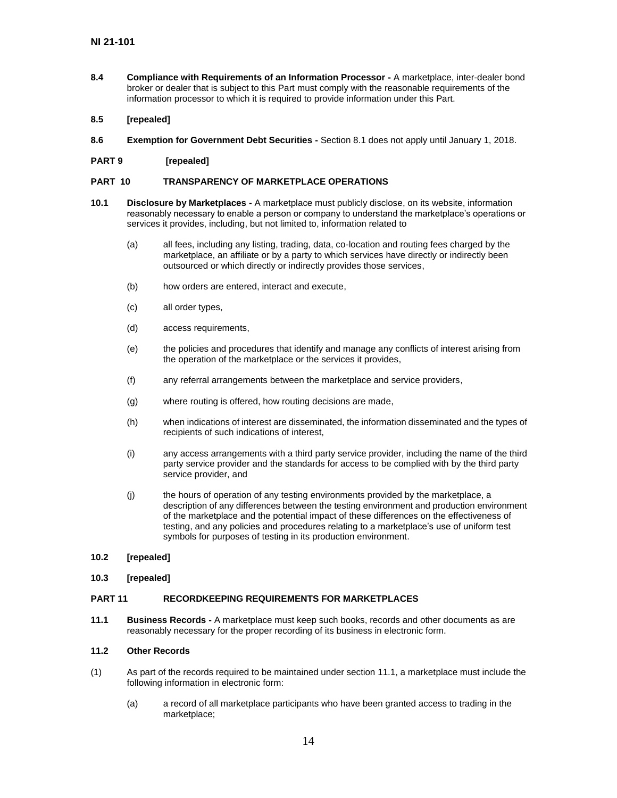**8.4 Compliance with Requirements of an Information Processor -** A marketplace, inter-dealer bond broker or dealer that is subject to this Part must comply with the reasonable requirements of the information processor to which it is required to provide information under this Part.

# **8.5 [repealed]**

- **8.6 Exemption for Government Debt Securities -** Section 8.1 does not apply until January 1, 2018.
- **PART 9 [repealed]**

# **PART 10 TRANSPARENCY OF MARKETPLACE OPERATIONS**

- **10.1 Disclosure by Marketplaces -** A marketplace must publicly disclose, on its website, information reasonably necessary to enable a person or company to understand the marketplace's operations or services it provides, including, but not limited to, information related to
	- (a) all fees, including any listing, trading, data, co-location and routing fees charged by the marketplace, an affiliate or by a party to which services have directly or indirectly been outsourced or which directly or indirectly provides those services,
	- (b) how orders are entered, interact and execute,
	- (c) all order types,
	- (d) access requirements,
	- (e) the policies and procedures that identify and manage any conflicts of interest arising from the operation of the marketplace or the services it provides,
	- (f) any referral arrangements between the marketplace and service providers,
	- (g) where routing is offered, how routing decisions are made,
	- (h) when indications of interest are disseminated, the information disseminated and the types of recipients of such indications of interest,
	- (i) any access arrangements with a third party service provider, including the name of the third party service provider and the standards for access to be complied with by the third party service provider, and
	- (j) the hours of operation of any testing environments provided by the marketplace, a description of any differences between the testing environment and production environment of the marketplace and the potential impact of these differences on the effectiveness of testing, and any policies and procedures relating to a marketplace's use of uniform test symbols for purposes of testing in its production environment.

# **10.2 [repealed]**

# **10.3 [repealed]**

# **PART 11 RECORDKEEPING REQUIREMENTS FOR MARKETPLACES**

**11.1 Business Records -** A marketplace must keep such books, records and other documents as are reasonably necessary for the proper recording of its business in electronic form.

# **11.2 Other Records**

- (1) As part of the records required to be maintained under section 11.1, a marketplace must include the following information in electronic form:
	- (a) a record of all marketplace participants who have been granted access to trading in the marketplace;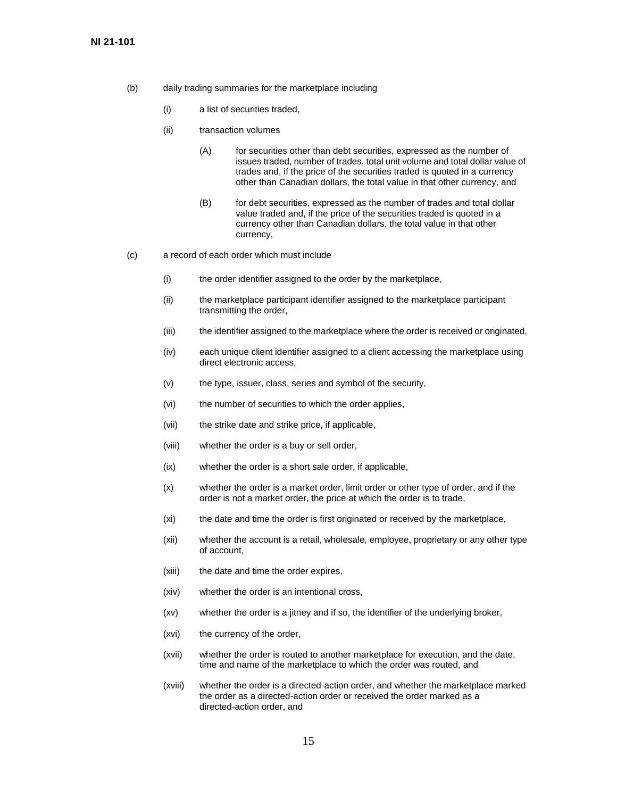- (b) daily trading summaries for the marketplace including
	- (i) a list of securities traded,
	- (ii) transaction volumes
		- (A) for securities other than debt securities, expressed as the number of issues traded, number of trades, total unit volume and total dollar value of trades and, if the price of the securities traded is quoted in a currency other than Canadian dollars, the total value in that other currency, and
		- (B) for debt securities, expressed as the number of trades and total dollar value traded and, if the price of the securities traded is quoted in a currency other than Canadian dollars, the total value in that other currency,
- (c) a record of each order which must include
	- (i) the order identifier assigned to the order by the marketplace,
	- (ii) the marketplace participant identifier assigned to the marketplace participant transmitting the order,
	- (iii) the identifier assigned to the marketplace where the order is received or originated,
	- (iv) each unique client identifier assigned to a client accessing the marketplace using direct electronic access,
	- (v) the type, issuer, class, series and symbol of the security,
	- (vi) the number of securities to which the order applies,
	- (vii) the strike date and strike price, if applicable,
	- (viii) whether the order is a buy or sell order,
	- (ix) whether the order is a short sale order, if applicable,
	- (x) whether the order is a market order, limit order or other type of order, and if the order is not a market order, the price at which the order is to trade,
	- (xi) the date and time the order is first originated or received by the marketplace,
	- (xii) whether the account is a retail, wholesale, employee, proprietary or any other type of account,
	- (xiii) the date and time the order expires,
	- (xiv) whether the order is an intentional cross,
	- (xv) whether the order is a jitney and if so, the identifier of the underlying broker,
	- (xvi) the currency of the order,
	- (xvii) whether the order is routed to another marketplace for execution, and the date, time and name of the marketplace to which the order was routed, and
	- (xviii) whether the order is a directed-action order, and whether the marketplace marked the order as a directed-action order or received the order marked as a directed-action order, and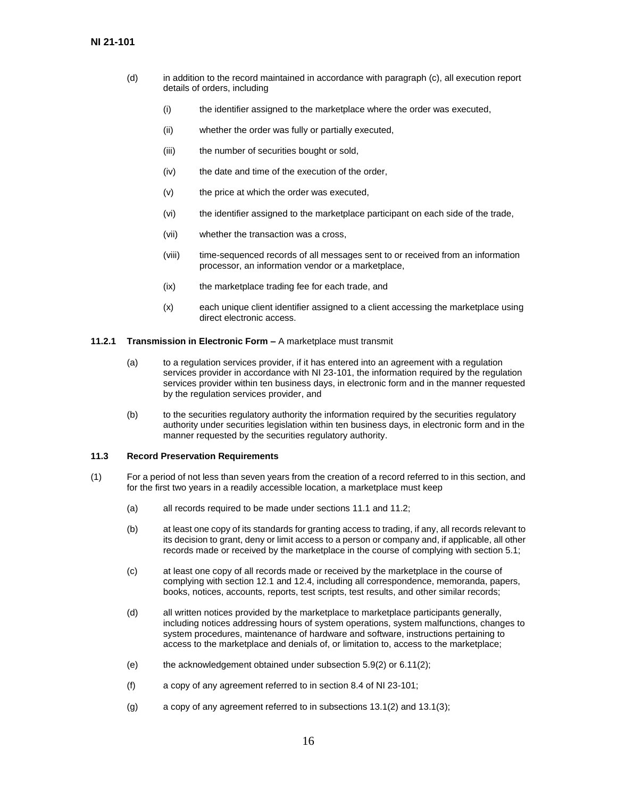- (d) in addition to the record maintained in accordance with paragraph (c), all execution report details of orders, including
	- (i) the identifier assigned to the marketplace where the order was executed,
	- (ii) whether the order was fully or partially executed,
	- (iii) the number of securities bought or sold,
	- (iv) the date and time of the execution of the order,
	- (v) the price at which the order was executed,
	- (vi) the identifier assigned to the marketplace participant on each side of the trade,
	- (vii) whether the transaction was a cross,
	- (viii) time-sequenced records of all messages sent to or received from an information processor, an information vendor or a marketplace,
	- (ix) the marketplace trading fee for each trade, and
	- (x) each unique client identifier assigned to a client accessing the marketplace using direct electronic access.

#### **11.2.1 Transmission in Electronic Form –** A marketplace must transmit

- (a) to a regulation services provider, if it has entered into an agreement with a regulation services provider in accordance with NI 23-101, the information required by the regulation services provider within ten business days, in electronic form and in the manner requested by the regulation services provider, and
- (b) to the securities regulatory authority the information required by the securities regulatory authority under securities legislation within ten business days, in electronic form and in the manner requested by the securities regulatory authority.

#### **11.3 Record Preservation Requirements**

- (1) For a period of not less than seven years from the creation of a record referred to in this section, and for the first two years in a readily accessible location, a marketplace must keep
	- (a) all records required to be made under sections 11.1 and 11.2;
	- (b) at least one copy of its standards for granting access to trading, if any, all records relevant to its decision to grant, deny or limit access to a person or company and, if applicable, all other records made or received by the marketplace in the course of complying with section 5.1;
	- (c) at least one copy of all records made or received by the marketplace in the course of complying with section 12.1 and 12.4, including all correspondence, memoranda, papers, books, notices, accounts, reports, test scripts, test results, and other similar records;
	- (d) all written notices provided by the marketplace to marketplace participants generally, including notices addressing hours of system operations, system malfunctions, changes to system procedures, maintenance of hardware and software, instructions pertaining to access to the marketplace and denials of, or limitation to, access to the marketplace;
	- (e) the acknowledgement obtained under subsection 5.9(2) or 6.11(2);
	- (f) a copy of any agreement referred to in section 8.4 of NI 23-101;
	- (q) a copy of any agreement referred to in subsections  $13.1(2)$  and  $13.1(3)$ ;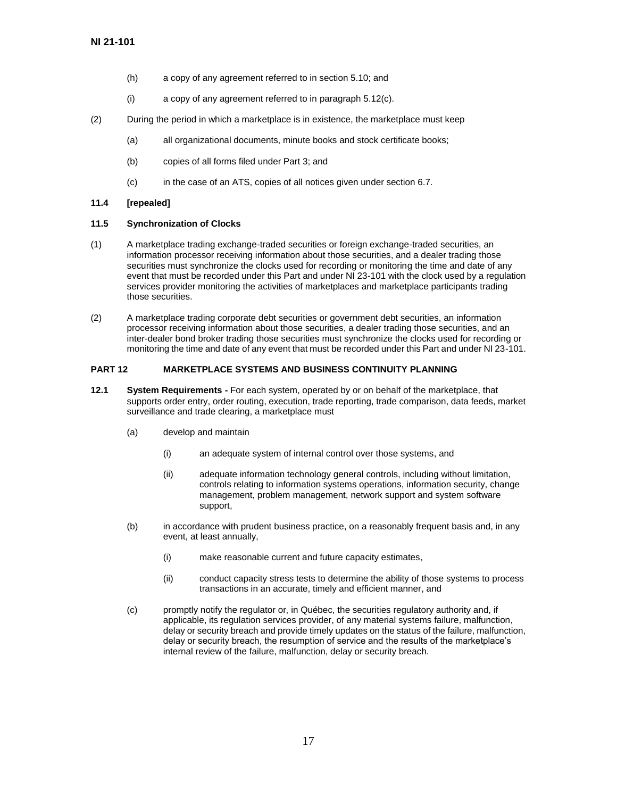- (h) a copy of any agreement referred to in section 5.10; and
- (i) a copy of any agreement referred to in paragraph 5.12(c).
- (2) During the period in which a marketplace is in existence, the marketplace must keep
	- (a) all organizational documents, minute books and stock certificate books;
	- (b) copies of all forms filed under Part 3; and
	- (c) in the case of an ATS, copies of all notices given under section 6.7.

# **11.4 [repealed]**

#### **11.5 Synchronization of Clocks**

- (1) A marketplace trading exchange-traded securities or foreign exchange-traded securities, an information processor receiving information about those securities, and a dealer trading those securities must synchronize the clocks used for recording or monitoring the time and date of any event that must be recorded under this Part and under NI 23-101 with the clock used by a regulation services provider monitoring the activities of marketplaces and marketplace participants trading those securities.
- (2) A marketplace trading corporate debt securities or government debt securities, an information processor receiving information about those securities, a dealer trading those securities, and an inter-dealer bond broker trading those securities must synchronize the clocks used for recording or monitoring the time and date of any event that must be recorded under this Part and under NI 23-101.

#### **PART 12 MARKETPLACE SYSTEMS AND BUSINESS CONTINUITY PLANNING**

- **12.1 System Requirements -** For each system, operated by or on behalf of the marketplace, that supports order entry, order routing, execution, trade reporting, trade comparison, data feeds, market surveillance and trade clearing, a marketplace must
	- (a) develop and maintain
		- (i) an adequate system of internal control over those systems, and
		- (ii) adequate information technology general controls, including without limitation, controls relating to information systems operations, information security, change management, problem management, network support and system software support,
	- (b) in accordance with prudent business practice, on a reasonably frequent basis and, in any event, at least annually,
		- (i) make reasonable current and future capacity estimates,
		- (ii) conduct capacity stress tests to determine the ability of those systems to process transactions in an accurate, timely and efficient manner, and
	- (c) promptly notify the regulator or, in Québec, the securities regulatory authority and, if applicable, its regulation services provider, of any material systems failure, malfunction, delay or security breach and provide timely updates on the status of the failure, malfunction, delay or security breach, the resumption of service and the results of the marketplace's internal review of the failure, malfunction, delay or security breach.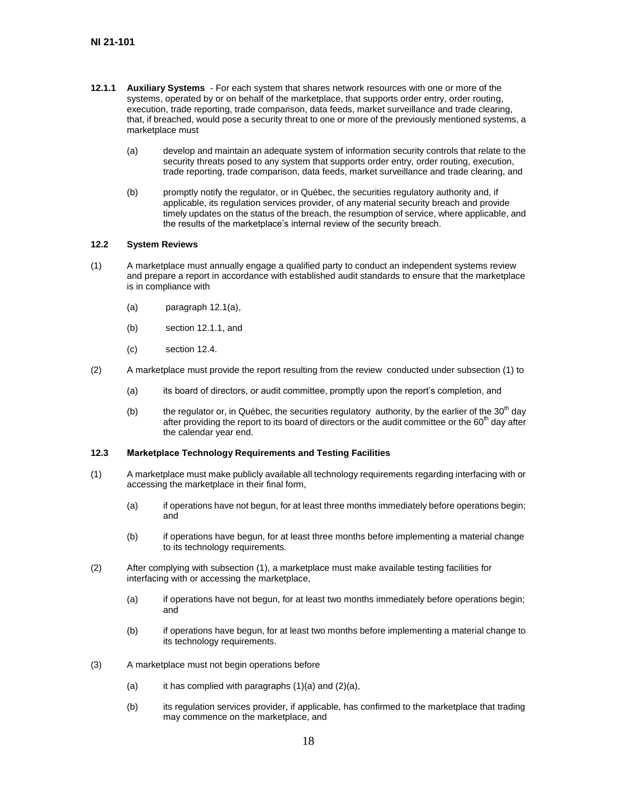- **12.1.1 Auxiliary Systems**  For each system that shares network resources with one or more of the systems, operated by or on behalf of the marketplace, that supports order entry, order routing, execution, trade reporting, trade comparison, data feeds, market surveillance and trade clearing, that, if breached, would pose a security threat to one or more of the previously mentioned systems, a marketplace must
	- (a) develop and maintain an adequate system of information security controls that relate to the security threats posed to any system that supports order entry, order routing, execution, trade reporting, trade comparison, data feeds, market surveillance and trade clearing, and
	- (b) promptly notify the regulator, or in Québec, the securities regulatory authority and, if applicable, its regulation services provider, of any material security breach and provide timely updates on the status of the breach, the resumption of service, where applicable, and the results of the marketplace's internal review of the security breach.

#### **12.2 System Reviews**

- (1) A marketplace must annually engage a qualified party to conduct an independent systems review and prepare a report in accordance with established audit standards to ensure that the marketplace is in compliance with
	- (a) paragraph 12.1(a),
	- (b) section 12.1.1, and
	- (c) section 12.4.
- (2) A marketplace must provide the report resulting from the review conducted under subsection (1) to
	- (a) its board of directors, or audit committee, promptly upon the report's completion, and
	- (b) the regulator or, in Québec, the securities regulatory authority, by the earlier of the  $30<sup>th</sup>$  day after providing the report to its board of directors or the audit committee or the  $60<sup>th</sup>$  day after the calendar year end.

#### **12.3 Marketplace Technology Requirements and Testing Facilities**

- (1) A marketplace must make publicly available all technology requirements regarding interfacing with or accessing the marketplace in their final form,
	- (a) if operations have not begun, for at least three months immediately before operations begin; and
	- (b) if operations have begun, for at least three months before implementing a material change to its technology requirements.
- (2) After complying with subsection (1), a marketplace must make available testing facilities for interfacing with or accessing the marketplace,
	- (a) if operations have not begun, for at least two months immediately before operations begin; and
	- (b) if operations have begun, for at least two months before implementing a material change to its technology requirements.
- (3) A marketplace must not begin operations before
	- (a) it has complied with paragraphs  $(1)(a)$  and  $(2)(a)$ ,
	- (b) its regulation services provider, if applicable, has confirmed to the marketplace that trading may commence on the marketplace, and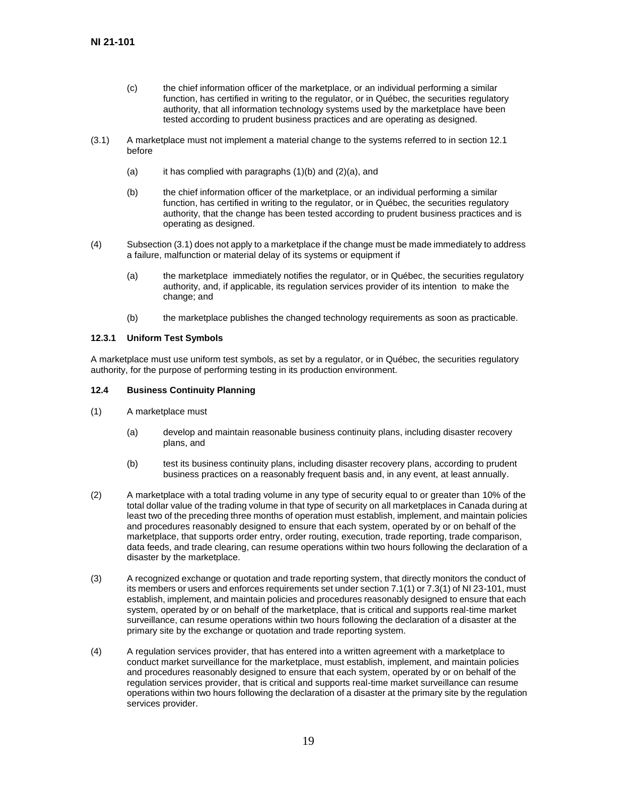- (c) the chief information officer of the marketplace, or an individual performing a similar function, has certified in writing to the regulator, or in Québec, the securities regulatory authority, that all information technology systems used by the marketplace have been tested according to prudent business practices and are operating as designed.
- (3.1) A marketplace must not implement a material change to the systems referred to in section 12.1 before
	- (a) it has complied with paragraphs  $(1)(b)$  and  $(2)(a)$ , and
	- (b) the chief information officer of the marketplace, or an individual performing a similar function, has certified in writing to the regulator, or in Québec, the securities regulatory authority, that the change has been tested according to prudent business practices and is operating as designed.
- (4) Subsection (3.1) does not apply to a marketplace if the change must be made immediately to address a failure, malfunction or material delay of its systems or equipment if
	- (a) the marketplace immediately notifies the regulator, or in Québec, the securities regulatory authority, and, if applicable, its regulation services provider of its intention to make the change; and
	- (b) the marketplace publishes the changed technology requirements as soon as practicable.

# **12.3.1 Uniform Test Symbols**

A marketplace must use uniform test symbols, as set by a regulator, or in Québec, the securities regulatory authority, for the purpose of performing testing in its production environment.

# **12.4 Business Continuity Planning**

- (1) A marketplace must
	- (a) develop and maintain reasonable business continuity plans, including disaster recovery plans, and
	- (b) test its business continuity plans, including disaster recovery plans, according to prudent business practices on a reasonably frequent basis and, in any event, at least annually.
- (2) A marketplace with a total trading volume in any type of security equal to or greater than 10% of the total dollar value of the trading volume in that type of security on all marketplaces in Canada during at least two of the preceding three months of operation must establish, implement, and maintain policies and procedures reasonably designed to ensure that each system, operated by or on behalf of the marketplace, that supports order entry, order routing, execution, trade reporting, trade comparison, data feeds, and trade clearing, can resume operations within two hours following the declaration of a disaster by the marketplace.
- (3) A recognized exchange or quotation and trade reporting system, that directly monitors the conduct of its members or users and enforces requirements set under section 7.1(1) or 7.3(1) of NI 23-101, must establish, implement, and maintain policies and procedures reasonably designed to ensure that each system, operated by or on behalf of the marketplace, that is critical and supports real-time market surveillance, can resume operations within two hours following the declaration of a disaster at the primary site by the exchange or quotation and trade reporting system.
- (4) A regulation services provider, that has entered into a written agreement with a marketplace to conduct market surveillance for the marketplace, must establish, implement, and maintain policies and procedures reasonably designed to ensure that each system, operated by or on behalf of the regulation services provider, that is critical and supports real-time market surveillance can resume operations within two hours following the declaration of a disaster at the primary site by the regulation services provider.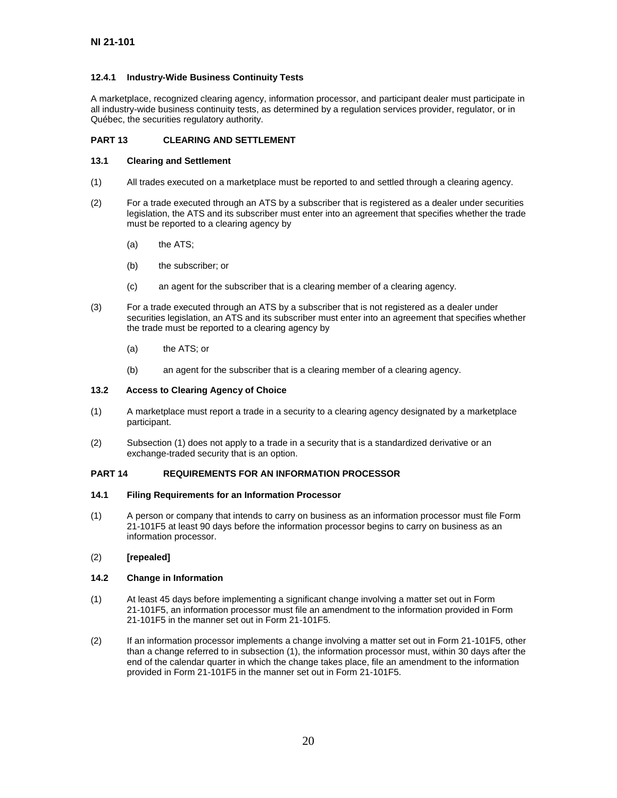# **12.4.1 Industry-Wide Business Continuity Tests**

A marketplace, recognized clearing agency, information processor, and participant dealer must participate in all industry-wide business continuity tests, as determined by a regulation services provider, regulator, or in Québec, the securities regulatory authority.

# **PART 13 CLEARING AND SETTLEMENT**

# **13.1 Clearing and Settlement**

- (1) All trades executed on a marketplace must be reported to and settled through a clearing agency.
- (2) For a trade executed through an ATS by a subscriber that is registered as a dealer under securities legislation, the ATS and its subscriber must enter into an agreement that specifies whether the trade must be reported to a clearing agency by
	- (a) the ATS;
	- (b) the subscriber; or
	- (c) an agent for the subscriber that is a clearing member of a clearing agency.
- (3) For a trade executed through an ATS by a subscriber that is not registered as a dealer under securities legislation, an ATS and its subscriber must enter into an agreement that specifies whether the trade must be reported to a clearing agency by
	- (a) the ATS; or
	- (b) an agent for the subscriber that is a clearing member of a clearing agency.

# **13.2 Access to Clearing Agency of Choice**

- (1) A marketplace must report a trade in a security to a clearing agency designated by a marketplace participant.
- (2) Subsection (1) does not apply to a trade in a security that is a standardized derivative or an exchange-traded security that is an option.

# **PART 14 REQUIREMENTS FOR AN INFORMATION PROCESSOR**

# **14.1 Filing Requirements for an Information Processor**

(1) A person or company that intends to carry on business as an information processor must file Form 21-101F5 at least 90 days before the information processor begins to carry on business as an information processor.

# (2) **[repealed]**

# **14.2 Change in Information**

- (1) At least 45 days before implementing a significant change involving a matter set out in Form 21-101F5, an information processor must file an amendment to the information provided in Form 21-101F5 in the manner set out in Form 21-101F5.
- (2) If an information processor implements a change involving a matter set out in Form 21-101F5, other than a change referred to in subsection (1), the information processor must, within 30 days after the end of the calendar quarter in which the change takes place, file an amendment to the information provided in Form 21-101F5 in the manner set out in Form 21-101F5.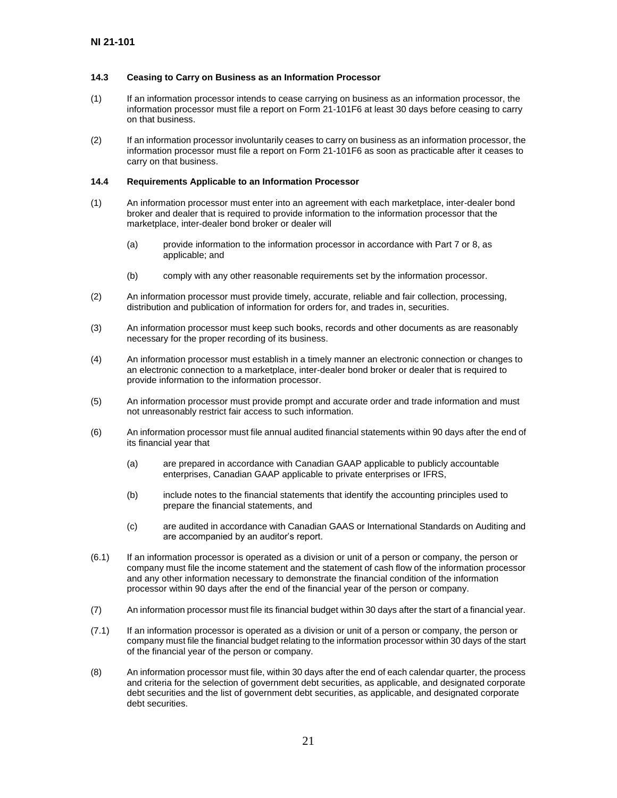# **14.3 Ceasing to Carry on Business as an Information Processor**

- (1) If an information processor intends to cease carrying on business as an information processor, the information processor must file a report on Form 21-101F6 at least 30 days before ceasing to carry on that business.
- (2) If an information processor involuntarily ceases to carry on business as an information processor, the information processor must file a report on Form 21-101F6 as soon as practicable after it ceases to carry on that business.

# **14.4 Requirements Applicable to an Information Processor**

- (1) An information processor must enter into an agreement with each marketplace, inter-dealer bond broker and dealer that is required to provide information to the information processor that the marketplace, inter-dealer bond broker or dealer will
	- (a) provide information to the information processor in accordance with Part 7 or 8, as applicable; and
	- (b) comply with any other reasonable requirements set by the information processor.
- (2) An information processor must provide timely, accurate, reliable and fair collection, processing, distribution and publication of information for orders for, and trades in, securities.
- (3) An information processor must keep such books, records and other documents as are reasonably necessary for the proper recording of its business.
- (4) An information processor must establish in a timely manner an electronic connection or changes to an electronic connection to a marketplace, inter-dealer bond broker or dealer that is required to provide information to the information processor.
- (5) An information processor must provide prompt and accurate order and trade information and must not unreasonably restrict fair access to such information.
- (6) An information processor must file annual audited financial statements within 90 days after the end of its financial year that
	- (a) are prepared in accordance with Canadian GAAP applicable to publicly accountable enterprises, Canadian GAAP applicable to private enterprises or IFRS,
	- (b) include notes to the financial statements that identify the accounting principles used to prepare the financial statements, and
	- (c) are audited in accordance with Canadian GAAS or International Standards on Auditing and are accompanied by an auditor's report.
- (6.1) If an information processor is operated as a division or unit of a person or company, the person or company must file the income statement and the statement of cash flow of the information processor and any other information necessary to demonstrate the financial condition of the information processor within 90 days after the end of the financial year of the person or company.
- (7) An information processor must file its financial budget within 30 days after the start of a financial year.
- (7.1) If an information processor is operated as a division or unit of a person or company, the person or company must file the financial budget relating to the information processor within 30 days of the start of the financial year of the person or company.
- (8) An information processor must file, within 30 days after the end of each calendar quarter, the process and criteria for the selection of government debt securities, as applicable, and designated corporate debt securities and the list of government debt securities, as applicable, and designated corporate debt securities.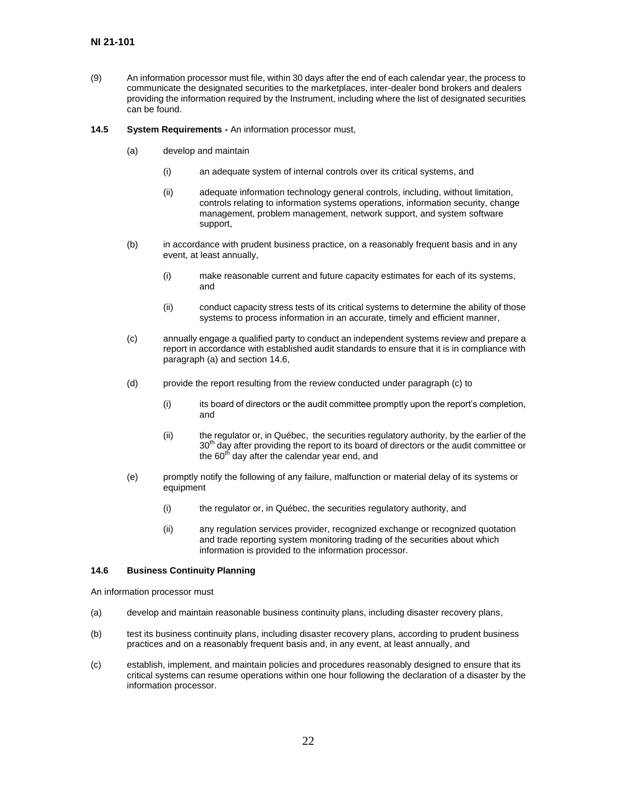# **NI 21-101**

- (9) An information processor must file, within 30 days after the end of each calendar year, the process to communicate the designated securities to the marketplaces, inter-dealer bond brokers and dealers providing the information required by the Instrument, including where the list of designated securities can be found.
- **14.5 System Requirements -** An information processor must,
	- (a) develop and maintain
		- (i) an adequate system of internal controls over its critical systems, and
		- (ii) adequate information technology general controls, including, without limitation, controls relating to information systems operations, information security, change management, problem management, network support, and system software support,
	- (b) in accordance with prudent business practice, on a reasonably frequent basis and in any event, at least annually,
		- (i) make reasonable current and future capacity estimates for each of its systems, and
		- (ii) conduct capacity stress tests of its critical systems to determine the ability of those systems to process information in an accurate, timely and efficient manner,
	- (c) annually engage a qualified party to conduct an independent systems review and prepare a report in accordance with established audit standards to ensure that it is in compliance with paragraph (a) and section 14.6,
	- (d) provide the report resulting from the review conducted under paragraph (c) to
		- (i) its board of directors or the audit committee promptly upon the report's completion, and
		- (ii) the regulator or, in Québec, the securities regulatory authority, by the earlier of the 30<sup>th</sup> day after providing the report to its board of directors or the audit committee or the  $60<sup>th</sup>$  day after the calendar year end, and
	- (e) promptly notify the following of any failure, malfunction or material delay of its systems or equipment
		- (i) the regulator or, in Québec, the securities regulatory authority, and
		- (ii) any regulation services provider, recognized exchange or recognized quotation and trade reporting system monitoring trading of the securities about which information is provided to the information processor.

# **14.6 Business Continuity Planning**

An information processor must

- (a) develop and maintain reasonable business continuity plans, including disaster recovery plans,
- (b) test its business continuity plans, including disaster recovery plans, according to prudent business practices and on a reasonably frequent basis and, in any event, at least annually, and
- (c) establish, implement, and maintain policies and procedures reasonably designed to ensure that its critical systems can resume operations within one hour following the declaration of a disaster by the information processor.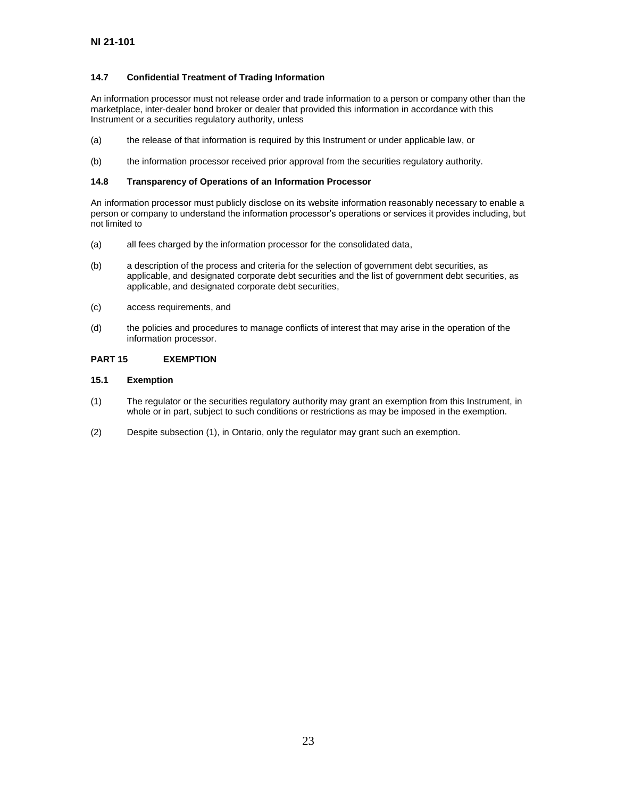# **14.7 Confidential Treatment of Trading Information**

An information processor must not release order and trade information to a person or company other than the marketplace, inter-dealer bond broker or dealer that provided this information in accordance with this Instrument or a securities regulatory authority, unless

- (a) the release of that information is required by this Instrument or under applicable law, or
- (b) the information processor received prior approval from the securities regulatory authority.

# **14.8 Transparency of Operations of an Information Processor**

An information processor must publicly disclose on its website information reasonably necessary to enable a person or company to understand the information processor's operations or services it provides including, but not limited to

- (a) all fees charged by the information processor for the consolidated data,
- (b) a description of the process and criteria for the selection of government debt securities, as applicable, and designated corporate debt securities and the list of government debt securities, as applicable, and designated corporate debt securities,
- (c) access requirements, and
- (d) the policies and procedures to manage conflicts of interest that may arise in the operation of the information processor.

# **PART 15 EXEMPTION**

#### **15.1 Exemption**

- (1) The regulator or the securities regulatory authority may grant an exemption from this Instrument, in whole or in part, subject to such conditions or restrictions as may be imposed in the exemption.
- (2) Despite subsection (1), in Ontario, only the regulator may grant such an exemption.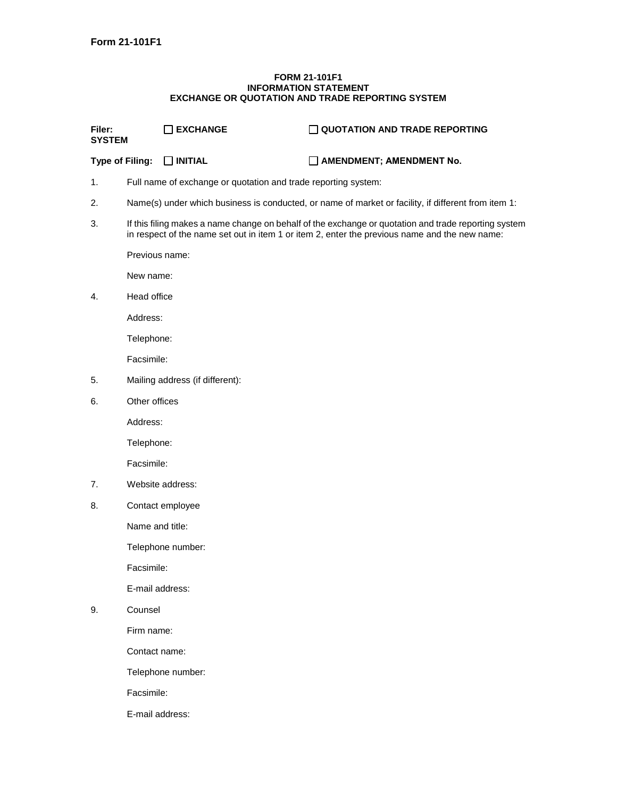#### **FORM 21-101F1 INFORMATION STATEMENT EXCHANGE OR QUOTATION AND TRADE REPORTING SYSTEM**

| Filer:<br><b>SYSTEM</b> | <b>EXCHANGE</b>                                                                                                                                                                                       |  | $\Box$ QUOTATION AND TRADE REPORTING                                                                |
|-------------------------|-------------------------------------------------------------------------------------------------------------------------------------------------------------------------------------------------------|--|-----------------------------------------------------------------------------------------------------|
| <b>Type of Filing:</b>  | $\Box$ INITIAL                                                                                                                                                                                        |  | $\Box$ AMENDMENT; AMENDMENT No.                                                                     |
| 1.                      | Full name of exchange or quotation and trade reporting system:                                                                                                                                        |  |                                                                                                     |
| 2.                      |                                                                                                                                                                                                       |  | Name(s) under which business is conducted, or name of market or facility, if different from item 1: |
| 3.                      | If this filing makes a name change on behalf of the exchange or quotation and trade reporting system<br>in respect of the name set out in item 1 or item 2, enter the previous name and the new name: |  |                                                                                                     |
|                         | Previous name:                                                                                                                                                                                        |  |                                                                                                     |
|                         | New name:                                                                                                                                                                                             |  |                                                                                                     |
| 4.                      | Head office                                                                                                                                                                                           |  |                                                                                                     |
|                         | Address:                                                                                                                                                                                              |  |                                                                                                     |
|                         | Telephone:                                                                                                                                                                                            |  |                                                                                                     |
|                         | Facsimile:                                                                                                                                                                                            |  |                                                                                                     |
| 5.                      | Mailing address (if different):                                                                                                                                                                       |  |                                                                                                     |
| 6.                      | Other offices                                                                                                                                                                                         |  |                                                                                                     |
|                         | Address:                                                                                                                                                                                              |  |                                                                                                     |
|                         | Telephone:                                                                                                                                                                                            |  |                                                                                                     |
|                         | Facsimile:                                                                                                                                                                                            |  |                                                                                                     |
| 7.                      | Website address:                                                                                                                                                                                      |  |                                                                                                     |
| 8.                      | Contact employee                                                                                                                                                                                      |  |                                                                                                     |
|                         | Name and title:                                                                                                                                                                                       |  |                                                                                                     |
|                         | Telephone number:                                                                                                                                                                                     |  |                                                                                                     |
|                         | Facsimile:                                                                                                                                                                                            |  |                                                                                                     |
|                         | E-mail address:                                                                                                                                                                                       |  |                                                                                                     |
| 9.                      | Counsel                                                                                                                                                                                               |  |                                                                                                     |
|                         | Firm name:                                                                                                                                                                                            |  |                                                                                                     |
|                         | Contact name:                                                                                                                                                                                         |  |                                                                                                     |
|                         | Telephone number:                                                                                                                                                                                     |  |                                                                                                     |
|                         | Facsimile:                                                                                                                                                                                            |  |                                                                                                     |
|                         | E-mail address:                                                                                                                                                                                       |  |                                                                                                     |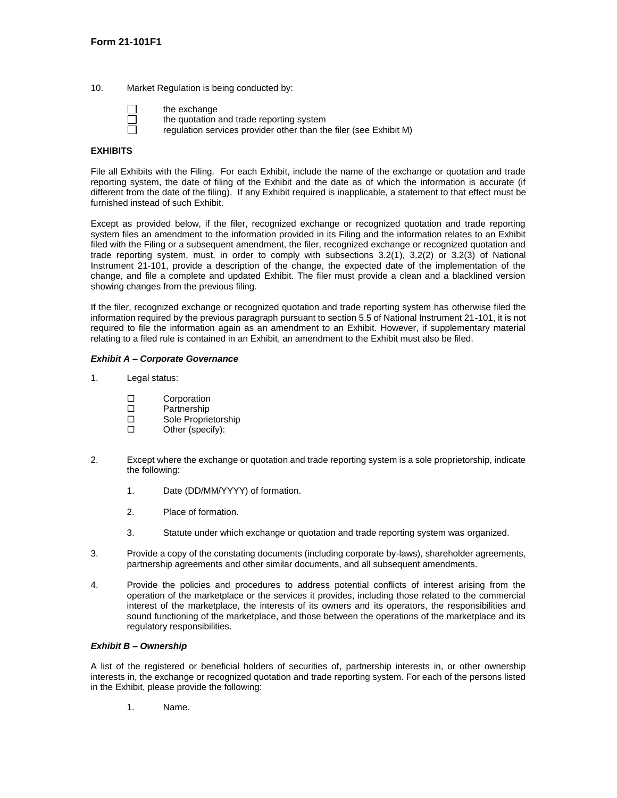10. Market Regulation is being conducted by:

the exchange the quotation and trade reporting system

regulation services provider other than the filer (see Exhibit M)

# **EXHIBITS**

File all Exhibits with the Filing. For each Exhibit, include the name of the exchange or quotation and trade reporting system, the date of filing of the Exhibit and the date as of which the information is accurate (if different from the date of the filing). If any Exhibit required is inapplicable, a statement to that effect must be furnished instead of such Exhibit.

Except as provided below, if the filer, recognized exchange or recognized quotation and trade reporting system files an amendment to the information provided in its Filing and the information relates to an Exhibit filed with the Filing or a subsequent amendment, the filer, recognized exchange or recognized quotation and trade reporting system, must, in order to comply with subsections 3.2(1), 3.2(2) or 3.2(3) of National Instrument 21-101, provide a description of the change, the expected date of the implementation of the change, and file a complete and updated Exhibit. The filer must provide a clean and a blacklined version showing changes from the previous filing.

If the filer, recognized exchange or recognized quotation and trade reporting system has otherwise filed the information required by the previous paragraph pursuant to section 5.5 of National Instrument 21-101, it is not required to file the information again as an amendment to an Exhibit. However, if supplementary material relating to a filed rule is contained in an Exhibit, an amendment to the Exhibit must also be filed.

# *Exhibit A – Corporate Governance*

- 1. Legal status:
	- □ Corporation<br>□ Partnership
	- □ Partnership<br>□ Sole Proprie
	- □ Sole Proprietorship<br>□ Other (specify):
	- Other (specify):
- 2. Except where the exchange or quotation and trade reporting system is a sole proprietorship, indicate the following:
	- 1. Date (DD/MM/YYYY) of formation.
	- 2. Place of formation.
	- 3. Statute under which exchange or quotation and trade reporting system was organized.
- 3. Provide a copy of the constating documents (including corporate by-laws), shareholder agreements, partnership agreements and other similar documents, and all subsequent amendments.
- 4. Provide the policies and procedures to address potential conflicts of interest arising from the operation of the marketplace or the services it provides, including those related to the commercial interest of the marketplace, the interests of its owners and its operators, the responsibilities and sound functioning of the marketplace, and those between the operations of the marketplace and its regulatory responsibilities.

# *Exhibit B – Ownership*

A list of the registered or beneficial holders of securities of, partnership interests in, or other ownership interests in, the exchange or recognized quotation and trade reporting system. For each of the persons listed in the Exhibit, please provide the following:

1. Name.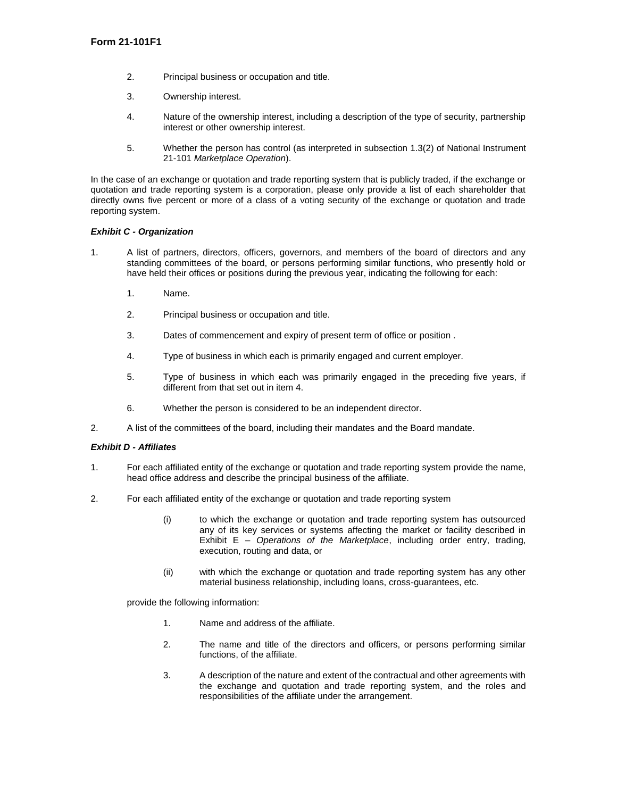- 2. Principal business or occupation and title.
- 3. Ownership interest.
- 4. Nature of the ownership interest, including a description of the type of security, partnership interest or other ownership interest.
- 5. Whether the person has control (as interpreted in subsection 1.3(2) of National Instrument 21-101 *Marketplace Operation*).

In the case of an exchange or quotation and trade reporting system that is publicly traded, if the exchange or quotation and trade reporting system is a corporation, please only provide a list of each shareholder that directly owns five percent or more of a class of a voting security of the exchange or quotation and trade reporting system.

# *Exhibit C - Organization*

- 1. A list of partners, directors, officers, governors, and members of the board of directors and any standing committees of the board, or persons performing similar functions, who presently hold or have held their offices or positions during the previous year, indicating the following for each:
	- 1. Name.
	- 2. Principal business or occupation and title.
	- 3. Dates of commencement and expiry of present term of office or position .
	- 4. Type of business in which each is primarily engaged and current employer.
	- 5. Type of business in which each was primarily engaged in the preceding five years, if different from that set out in item 4.
	- 6. Whether the person is considered to be an independent director.
- 2. A list of the committees of the board, including their mandates and the Board mandate.

# *Exhibit D - Affiliates*

- 1. For each affiliated entity of the exchange or quotation and trade reporting system provide the name, head office address and describe the principal business of the affiliate.
- 2. For each affiliated entity of the exchange or quotation and trade reporting system
	- (i) to which the exchange or quotation and trade reporting system has outsourced any of its key services or systems affecting the market or facility described in Exhibit E – *Operations of the Marketplace*, including order entry, trading, execution, routing and data, or
	- (ii) with which the exchange or quotation and trade reporting system has any other material business relationship, including loans, cross-guarantees, etc.

provide the following information:

- 1. Name and address of the affiliate.
- 2. The name and title of the directors and officers, or persons performing similar functions, of the affiliate.
- 3. A description of the nature and extent of the contractual and other agreements with the exchange and quotation and trade reporting system, and the roles and responsibilities of the affiliate under the arrangement.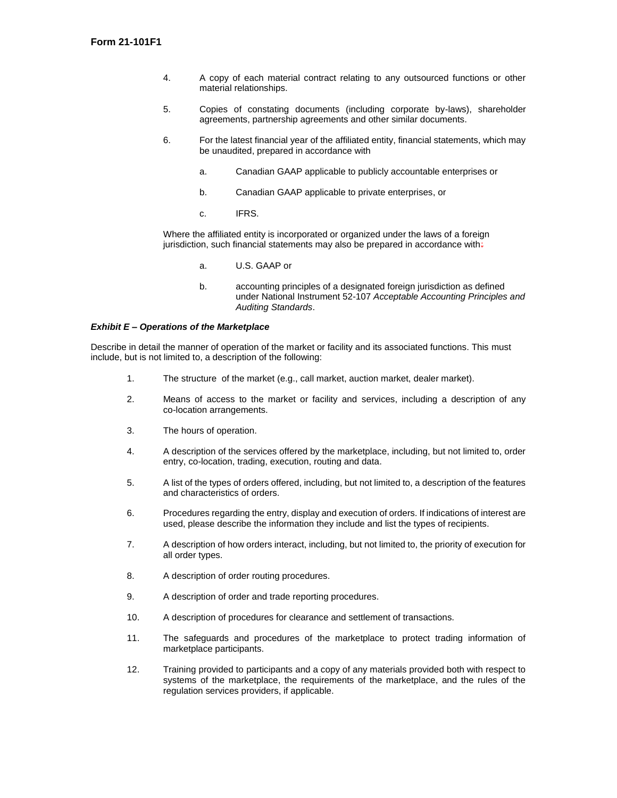- 4. A copy of each material contract relating to any outsourced functions or other material relationships.
- 5. Copies of constating documents (including corporate by-laws), shareholder agreements, partnership agreements and other similar documents.
- 6. For the latest financial year of the affiliated entity, financial statements, which may be unaudited, prepared in accordance with
	- a. Canadian GAAP applicable to publicly accountable enterprises or
	- b. Canadian GAAP applicable to private enterprises, or
	- c. IFRS.

Where the affiliated entity is incorporated or organized under the laws of a foreign jurisdiction, such financial statements may also be prepared in accordance with:

- a. U.S. GAAP or
- b. accounting principles of a designated foreign jurisdiction as defined under National Instrument 52-107 *Acceptable Accounting Principles and Auditing Standards*.

# *Exhibit E – Operations of the Marketplace*

Describe in detail the manner of operation of the market or facility and its associated functions. This must include, but is not limited to, a description of the following:

- 1. The structure of the market (e.g., call market, auction market, dealer market).
- 2. Means of access to the market or facility and services, including a description of any co-location arrangements.
- 3. The hours of operation.
- 4. A description of the services offered by the marketplace, including, but not limited to, order entry, co-location, trading, execution, routing and data.
- 5. A list of the types of orders offered, including, but not limited to, a description of the features and characteristics of orders.
- 6. Procedures regarding the entry, display and execution of orders. If indications of interest are used, please describe the information they include and list the types of recipients.
- 7. A description of how orders interact, including, but not limited to, the priority of execution for all order types.
- 8. A description of order routing procedures.
- 9. A description of order and trade reporting procedures.
- 10. A description of procedures for clearance and settlement of transactions.
- 11. The safeguards and procedures of the marketplace to protect trading information of marketplace participants.
- 12. Training provided to participants and a copy of any materials provided both with respect to systems of the marketplace, the requirements of the marketplace, and the rules of the regulation services providers, if applicable.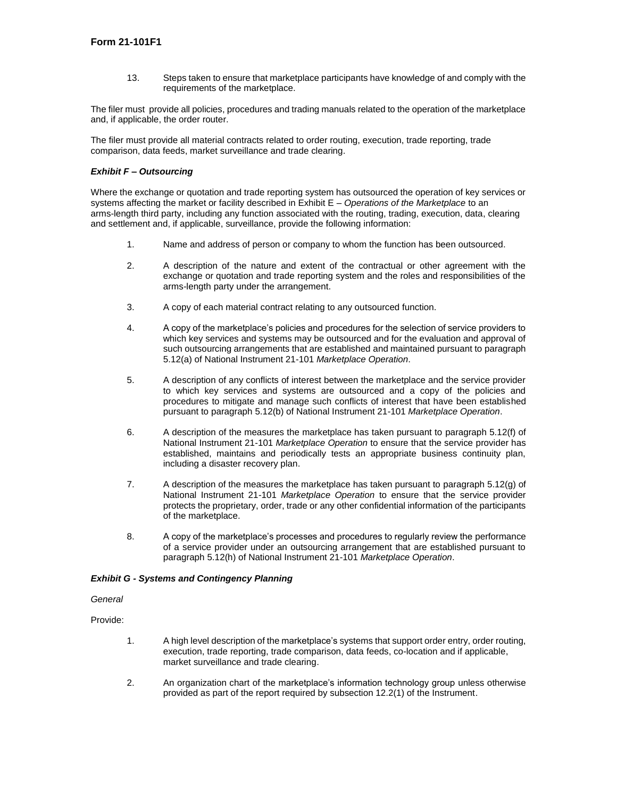13. Steps taken to ensure that marketplace participants have knowledge of and comply with the requirements of the marketplace.

The filer must provide all policies, procedures and trading manuals related to the operation of the marketplace and, if applicable, the order router.

The filer must provide all material contracts related to order routing, execution, trade reporting, trade comparison, data feeds, market surveillance and trade clearing.

# *Exhibit F – Outsourcing*

Where the exchange or quotation and trade reporting system has outsourced the operation of key services or systems affecting the market or facility described in Exhibit E – *Operations of the Marketplace* to an arms-length third party, including any function associated with the routing, trading, execution, data, clearing and settlement and, if applicable, surveillance, provide the following information:

- 1. Name and address of person or company to whom the function has been outsourced.
- 2. A description of the nature and extent of the contractual or other agreement with the exchange or quotation and trade reporting system and the roles and responsibilities of the arms-length party under the arrangement.
- 3. A copy of each material contract relating to any outsourced function.
- 4. A copy of the marketplace's policies and procedures for the selection of service providers to which key services and systems may be outsourced and for the evaluation and approval of such outsourcing arrangements that are established and maintained pursuant to paragraph 5.12(a) of National Instrument 21-101 *Marketplace Operation*.
- 5. A description of any conflicts of interest between the marketplace and the service provider to which key services and systems are outsourced and a copy of the policies and procedures to mitigate and manage such conflicts of interest that have been established pursuant to paragraph 5.12(b) of National Instrument 21-101 *Marketplace Operation*.
- 6. A description of the measures the marketplace has taken pursuant to paragraph 5.12(f) of National Instrument 21-101 *Marketplace Operation* to ensure that the service provider has established, maintains and periodically tests an appropriate business continuity plan, including a disaster recovery plan.
- 7. A description of the measures the marketplace has taken pursuant to paragraph 5.12(g) of National Instrument 21-101 *Marketplace Operation* to ensure that the service provider protects the proprietary, order, trade or any other confidential information of the participants of the marketplace.
- 8. A copy of the marketplace's processes and procedures to regularly review the performance of a service provider under an outsourcing arrangement that are established pursuant to paragraph 5.12(h) of National Instrument 21-101 *Marketplace Operation*.

# *Exhibit G - Systems and Contingency Planning*

# *General*

Provide:

- 1. A high level description of the marketplace's systems that support order entry, order routing, execution, trade reporting, trade comparison, data feeds, co-location and if applicable, market surveillance and trade clearing.
- 2. An organization chart of the marketplace's information technology group unless otherwise provided as part of the report required by subsection 12.2(1) of the Instrument.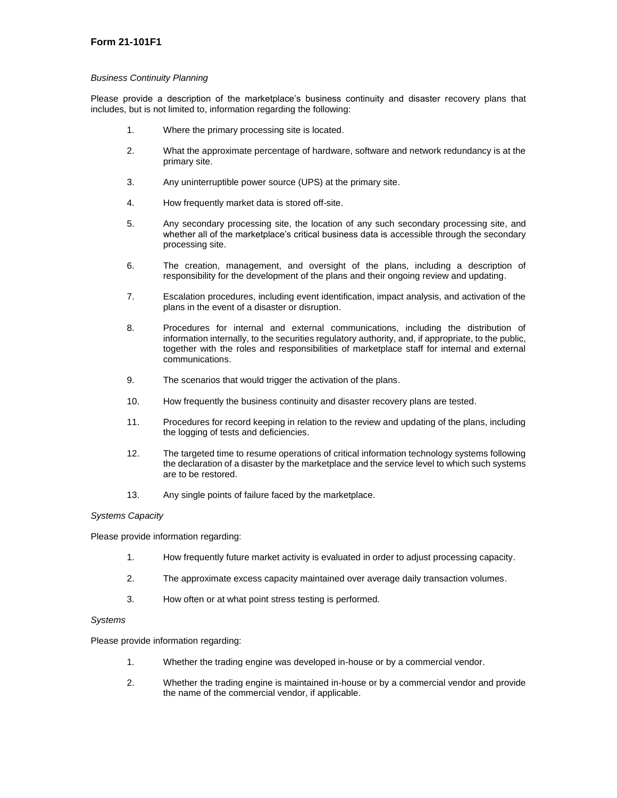# **Form 21-101F1**

#### *Business Continuity Planning*

Please provide a description of the marketplace's business continuity and disaster recovery plans that includes, but is not limited to, information regarding the following:

- 1. Where the primary processing site is located.
- 2. What the approximate percentage of hardware, software and network redundancy is at the primary site.
- 3. Any uninterruptible power source (UPS) at the primary site.
- 4. How frequently market data is stored off-site.
- 5. Any secondary processing site, the location of any such secondary processing site, and whether all of the marketplace's critical business data is accessible through the secondary processing site.
- 6. The creation, management, and oversight of the plans, including a description of responsibility for the development of the plans and their ongoing review and updating.
- 7. Escalation procedures, including event identification, impact analysis, and activation of the plans in the event of a disaster or disruption.
- 8. Procedures for internal and external communications, including the distribution of information internally, to the securities regulatory authority, and, if appropriate, to the public, together with the roles and responsibilities of marketplace staff for internal and external communications.
- 9. The scenarios that would trigger the activation of the plans.
- 10. How frequently the business continuity and disaster recovery plans are tested.
- 11. Procedures for record keeping in relation to the review and updating of the plans, including the logging of tests and deficiencies.
- 12. The targeted time to resume operations of critical information technology systems following the declaration of a disaster by the marketplace and the service level to which such systems are to be restored.
- 13. Any single points of failure faced by the marketplace.

# *Systems Capacity*

Please provide information regarding:

- 1. How frequently future market activity is evaluated in order to adjust processing capacity.
- 2. The approximate excess capacity maintained over average daily transaction volumes.
- 3. How often or at what point stress testing is performed.

#### *Systems*

Please provide information regarding:

- 1. Whether the trading engine was developed in-house or by a commercial vendor.
- 2. Whether the trading engine is maintained in-house or by a commercial vendor and provide the name of the commercial vendor, if applicable.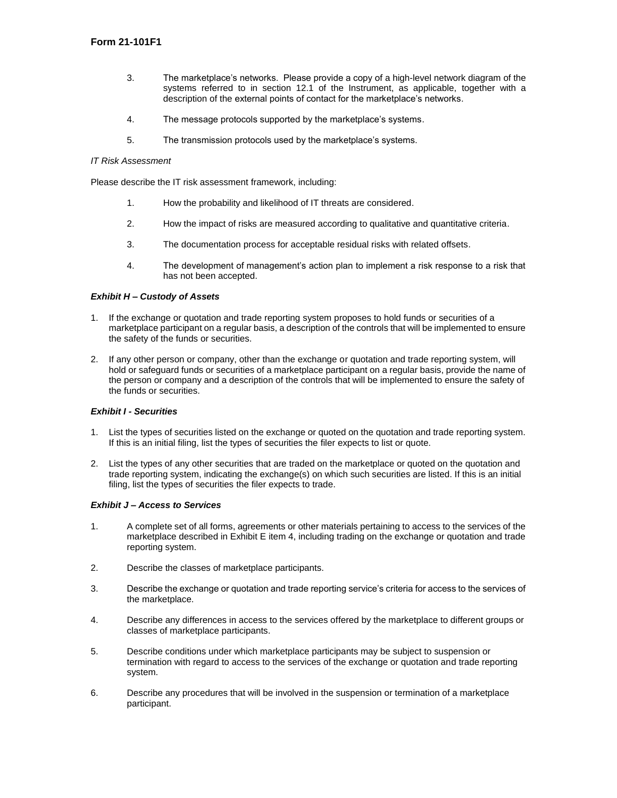- 3. The marketplace's networks. Please provide a copy of a high-level network diagram of the systems referred to in section 12.1 of the Instrument, as applicable, together with a description of the external points of contact for the marketplace's networks.
- 4. The message protocols supported by the marketplace's systems.
- 5. The transmission protocols used by the marketplace's systems.

# *IT Risk Assessment*

Please describe the IT risk assessment framework, including:

- 1. How the probability and likelihood of IT threats are considered.
- 2. How the impact of risks are measured according to qualitative and quantitative criteria.
- 3. The documentation process for acceptable residual risks with related offsets.
- 4. The development of management's action plan to implement a risk response to a risk that has not been accepted.

# *Exhibit H – Custody of Assets*

- 1. If the exchange or quotation and trade reporting system proposes to hold funds or securities of a marketplace participant on a regular basis, a description of the controls that will be implemented to ensure the safety of the funds or securities.
- 2. If any other person or company, other than the exchange or quotation and trade reporting system, will hold or safeguard funds or securities of a marketplace participant on a regular basis, provide the name of the person or company and a description of the controls that will be implemented to ensure the safety of the funds or securities.

# *Exhibit I - Securities*

- 1. List the types of securities listed on the exchange or quoted on the quotation and trade reporting system. If this is an initial filing, list the types of securities the filer expects to list or quote.
- 2. List the types of any other securities that are traded on the marketplace or quoted on the quotation and trade reporting system, indicating the exchange(s) on which such securities are listed. If this is an initial filing, list the types of securities the filer expects to trade.

# *Exhibit J – Access to Services*

- 1. A complete set of all forms, agreements or other materials pertaining to access to the services of the marketplace described in Exhibit E item 4, including trading on the exchange or quotation and trade reporting system.
- 2. Describe the classes of marketplace participants.
- 3. Describe the exchange or quotation and trade reporting service's criteria for access to the services of the marketplace.
- 4. Describe any differences in access to the services offered by the marketplace to different groups or classes of marketplace participants.
- 5. Describe conditions under which marketplace participants may be subject to suspension or termination with regard to access to the services of the exchange or quotation and trade reporting system.
- 6. Describe any procedures that will be involved in the suspension or termination of a marketplace participant.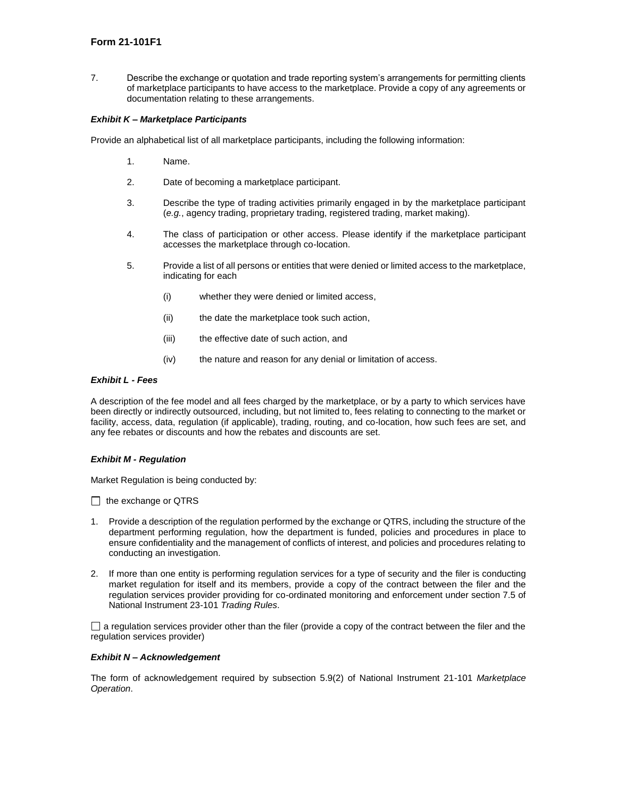# **Form 21-101F1**

7. Describe the exchange or quotation and trade reporting system's arrangements for permitting clients of marketplace participants to have access to the marketplace. Provide a copy of any agreements or documentation relating to these arrangements.

# *Exhibit K – Marketplace Participants*

Provide an alphabetical list of all marketplace participants, including the following information:

- 1. Name.
- 2. Date of becoming a marketplace participant.
- 3. Describe the type of trading activities primarily engaged in by the marketplace participant (*e.g.*, agency trading, proprietary trading, registered trading, market making).
- 4. The class of participation or other access. Please identify if the marketplace participant accesses the marketplace through co-location.
- 5. Provide a list of all persons or entities that were denied or limited access to the marketplace, indicating for each
	- (i) whether they were denied or limited access,
	- (ii) the date the marketplace took such action,
	- (iii) the effective date of such action, and
	- (iv) the nature and reason for any denial or limitation of access.

# *Exhibit L - Fees*

A description of the fee model and all fees charged by the marketplace, or by a party to which services have been directly or indirectly outsourced, including, but not limited to, fees relating to connecting to the market or facility, access, data, regulation (if applicable), trading, routing, and co-location, how such fees are set, and any fee rebates or discounts and how the rebates and discounts are set.

# *Exhibit M - Regulation*

Market Regulation is being conducted by:

 $\Box$  the exchange or QTRS

- 1. Provide a description of the regulation performed by the exchange or QTRS, including the structure of the department performing regulation, how the department is funded, policies and procedures in place to ensure confidentiality and the management of conflicts of interest, and policies and procedures relating to conducting an investigation.
- 2. If more than one entity is performing regulation services for a type of security and the filer is conducting market regulation for itself and its members, provide a copy of the contract between the filer and the regulation services provider providing for co-ordinated monitoring and enforcement under section 7.5 of National Instrument 23-101 *Trading Rules*.

 $\Box$  a regulation services provider other than the filer (provide a copy of the contract between the filer and the regulation services provider)

# *Exhibit N – Acknowledgement*

The form of acknowledgement required by subsection 5.9(2) of National Instrument 21-101 *Marketplace Operation*.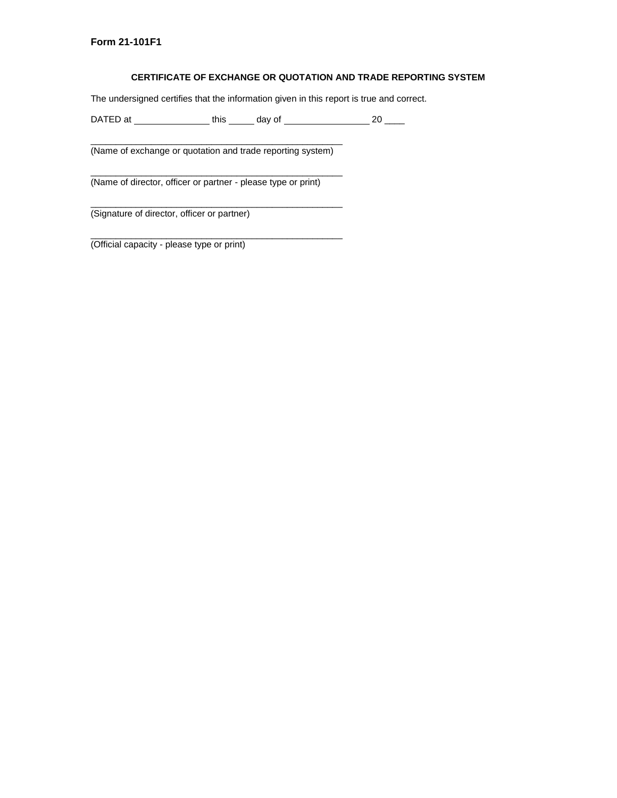# **CERTIFICATE OF EXCHANGE OR QUOTATION AND TRADE REPORTING SYSTEM**

The undersigned certifies that the information given in this report is true and correct.

DATED at \_\_\_\_\_\_\_\_\_\_\_\_\_\_\_\_ this \_\_\_\_\_ day of \_\_\_\_\_\_\_\_\_\_\_\_\_\_\_\_\_\_\_\_\_ 20 \_\_\_\_\_

\_\_\_\_\_\_\_\_\_\_\_\_\_\_\_\_\_\_\_\_\_\_\_\_\_\_\_\_\_\_\_\_\_\_\_\_\_\_\_\_\_\_\_\_\_\_\_\_\_\_ (Name of exchange or quotation and trade reporting system)

\_\_\_\_\_\_\_\_\_\_\_\_\_\_\_\_\_\_\_\_\_\_\_\_\_\_\_\_\_\_\_\_\_\_\_\_\_\_\_\_\_\_\_\_\_\_\_\_\_\_

\_\_\_\_\_\_\_\_\_\_\_\_\_\_\_\_\_\_\_\_\_\_\_\_\_\_\_\_\_\_\_\_\_\_\_\_\_\_\_\_\_\_\_\_\_\_\_\_\_\_

\_\_\_\_\_\_\_\_\_\_\_\_\_\_\_\_\_\_\_\_\_\_\_\_\_\_\_\_\_\_\_\_\_\_\_\_\_\_\_\_\_\_\_\_\_\_\_\_\_\_

(Name of director, officer or partner - please type or print)

(Signature of director, officer or partner)

(Official capacity - please type or print)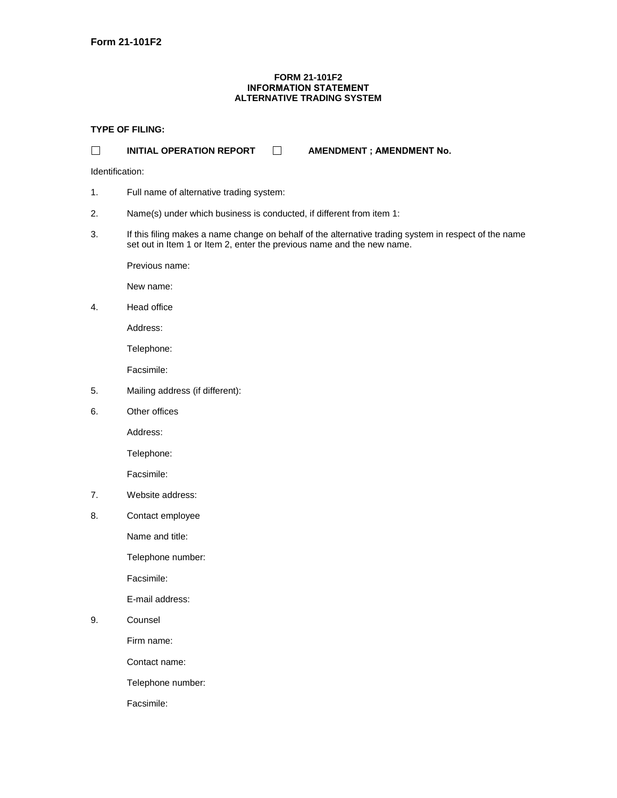Facsimile:

#### **FORM 21-101F2 INFORMATION STATEMENT ALTERNATIVE TRADING SYSTEM**

| <b>TYPE OF FILING:</b> |                                                                                                                                                                                 |  |  |  |  |
|------------------------|---------------------------------------------------------------------------------------------------------------------------------------------------------------------------------|--|--|--|--|
| $\perp$                | <b>INITIAL OPERATION REPORT</b><br>AMENDMENT ; AMENDMENT No.<br>$\perp$                                                                                                         |  |  |  |  |
| Identification:        |                                                                                                                                                                                 |  |  |  |  |
| 1.                     | Full name of alternative trading system:                                                                                                                                        |  |  |  |  |
| 2.                     | Name(s) under which business is conducted, if different from item 1:                                                                                                            |  |  |  |  |
| 3.                     | If this filing makes a name change on behalf of the alternative trading system in respect of the name<br>set out in Item 1 or Item 2, enter the previous name and the new name. |  |  |  |  |
|                        | Previous name:                                                                                                                                                                  |  |  |  |  |
|                        | New name:                                                                                                                                                                       |  |  |  |  |
| 4.                     | Head office                                                                                                                                                                     |  |  |  |  |
|                        | Address:                                                                                                                                                                        |  |  |  |  |
|                        | Telephone:                                                                                                                                                                      |  |  |  |  |
|                        | Facsimile:                                                                                                                                                                      |  |  |  |  |
| 5.                     | Mailing address (if different):                                                                                                                                                 |  |  |  |  |
| 6.                     | Other offices                                                                                                                                                                   |  |  |  |  |
|                        | Address:                                                                                                                                                                        |  |  |  |  |
|                        | Telephone:                                                                                                                                                                      |  |  |  |  |
|                        | Facsimile:                                                                                                                                                                      |  |  |  |  |
| 7.                     | Website address:                                                                                                                                                                |  |  |  |  |
| 8.                     | Contact employee                                                                                                                                                                |  |  |  |  |
|                        | Name and title:                                                                                                                                                                 |  |  |  |  |
|                        | Telephone number:                                                                                                                                                               |  |  |  |  |
|                        | Facsimile:                                                                                                                                                                      |  |  |  |  |
|                        | E-mail address:                                                                                                                                                                 |  |  |  |  |
| 9.                     | Counsel                                                                                                                                                                         |  |  |  |  |
|                        | Firm name:                                                                                                                                                                      |  |  |  |  |
|                        | Contact name:                                                                                                                                                                   |  |  |  |  |
|                        | Telephone number:                                                                                                                                                               |  |  |  |  |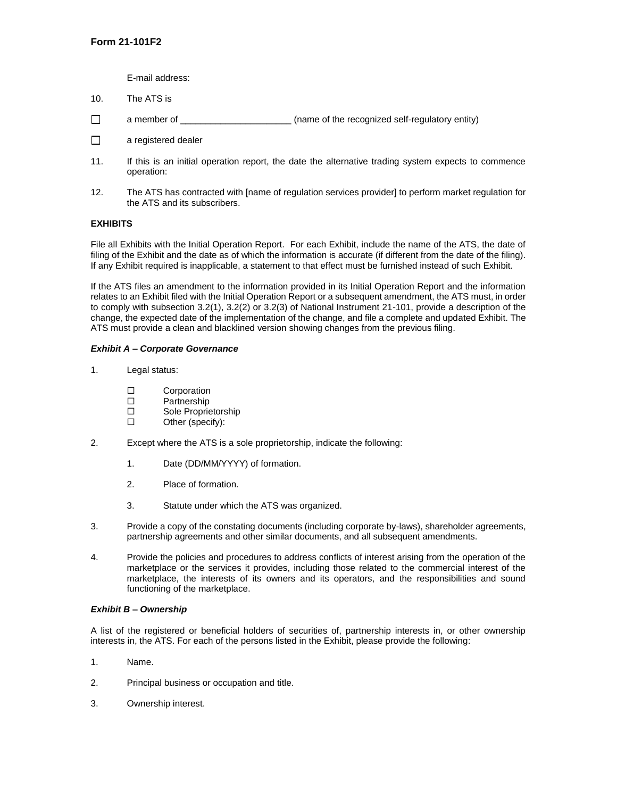E-mail address:

- 10. The ATS is
- $\Box$ a member of  $\blacksquare$  (name of the recognized self-regulatory entity)
- $\Box$ a registered dealer
- 11. If this is an initial operation report, the date the alternative trading system expects to commence operation:
- 12. The ATS has contracted with [name of regulation services provider] to perform market regulation for the ATS and its subscribers.

# **EXHIBITS**

File all Exhibits with the Initial Operation Report. For each Exhibit, include the name of the ATS, the date of filing of the Exhibit and the date as of which the information is accurate (if different from the date of the filing). If any Exhibit required is inapplicable, a statement to that effect must be furnished instead of such Exhibit.

If the ATS files an amendment to the information provided in its Initial Operation Report and the information relates to an Exhibit filed with the Initial Operation Report or a subsequent amendment, the ATS must, in order to comply with subsection 3.2(1), 3.2(2) or 3.2(3) of National Instrument 21-101, provide a description of the change, the expected date of the implementation of the change, and file a complete and updated Exhibit. The ATS must provide a clean and blacklined version showing changes from the previous filing.

# *Exhibit A – Corporate Governance*

- 1. Legal status:
	- □ Corporation<br>□ Partnership
	- □ Partnership<br>□ Sole Proprie
	- $\square$  Sole Proprietorship<br> $\square$  Other (specify):
	- Other (specify):
- 2. Except where the ATS is a sole proprietorship, indicate the following:
	- 1. Date (DD/MM/YYYY) of formation.
	- 2. Place of formation.
	- 3. Statute under which the ATS was organized.
- 3. Provide a copy of the constating documents (including corporate by-laws), shareholder agreements, partnership agreements and other similar documents, and all subsequent amendments.
- 4. Provide the policies and procedures to address conflicts of interest arising from the operation of the marketplace or the services it provides, including those related to the commercial interest of the marketplace, the interests of its owners and its operators, and the responsibilities and sound functioning of the marketplace.

# *Exhibit B – Ownership*

A list of the registered or beneficial holders of securities of, partnership interests in, or other ownership interests in, the ATS. For each of the persons listed in the Exhibit, please provide the following:

- 1. Name.
- 2. Principal business or occupation and title.
- 3. Ownership interest.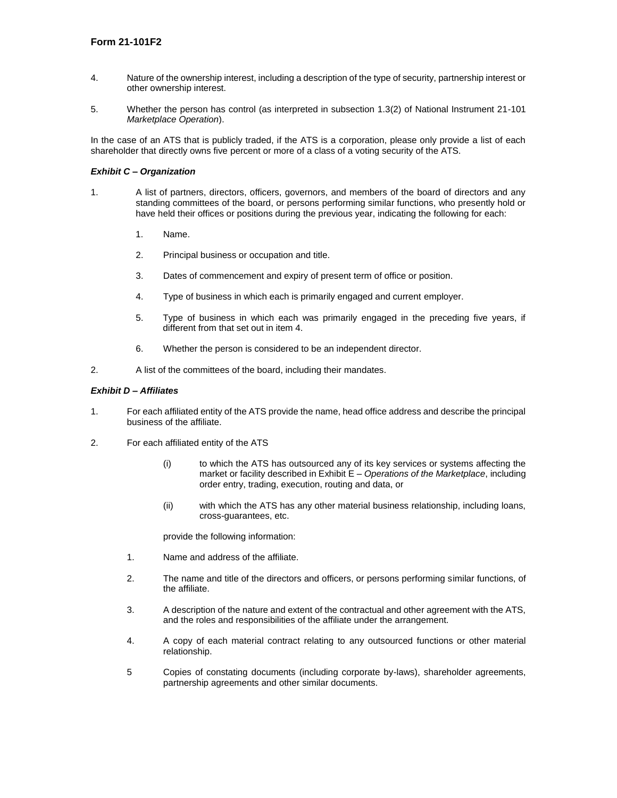# **Form 21-101F2**

- 4. Nature of the ownership interest, including a description of the type of security, partnership interest or other ownership interest.
- 5. Whether the person has control (as interpreted in subsection 1.3(2) of National Instrument 21-101 *Marketplace Operation*).

In the case of an ATS that is publicly traded, if the ATS is a corporation, please only provide a list of each shareholder that directly owns five percent or more of a class of a voting security of the ATS.

# *Exhibit C – Organization*

- 1. A list of partners, directors, officers, governors, and members of the board of directors and any standing committees of the board, or persons performing similar functions, who presently hold or have held their offices or positions during the previous year, indicating the following for each:
	- 1. Name.
	- 2. Principal business or occupation and title.
	- 3. Dates of commencement and expiry of present term of office or position.
	- 4. Type of business in which each is primarily engaged and current employer.
	- 5. Type of business in which each was primarily engaged in the preceding five years, if different from that set out in item 4.
	- 6. Whether the person is considered to be an independent director.
- 2. A list of the committees of the board, including their mandates.

#### *Exhibit D – Affiliates*

- 1. For each affiliated entity of the ATS provide the name, head office address and describe the principal business of the affiliate.
- 2. For each affiliated entity of the ATS
	- (i) to which the ATS has outsourced any of its key services or systems affecting the market or facility described in Exhibit E – *Operations of the Marketplace*, including order entry, trading, execution, routing and data, or
	- (ii) with which the ATS has any other material business relationship, including loans, cross-guarantees, etc.

provide the following information:

- 1. Name and address of the affiliate.
- 2. The name and title of the directors and officers, or persons performing similar functions, of the affiliate.
- 3. A description of the nature and extent of the contractual and other agreement with the ATS, and the roles and responsibilities of the affiliate under the arrangement.
- 4. A copy of each material contract relating to any outsourced functions or other material relationship.
- 5 Copies of constating documents (including corporate by-laws), shareholder agreements, partnership agreements and other similar documents.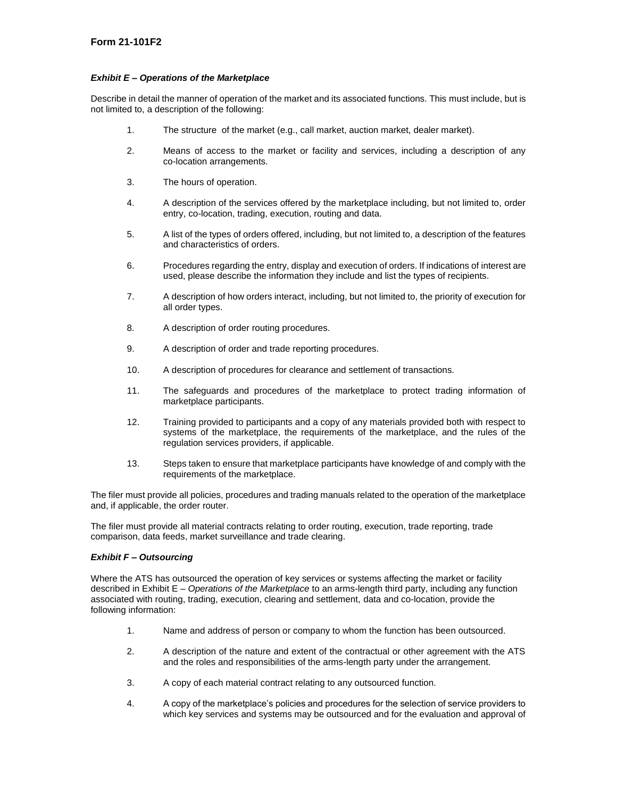# *Exhibit E – Operations of the Marketplace*

Describe in detail the manner of operation of the market and its associated functions. This must include, but is not limited to, a description of the following:

- 1. The structure of the market (e.g., call market, auction market, dealer market).
- 2. Means of access to the market or facility and services, including a description of any co-location arrangements.
- 3. The hours of operation.
- 4. A description of the services offered by the marketplace including, but not limited to, order entry, co-location, trading, execution, routing and data.
- 5. A list of the types of orders offered, including, but not limited to, a description of the features and characteristics of orders.
- 6. Procedures regarding the entry, display and execution of orders. If indications of interest are used, please describe the information they include and list the types of recipients.
- 7. A description of how orders interact, including, but not limited to, the priority of execution for all order types.
- 8. A description of order routing procedures.
- 9. A description of order and trade reporting procedures.
- 10. A description of procedures for clearance and settlement of transactions.
- 11. The safeguards and procedures of the marketplace to protect trading information of marketplace participants.
- 12. Training provided to participants and a copy of any materials provided both with respect to systems of the marketplace, the requirements of the marketplace, and the rules of the regulation services providers, if applicable.
- 13. Steps taken to ensure that marketplace participants have knowledge of and comply with the requirements of the marketplace.

The filer must provide all policies, procedures and trading manuals related to the operation of the marketplace and, if applicable, the order router.

The filer must provide all material contracts relating to order routing, execution, trade reporting, trade comparison, data feeds, market surveillance and trade clearing.

# *Exhibit F – Outsourcing*

Where the ATS has outsourced the operation of key services or systems affecting the market or facility described in Exhibit E – *Operations of the Marketplace* to an arms-length third party, including any function associated with routing, trading, execution, clearing and settlement, data and co-location, provide the following information:

- 1. Name and address of person or company to whom the function has been outsourced.
- 2. A description of the nature and extent of the contractual or other agreement with the ATS and the roles and responsibilities of the arms-length party under the arrangement.
- 3. A copy of each material contract relating to any outsourced function.
- 4. A copy of the marketplace's policies and procedures for the selection of service providers to which key services and systems may be outsourced and for the evaluation and approval of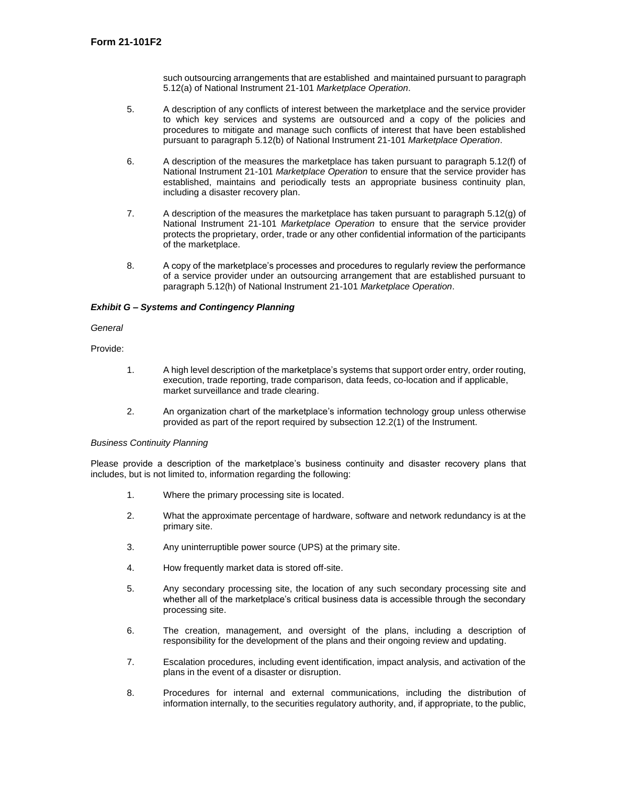such outsourcing arrangements that are established and maintained pursuant to paragraph 5.12(a) of National Instrument 21-101 *Marketplace Operation*.

- 5. A description of any conflicts of interest between the marketplace and the service provider to which key services and systems are outsourced and a copy of the policies and procedures to mitigate and manage such conflicts of interest that have been established pursuant to paragraph 5.12(b) of National Instrument 21-101 *Marketplace Operation*.
- 6. A description of the measures the marketplace has taken pursuant to paragraph 5.12(f) of National Instrument 21-101 *Marketplace Operation* to ensure that the service provider has established, maintains and periodically tests an appropriate business continuity plan, including a disaster recovery plan.
- 7. A description of the measures the marketplace has taken pursuant to paragraph 5.12(g) of National Instrument 21-101 *Marketplace Operation* to ensure that the service provider protects the proprietary, order, trade or any other confidential information of the participants of the marketplace.
- 8. A copy of the marketplace's processes and procedures to regularly review the performance of a service provider under an outsourcing arrangement that are established pursuant to paragraph 5.12(h) of National Instrument 21-101 *Marketplace Operation*.

### *Exhibit G – Systems and Contingency Planning*

### *General*

### Provide:

- 1. A high level description of the marketplace's systems that support order entry, order routing, execution, trade reporting, trade comparison, data feeds, co-location and if applicable, market surveillance and trade clearing.
- 2. An organization chart of the marketplace's information technology group unless otherwise provided as part of the report required by subsection 12.2(1) of the Instrument.

### *Business Continuity Planning*

Please provide a description of the marketplace's business continuity and disaster recovery plans that includes, but is not limited to, information regarding the following:

- 1. Where the primary processing site is located.
- 2. What the approximate percentage of hardware, software and network redundancy is at the primary site.
- 3. Any uninterruptible power source (UPS) at the primary site.
- 4. How frequently market data is stored off-site.
- 5. Any secondary processing site, the location of any such secondary processing site and whether all of the marketplace's critical business data is accessible through the secondary processing site.
- 6. The creation, management, and oversight of the plans, including a description of responsibility for the development of the plans and their ongoing review and updating.
- 7. Escalation procedures, including event identification, impact analysis, and activation of the plans in the event of a disaster or disruption.
- 8. Procedures for internal and external communications, including the distribution of information internally, to the securities regulatory authority, and, if appropriate, to the public,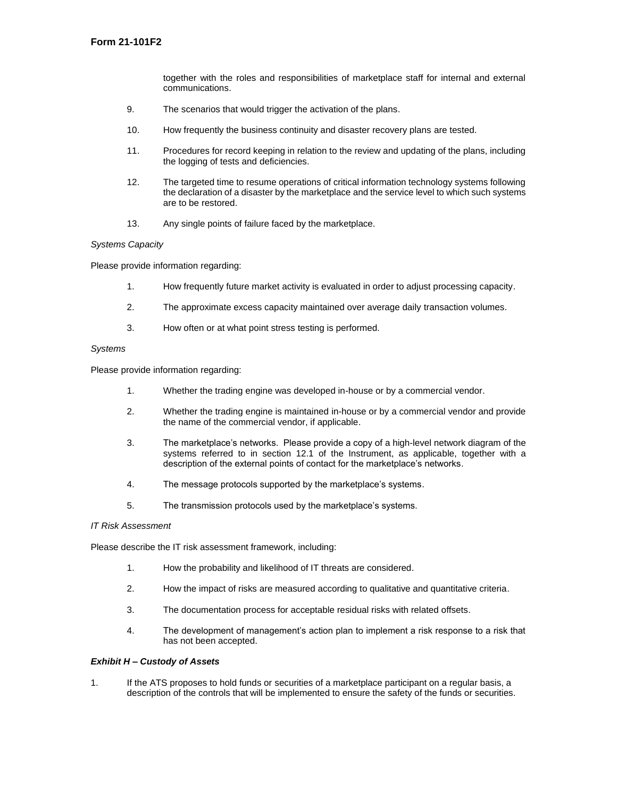together with the roles and responsibilities of marketplace staff for internal and external communications.

- 9. The scenarios that would trigger the activation of the plans.
- 10. How frequently the business continuity and disaster recovery plans are tested.
- 11. Procedures for record keeping in relation to the review and updating of the plans, including the logging of tests and deficiencies.
- 12. The targeted time to resume operations of critical information technology systems following the declaration of a disaster by the marketplace and the service level to which such systems are to be restored.
- 13. Any single points of failure faced by the marketplace.

#### *Systems Capacity*

Please provide information regarding:

- 1. How frequently future market activity is evaluated in order to adjust processing capacity.
- 2. The approximate excess capacity maintained over average daily transaction volumes.
- 3. How often or at what point stress testing is performed.

#### *Systems*

Please provide information regarding:

- 1. Whether the trading engine was developed in-house or by a commercial vendor.
- 2. Whether the trading engine is maintained in-house or by a commercial vendor and provide the name of the commercial vendor, if applicable.
- 3. The marketplace's networks. Please provide a copy of a high-level network diagram of the systems referred to in section 12.1 of the Instrument, as applicable, together with a description of the external points of contact for the marketplace's networks.
- 4. The message protocols supported by the marketplace's systems.
- 5. The transmission protocols used by the marketplace's systems.

#### *IT Risk Assessment*

Please describe the IT risk assessment framework, including:

- 1. How the probability and likelihood of IT threats are considered.
- 2. How the impact of risks are measured according to qualitative and quantitative criteria.
- 3. The documentation process for acceptable residual risks with related offsets.
- 4. The development of management's action plan to implement a risk response to a risk that has not been accepted.

### *Exhibit H – Custody of Assets*

1. If the ATS proposes to hold funds or securities of a marketplace participant on a regular basis, a description of the controls that will be implemented to ensure the safety of the funds or securities.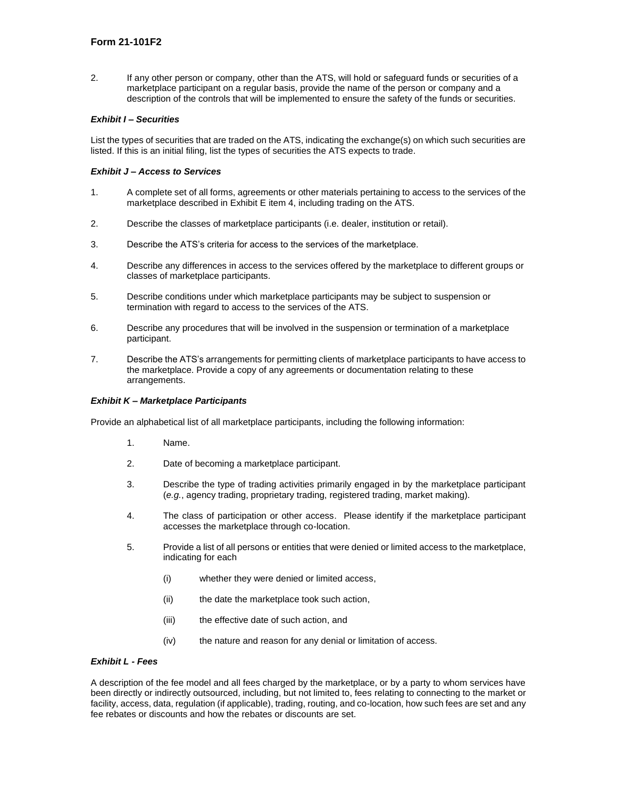# **Form 21-101F2**

2. If any other person or company, other than the ATS, will hold or safeguard funds or securities of a marketplace participant on a regular basis, provide the name of the person or company and a description of the controls that will be implemented to ensure the safety of the funds or securities.

### *Exhibit I – Securities*

List the types of securities that are traded on the ATS, indicating the exchange(s) on which such securities are listed. If this is an initial filing, list the types of securities the ATS expects to trade.

### *Exhibit J – Access to Services*

- 1. A complete set of all forms, agreements or other materials pertaining to access to the services of the marketplace described in Exhibit E item 4, including trading on the ATS.
- 2. Describe the classes of marketplace participants (i.e. dealer, institution or retail).
- 3. Describe the ATS's criteria for access to the services of the marketplace.
- 4. Describe any differences in access to the services offered by the marketplace to different groups or classes of marketplace participants.
- 5. Describe conditions under which marketplace participants may be subject to suspension or termination with regard to access to the services of the ATS.
- 6. Describe any procedures that will be involved in the suspension or termination of a marketplace participant.
- 7. Describe the ATS's arrangements for permitting clients of marketplace participants to have access to the marketplace. Provide a copy of any agreements or documentation relating to these arrangements.

### *Exhibit K – Marketplace Participants*

Provide an alphabetical list of all marketplace participants, including the following information:

- 1. Name.
- 2. Date of becoming a marketplace participant.
- 3. Describe the type of trading activities primarily engaged in by the marketplace participant (*e.g.*, agency trading, proprietary trading, registered trading, market making).
- 4. The class of participation or other access. Please identify if the marketplace participant accesses the marketplace through co-location.
- 5. Provide a list of all persons or entities that were denied or limited access to the marketplace, indicating for each
	- (i) whether they were denied or limited access,
	- (ii) the date the marketplace took such action,
	- (iii) the effective date of such action, and
	- (iv) the nature and reason for any denial or limitation of access.

### *Exhibit L - Fees*

A description of the fee model and all fees charged by the marketplace, or by a party to whom services have been directly or indirectly outsourced, including, but not limited to, fees relating to connecting to the market or facility, access, data, regulation (if applicable), trading, routing, and co-location, how such fees are set and any fee rebates or discounts and how the rebates or discounts are set.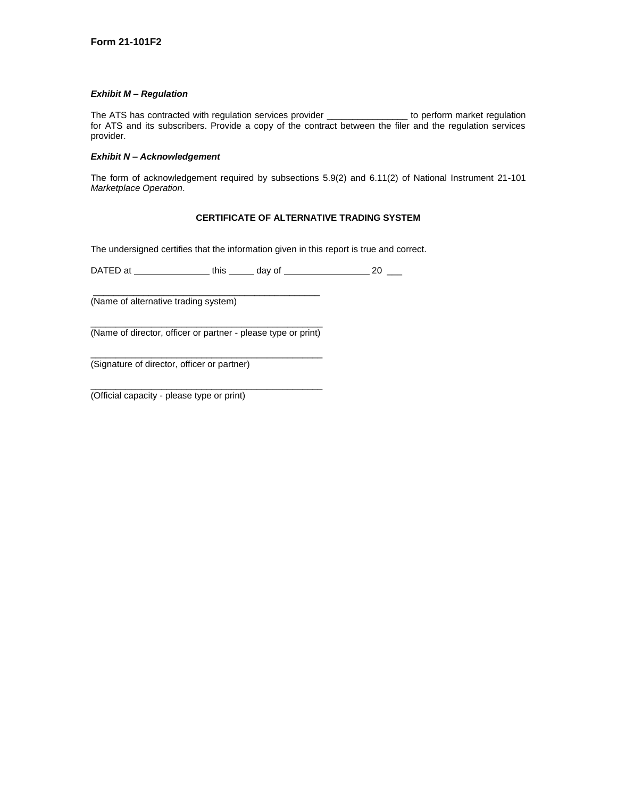### *Exhibit M – Regulation*

The ATS has contracted with regulation services provider \_\_\_\_\_\_\_\_\_\_\_\_\_\_\_\_\_\_ to perform market regulation for ATS and its subscribers. Provide a copy of the contract between the filer and the regulation services provider.

# *Exhibit N – Acknowledgement*

The form of acknowledgement required by subsections 5.9(2) and 6.11(2) of National Instrument 21-101 *Marketplace Operation*.

# **CERTIFICATE OF ALTERNATIVE TRADING SYSTEM**

The undersigned certifies that the information given in this report is true and correct.

DATED at \_\_\_\_\_\_\_\_\_\_\_\_\_\_\_\_\_ this \_\_\_\_\_\_ day of \_\_\_\_\_\_\_\_\_\_\_\_\_\_\_\_\_\_\_\_\_\_\_ 20 \_\_\_\_

\_\_\_\_\_\_\_\_\_\_\_\_\_\_\_\_\_\_\_\_\_\_\_\_\_\_\_\_\_\_\_\_\_\_\_\_\_\_\_\_\_\_\_\_\_ (Name of alternative trading system)

\_\_\_\_\_\_\_\_\_\_\_\_\_\_\_\_\_\_\_\_\_\_\_\_\_\_\_\_\_\_\_\_\_\_\_\_\_\_\_\_\_\_\_\_\_\_ (Name of director, officer or partner - please type or print)

\_\_\_\_\_\_\_\_\_\_\_\_\_\_\_\_\_\_\_\_\_\_\_\_\_\_\_\_\_\_\_\_\_\_\_\_\_\_\_\_\_\_\_\_\_\_

(Signature of director, officer or partner)

\_\_\_\_\_\_\_\_\_\_\_\_\_\_\_\_\_\_\_\_\_\_\_\_\_\_\_\_\_\_\_\_\_\_\_\_\_\_\_\_\_\_\_\_\_\_ (Official capacity - please type or print)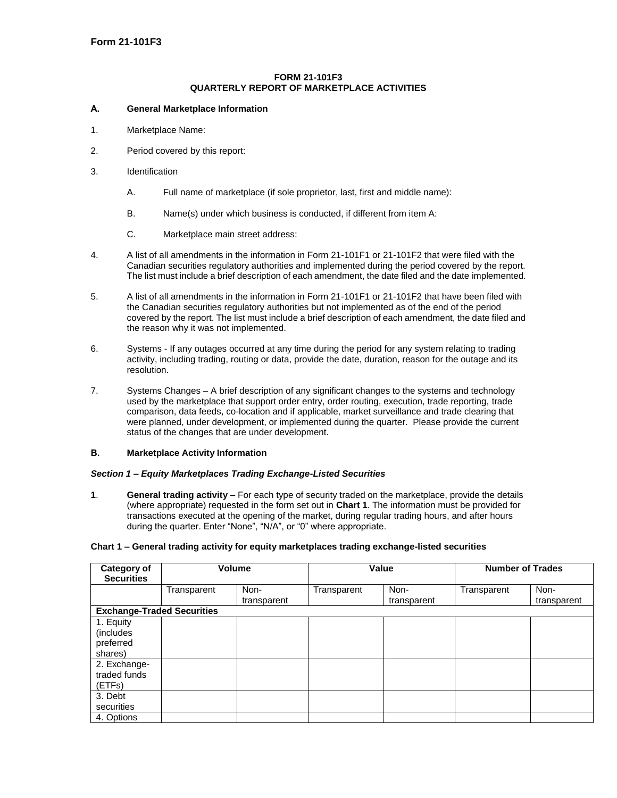### **FORM 21-101F3 QUARTERLY REPORT OF MARKETPLACE ACTIVITIES**

### **A. General Marketplace Information**

- 1. Marketplace Name:
- 2. Period covered by this report:
- 3. Identification
	- A. Full name of marketplace (if sole proprietor, last, first and middle name):
	- B. Name(s) under which business is conducted, if different from item A:
	- C. Marketplace main street address:
- 4. A list of all amendments in the information in Form 21-101F1 or 21-101F2 that were filed with the Canadian securities regulatory authorities and implemented during the period covered by the report. The list must include a brief description of each amendment, the date filed and the date implemented.
- 5. A list of all amendments in the information in Form 21-101F1 or 21-101F2 that have been filed with the Canadian securities regulatory authorities but not implemented as of the end of the period covered by the report. The list must include a brief description of each amendment, the date filed and the reason why it was not implemented.
- 6. Systems If any outages occurred at any time during the period for any system relating to trading activity, including trading, routing or data, provide the date, duration, reason for the outage and its resolution.
- 7. Systems Changes A brief description of any significant changes to the systems and technology used by the marketplace that support order entry, order routing, execution, trade reporting, trade comparison, data feeds, co-location and if applicable, market surveillance and trade clearing that were planned, under development, or implemented during the quarter. Please provide the current status of the changes that are under development.

### **B. Marketplace Activity Information**

### *Section 1 – Equity Marketplaces Trading Exchange-Listed Securities*

**1**. **General trading activity** – For each type of security traded on the marketplace, provide the details (where appropriate) requested in the form set out in **Chart 1**. The information must be provided for transactions executed at the opening of the market, during regular trading hours, and after hours during the quarter. Enter "None", "N/A", or "0" where appropriate.

### **Chart 1 – General trading activity for equity marketplaces trading exchange-listed securities**

| <b>Category of</b><br><b>Securities</b> |             | Volume      |             | <b>Value</b> | <b>Number of Trades</b> |             |
|-----------------------------------------|-------------|-------------|-------------|--------------|-------------------------|-------------|
|                                         | Transparent | Non-        | Transparent | Non-         | Transparent             | Non-        |
|                                         |             | transparent |             | transparent  |                         | transparent |
| <b>Exchange-Traded Securities</b>       |             |             |             |              |                         |             |
| 1. Equity                               |             |             |             |              |                         |             |
| (includes                               |             |             |             |              |                         |             |
| preferred                               |             |             |             |              |                         |             |
| shares)                                 |             |             |             |              |                         |             |
| 2. Exchange-                            |             |             |             |              |                         |             |
| traded funds                            |             |             |             |              |                         |             |
| (ETFs)                                  |             |             |             |              |                         |             |
| 3. Debt                                 |             |             |             |              |                         |             |
| securities                              |             |             |             |              |                         |             |
| 4. Options                              |             |             |             |              |                         |             |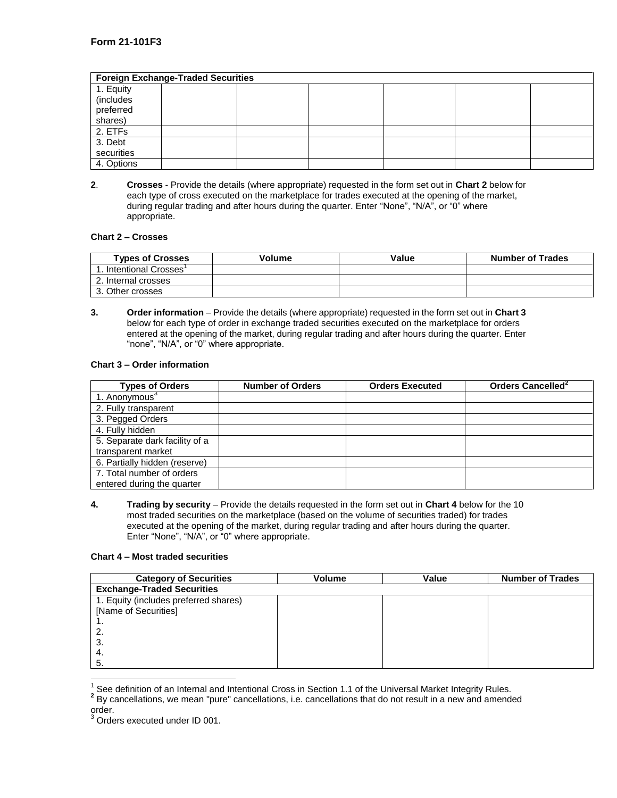| <b>Foreign Exchange-Traded Securities</b> |  |  |  |  |  |
|-------------------------------------------|--|--|--|--|--|
| 1. Equity                                 |  |  |  |  |  |
| (includes                                 |  |  |  |  |  |
| preferred                                 |  |  |  |  |  |
| shares)                                   |  |  |  |  |  |
| 2. ETFs                                   |  |  |  |  |  |
| 3. Debt                                   |  |  |  |  |  |
| securities                                |  |  |  |  |  |
| 4. Options                                |  |  |  |  |  |

**2**. **Crosses** - Provide the details (where appropriate) requested in the form set out in **Chart 2** below for each type of cross executed on the marketplace for trades executed at the opening of the market, during regular trading and after hours during the quarter. Enter "None", "N/A", or "0" where appropriate.

### **Chart 2 – Crosses**

| <b>Types of Crosses</b> | Volume | Value | <b>Number of Trades</b> |
|-------------------------|--------|-------|-------------------------|
| . Intentional Crosses   |        |       |                         |
| 2. Internal crosses     |        |       |                         |
| 3. Other crosses        |        |       |                         |

**3. Order information** – Provide the details (where appropriate) requested in the form set out in **Chart 3** below for each type of order in exchange traded securities executed on the marketplace for orders entered at the opening of the market, during regular trading and after hours during the quarter. Enter "none", "N/A", or "0" where appropriate.

# **Chart 3 – Order information**

| <b>Types of Orders</b>         | <b>Number of Orders</b> | <b>Orders Executed</b> | Orders Cancelled <sup>2</sup> |
|--------------------------------|-------------------------|------------------------|-------------------------------|
| 1. Anonymous <sup>3</sup>      |                         |                        |                               |
| 2. Fully transparent           |                         |                        |                               |
| 3. Pegged Orders               |                         |                        |                               |
| 4. Fully hidden                |                         |                        |                               |
| 5. Separate dark facility of a |                         |                        |                               |
| transparent market             |                         |                        |                               |
| 6. Partially hidden (reserve)  |                         |                        |                               |
| 7. Total number of orders      |                         |                        |                               |
| entered during the quarter     |                         |                        |                               |

**4. Trading by security** – Provide the details requested in the form set out in **Chart 4** below for the 10 most traded securities on the marketplace (based on the volume of securities traded) for trades executed at the opening of the market, during regular trading and after hours during the quarter. Enter "None", "N/A", or "0" where appropriate.

### **Chart 4 – Most traded securities**

<sup>1</sup> See definition of an Internal and Intentional Cross in Section 1.1 of the Universal Market Integrity Rules.

**<sup>2</sup>** By cancellations, we mean "pure" cancellations, i.e. cancellations that do not result in a new and amended order.

Orders executed under ID 001.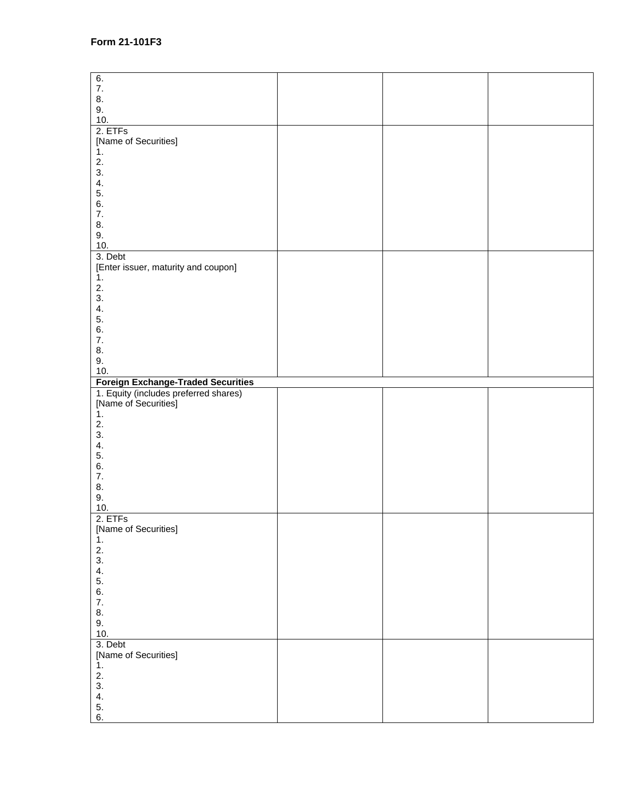# **Form 21-101F3**

| 6.                                                                          |  |  |
|-----------------------------------------------------------------------------|--|--|
| 7.                                                                          |  |  |
|                                                                             |  |  |
| 8.                                                                          |  |  |
| 9.                                                                          |  |  |
| 10.                                                                         |  |  |
|                                                                             |  |  |
| 2. ETFs                                                                     |  |  |
| [Name of Securities]                                                        |  |  |
|                                                                             |  |  |
| $\overline{1}$ .                                                            |  |  |
| 2.                                                                          |  |  |
| 3.                                                                          |  |  |
|                                                                             |  |  |
| 4.                                                                          |  |  |
| 5.                                                                          |  |  |
|                                                                             |  |  |
| 6.                                                                          |  |  |
| 7.                                                                          |  |  |
| 8.                                                                          |  |  |
|                                                                             |  |  |
| 9.                                                                          |  |  |
| 10.                                                                         |  |  |
|                                                                             |  |  |
| 3. Debt                                                                     |  |  |
| [Enter issuer, maturity and coupon]                                         |  |  |
| 1.                                                                          |  |  |
|                                                                             |  |  |
| 2.                                                                          |  |  |
| 3.                                                                          |  |  |
|                                                                             |  |  |
| 4.                                                                          |  |  |
| 5.                                                                          |  |  |
| 6.                                                                          |  |  |
|                                                                             |  |  |
| 7.                                                                          |  |  |
| 8.                                                                          |  |  |
| 9.                                                                          |  |  |
|                                                                             |  |  |
| 10.                                                                         |  |  |
| Foreign Exchange-Traded Securities<br>1. Equity (includes preferred shares) |  |  |
|                                                                             |  |  |
|                                                                             |  |  |
| [Name of Securities]                                                        |  |  |
|                                                                             |  |  |
| 1.                                                                          |  |  |
| 2.                                                                          |  |  |
| 3.                                                                          |  |  |
|                                                                             |  |  |
| 4.                                                                          |  |  |
| 5.                                                                          |  |  |
| 6.                                                                          |  |  |
|                                                                             |  |  |
| 7.                                                                          |  |  |
| 8.                                                                          |  |  |
|                                                                             |  |  |
| 9.                                                                          |  |  |
| 10.                                                                         |  |  |
| 2. ETFs                                                                     |  |  |
|                                                                             |  |  |
| [Name of Securities]                                                        |  |  |
| 1.                                                                          |  |  |
| 2.                                                                          |  |  |
|                                                                             |  |  |
| 3.                                                                          |  |  |
| 4.                                                                          |  |  |
|                                                                             |  |  |
| 5.                                                                          |  |  |
| 6.                                                                          |  |  |
|                                                                             |  |  |
|                                                                             |  |  |
| 7.                                                                          |  |  |
| 8.                                                                          |  |  |
|                                                                             |  |  |
| 9.                                                                          |  |  |
| 10.                                                                         |  |  |
| 3. Debt                                                                     |  |  |
|                                                                             |  |  |
| [Name of Securities]                                                        |  |  |
| 1.                                                                          |  |  |
|                                                                             |  |  |
| 2.                                                                          |  |  |
| 3.                                                                          |  |  |
| 4.                                                                          |  |  |
|                                                                             |  |  |
| 5.<br>6.                                                                    |  |  |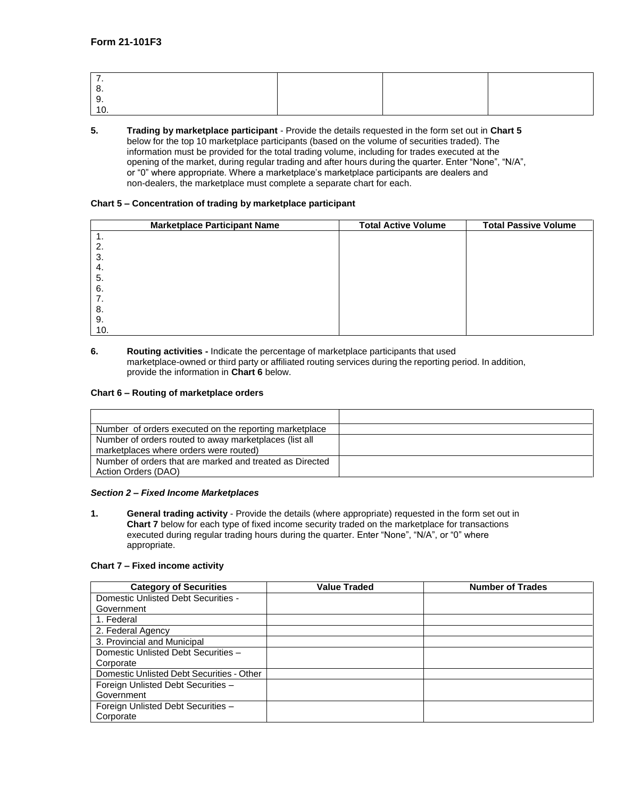**5. Trading by marketplace participant** - Provide the details requested in the form set out in **Chart 5** below for the top 10 marketplace participants (based on the volume of securities traded). The information must be provided for the total trading volume, including for trades executed at the opening of the market, during regular trading and after hours during the quarter. Enter "None", "N/A", or "0" where appropriate. Where a marketplace's marketplace participants are dealers and non-dealers, the marketplace must complete a separate chart for each.

### **Chart 5 – Concentration of trading by marketplace participant**

| <b>Marketplace Participant Name</b> | <b>Total Active Volume</b> | <b>Total Passive Volume</b> |
|-------------------------------------|----------------------------|-----------------------------|
|                                     |                            |                             |
| 2.                                  |                            |                             |
| 3.                                  |                            |                             |
| -4.                                 |                            |                             |
| 5.                                  |                            |                             |
| 6.                                  |                            |                             |
| 7.                                  |                            |                             |
| 8.                                  |                            |                             |
| 9.                                  |                            |                             |
| 10.                                 |                            |                             |

**6. Routing activities -** Indicate the percentage of marketplace participants that used marketplace-owned or third party or affiliated routing services during the reporting period. In addition, provide the information in **Chart 6** below.

#### **Chart 6 – Routing of marketplace orders**

| Number of orders executed on the reporting marketplace   |  |
|----------------------------------------------------------|--|
| Number of orders routed to away marketplaces (list all   |  |
| marketplaces where orders were routed)                   |  |
| Number of orders that are marked and treated as Directed |  |
| Action Orders (DAO)                                      |  |

### *Section 2 – Fixed Income Marketplaces*

**1. General trading activity** - Provide the details (where appropriate) requested in the form set out in **Chart 7** below for each type of fixed income security traded on the marketplace for transactions executed during regular trading hours during the quarter. Enter "None", "N/A", or "0" where appropriate.

### **Chart 7 – Fixed income activity**

| <b>Category of Securities</b>             | <b>Value Traded</b> | <b>Number of Trades</b> |
|-------------------------------------------|---------------------|-------------------------|
| Domestic Unlisted Debt Securities -       |                     |                         |
| Government                                |                     |                         |
| 1. Federal                                |                     |                         |
| 2. Federal Agency                         |                     |                         |
| 3. Provincial and Municipal               |                     |                         |
| Domestic Unlisted Debt Securities -       |                     |                         |
| Corporate                                 |                     |                         |
| Domestic Unlisted Debt Securities - Other |                     |                         |
| Foreign Unlisted Debt Securities -        |                     |                         |
| Government                                |                     |                         |
| Foreign Unlisted Debt Securities -        |                     |                         |
| Corporate                                 |                     |                         |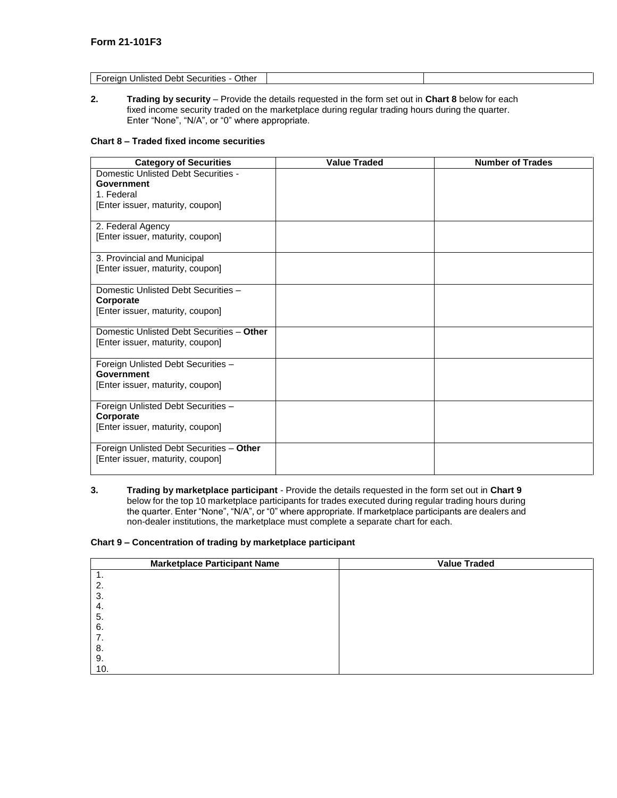| .<br>2ther<br>⊃nlisted '<br>Securities<br>elar.<br>JCHH |  |
|---------------------------------------------------------|--|

**2. Trading by security** – Provide the details requested in the form set out in **Chart 8** below for each fixed income security traded on the marketplace during regular trading hours during the quarter. Enter "None", "N/A", or "0" where appropriate.

# **Chart 8 – Traded fixed income securities**

| <b>Category of Securities</b>                    | <b>Value Traded</b> | <b>Number of Trades</b> |
|--------------------------------------------------|---------------------|-------------------------|
| Domestic Unlisted Debt Securities -              |                     |                         |
| Government                                       |                     |                         |
| 1. Federal                                       |                     |                         |
| [Enter issuer, maturity, coupon]                 |                     |                         |
| 2. Federal Agency                                |                     |                         |
| [Enter issuer, maturity, coupon]                 |                     |                         |
| 3. Provincial and Municipal                      |                     |                         |
| [Enter issuer, maturity, coupon]                 |                     |                         |
| Domestic Unlisted Debt Securities -<br>Corporate |                     |                         |
| [Enter issuer, maturity, coupon]                 |                     |                         |
|                                                  |                     |                         |
| Domestic Unlisted Debt Securities - Other        |                     |                         |
| [Enter issuer, maturity, coupon]                 |                     |                         |
| Foreign Unlisted Debt Securities -               |                     |                         |
| Government                                       |                     |                         |
| [Enter issuer, maturity, coupon]                 |                     |                         |
| Foreign Unlisted Debt Securities -               |                     |                         |
| Corporate                                        |                     |                         |
| [Enter issuer, maturity, coupon]                 |                     |                         |
| Foreign Unlisted Debt Securities - Other         |                     |                         |
| [Enter issuer, maturity, coupon]                 |                     |                         |
|                                                  |                     |                         |

**3. Trading by marketplace participant** - Provide the details requested in the form set out in **Chart 9** below for the top 10 marketplace participants for trades executed during regular trading hours during the quarter. Enter "None", "N/A", or "0" where appropriate. If marketplace participants are dealers and non-dealer institutions, the marketplace must complete a separate chart for each.

### **Chart 9 – Concentration of trading by marketplace participant**

| <b>Marketplace Participant Name</b> | <b>Value Traded</b> |
|-------------------------------------|---------------------|
| 1.                                  |                     |
| 2.                                  |                     |
| 3.                                  |                     |
| 4.                                  |                     |
| 5.                                  |                     |
| 6.                                  |                     |
| 7.                                  |                     |
| 8.                                  |                     |
| 9.                                  |                     |
| 10.                                 |                     |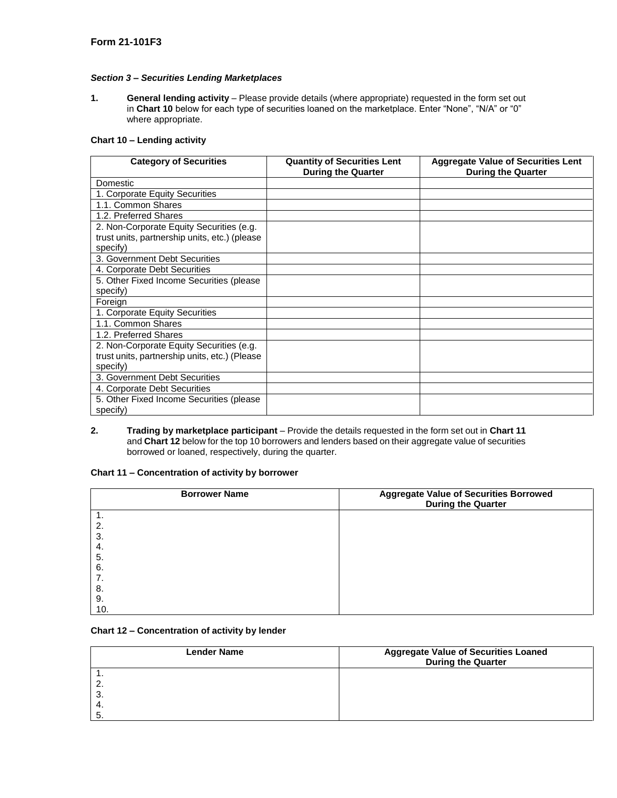## *Section 3 – Securities Lending Marketplaces*

**1. General lending activity** – Please provide details (where appropriate) requested in the form set out in **Chart 10** below for each type of securities loaned on the marketplace. Enter "None", "N/A" or "0" where appropriate.

### **Chart 10 – Lending activity**

| <b>Category of Securities</b>                 | <b>Quantity of Securities Lent</b><br><b>During the Quarter</b> | <b>Aggregate Value of Securities Lent</b><br><b>During the Quarter</b> |
|-----------------------------------------------|-----------------------------------------------------------------|------------------------------------------------------------------------|
| Domestic                                      |                                                                 |                                                                        |
| 1. Corporate Equity Securities                |                                                                 |                                                                        |
| 1.1. Common Shares                            |                                                                 |                                                                        |
| 1.2. Preferred Shares                         |                                                                 |                                                                        |
| 2. Non-Corporate Equity Securities (e.g.      |                                                                 |                                                                        |
| trust units, partnership units, etc.) (please |                                                                 |                                                                        |
| specify)                                      |                                                                 |                                                                        |
| 3. Government Debt Securities                 |                                                                 |                                                                        |
| 4. Corporate Debt Securities                  |                                                                 |                                                                        |
| 5. Other Fixed Income Securities (please      |                                                                 |                                                                        |
| specify)                                      |                                                                 |                                                                        |
| Foreign                                       |                                                                 |                                                                        |
| 1. Corporate Equity Securities                |                                                                 |                                                                        |
| 1.1. Common Shares                            |                                                                 |                                                                        |
| 1.2. Preferred Shares                         |                                                                 |                                                                        |
| 2. Non-Corporate Equity Securities (e.g.      |                                                                 |                                                                        |
| trust units, partnership units, etc.) (Please |                                                                 |                                                                        |
| specify)                                      |                                                                 |                                                                        |
| 3. Government Debt Securities                 |                                                                 |                                                                        |
| 4. Corporate Debt Securities                  |                                                                 |                                                                        |
| 5. Other Fixed Income Securities (please      |                                                                 |                                                                        |
| specify)                                      |                                                                 |                                                                        |

**2. Trading by marketplace participant** – Provide the details requested in the form set out in **Chart 11** and **Chart 12** below for the top 10 borrowers and lenders based on their aggregate value of securities borrowed or loaned, respectively, during the quarter.

### **Chart 11 – Concentration of activity by borrower**

| <b>Borrower Name</b> | Aggregate Value of Securities Borrowed<br>During the Quarter |
|----------------------|--------------------------------------------------------------|
|                      |                                                              |
| 2.                   |                                                              |
| 3.                   |                                                              |
| 4.                   |                                                              |
| 5.                   |                                                              |
| 6.                   |                                                              |
| 7.                   |                                                              |
| 8.                   |                                                              |
| 9.                   |                                                              |
| 10.                  |                                                              |

### **Chart 12 – Concentration of activity by lender**

| <b>Lender Name</b> | <b>Aggregate Value of Securities Loaned</b><br><b>During the Quarter</b> |
|--------------------|--------------------------------------------------------------------------|
| . .                |                                                                          |
| 2                  |                                                                          |
| -3.                |                                                                          |
| -4.                |                                                                          |
| -5.                |                                                                          |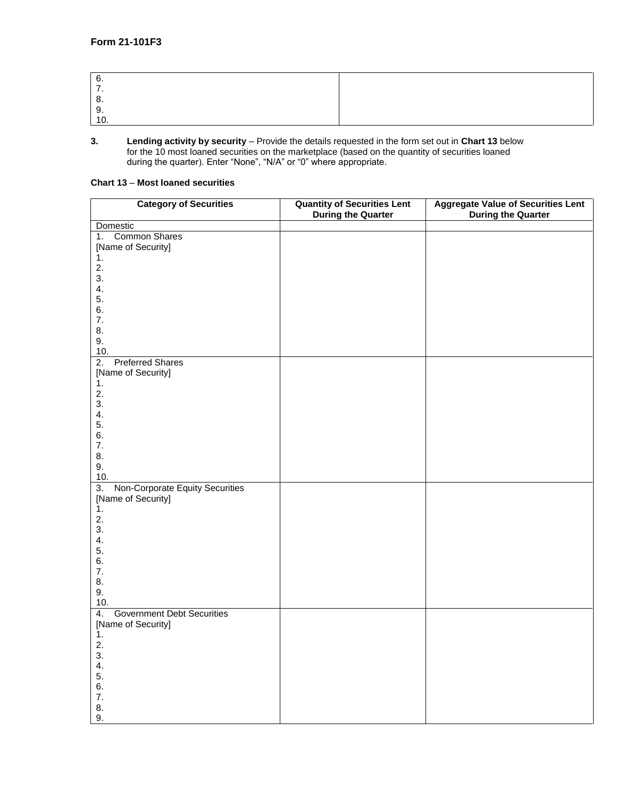| J.              |  |
|-----------------|--|
| ູ               |  |
| $\cdot$ $\circ$ |  |

**3. Lending activity by security** – Provide the details requested in the form set out in **Chart 13** below for the 10 most loaned securities on the marketplace (based on the quantity of securities loaned during the quarter). Enter "None", "N/A" or "0" where appropriate.

# **Chart 13** – **Most loaned securities**

| <b>Category of Securities</b>                              | <b>Quantity of Securities Lent</b><br><b>During the Quarter</b> | <b>Aggregate Value of Securities Lent</b><br><b>During the Quarter</b> |
|------------------------------------------------------------|-----------------------------------------------------------------|------------------------------------------------------------------------|
| Domestic                                                   |                                                                 |                                                                        |
| 1. Common Shares                                           |                                                                 |                                                                        |
| [Name of Security]                                         |                                                                 |                                                                        |
| 1.                                                         |                                                                 |                                                                        |
| 2.                                                         |                                                                 |                                                                        |
| 3.                                                         |                                                                 |                                                                        |
| 4.                                                         |                                                                 |                                                                        |
| 5.                                                         |                                                                 |                                                                        |
| 6.                                                         |                                                                 |                                                                        |
| 7.<br>8.                                                   |                                                                 |                                                                        |
| 9.                                                         |                                                                 |                                                                        |
| 10.                                                        |                                                                 |                                                                        |
| <b>Preferred Shares</b><br>$\overline{2}$ .                |                                                                 |                                                                        |
| [Name of Security]                                         |                                                                 |                                                                        |
| 1.                                                         |                                                                 |                                                                        |
| 2.                                                         |                                                                 |                                                                        |
| 3.                                                         |                                                                 |                                                                        |
| 4.                                                         |                                                                 |                                                                        |
| 5.                                                         |                                                                 |                                                                        |
| 6.                                                         |                                                                 |                                                                        |
| 7.                                                         |                                                                 |                                                                        |
| 8.                                                         |                                                                 |                                                                        |
| 9.                                                         |                                                                 |                                                                        |
| 10.<br>Non-Corporate Equity Securities<br>$\overline{3}$ . |                                                                 |                                                                        |
| [Name of Security]                                         |                                                                 |                                                                        |
| 1.                                                         |                                                                 |                                                                        |
| 2.                                                         |                                                                 |                                                                        |
| 3.                                                         |                                                                 |                                                                        |
| 4.                                                         |                                                                 |                                                                        |
| 5.                                                         |                                                                 |                                                                        |
| 6.                                                         |                                                                 |                                                                        |
| 7.                                                         |                                                                 |                                                                        |
| 8.                                                         |                                                                 |                                                                        |
| 9.                                                         |                                                                 |                                                                        |
| 10.                                                        |                                                                 |                                                                        |
| <b>Government Debt Securities</b><br>$\overline{4}$ .      |                                                                 |                                                                        |
| [Name of Security]                                         |                                                                 |                                                                        |
| 1.                                                         |                                                                 |                                                                        |
| 2.<br>3.                                                   |                                                                 |                                                                        |
| 4.                                                         |                                                                 |                                                                        |
| 5.                                                         |                                                                 |                                                                        |
| 6.                                                         |                                                                 |                                                                        |
| 7.                                                         |                                                                 |                                                                        |
| 8.                                                         |                                                                 |                                                                        |
| 9.                                                         |                                                                 |                                                                        |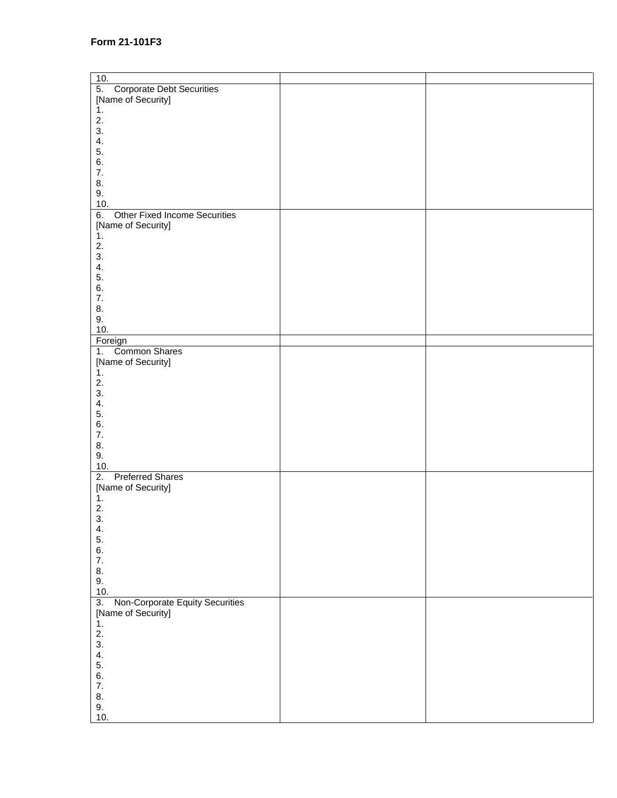# **Form 21-101F3**

| 10.                                                 |  |
|-----------------------------------------------------|--|
| <b>Corporate Debt Securities</b><br>5.              |  |
|                                                     |  |
| [Name of Security]                                  |  |
| 1.                                                  |  |
|                                                     |  |
| 2.                                                  |  |
| 3.                                                  |  |
|                                                     |  |
| 4.                                                  |  |
|                                                     |  |
| 5.                                                  |  |
| 6.                                                  |  |
|                                                     |  |
| 7.                                                  |  |
| 8.                                                  |  |
|                                                     |  |
| 9.                                                  |  |
| 10.                                                 |  |
|                                                     |  |
| Other Fixed Income Securities<br>6.                 |  |
| [Name of Security]                                  |  |
|                                                     |  |
| $\overline{1}$ .                                    |  |
| 2.                                                  |  |
|                                                     |  |
| 3.                                                  |  |
| 4.                                                  |  |
|                                                     |  |
| 5.                                                  |  |
| 6.                                                  |  |
|                                                     |  |
| 7.                                                  |  |
|                                                     |  |
| 8.                                                  |  |
| 9.                                                  |  |
|                                                     |  |
| 10.                                                 |  |
| Foreign                                             |  |
|                                                     |  |
| 1. Common Shares                                    |  |
| [Name of Security]                                  |  |
|                                                     |  |
| 1.                                                  |  |
| 2.                                                  |  |
| 3.                                                  |  |
|                                                     |  |
| 4.                                                  |  |
| 5.                                                  |  |
|                                                     |  |
| 6.                                                  |  |
|                                                     |  |
| 7.                                                  |  |
| 8.                                                  |  |
|                                                     |  |
| 9.                                                  |  |
| 10.                                                 |  |
|                                                     |  |
| <b>Preferred Shares</b><br>$\overline{2}$ .         |  |
| [Name of Security]                                  |  |
|                                                     |  |
| 1.                                                  |  |
| 2.                                                  |  |
|                                                     |  |
| 3.                                                  |  |
| 4.                                                  |  |
|                                                     |  |
| 5.                                                  |  |
| 6.                                                  |  |
|                                                     |  |
| 7.                                                  |  |
| 8.                                                  |  |
|                                                     |  |
| 9.                                                  |  |
| 10.                                                 |  |
|                                                     |  |
| Non-Corporate Equity Securities<br>$\overline{3}$ . |  |
| [Name of Security]                                  |  |
|                                                     |  |
| $\overline{1}$ .                                    |  |
| 2.                                                  |  |
|                                                     |  |
| 3.                                                  |  |
| 4.                                                  |  |
|                                                     |  |
| 5.                                                  |  |
| 6.                                                  |  |
|                                                     |  |
| 7.                                                  |  |
| 8.                                                  |  |
|                                                     |  |
| 9.                                                  |  |
| 10.                                                 |  |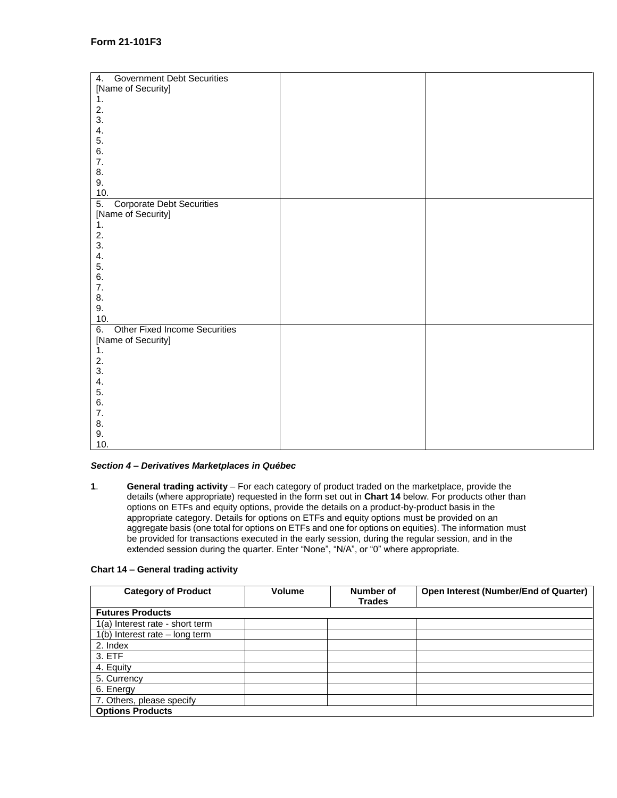# **Form 21-101F3**

| <b>Government Debt Securities</b><br>4.              |  |
|------------------------------------------------------|--|
| [Name of Security]                                   |  |
| 1.                                                   |  |
| 2.                                                   |  |
| 3.                                                   |  |
| 4.                                                   |  |
| 5.                                                   |  |
| 6.                                                   |  |
| 7.                                                   |  |
| 8.                                                   |  |
| 9.                                                   |  |
| 10.                                                  |  |
| <b>Corporate Debt Securities</b><br>$\overline{5}$ . |  |
| [Name of Security]                                   |  |
| 1.                                                   |  |
| 2.                                                   |  |
| 3.                                                   |  |
| 4.                                                   |  |
| 5.                                                   |  |
| 6.                                                   |  |
| 7.                                                   |  |
| 8.                                                   |  |
| 9.                                                   |  |
| 10.                                                  |  |
| Other Fixed Income Securities<br>6.                  |  |
| [Name of Security]                                   |  |
| 1.                                                   |  |
| 2.                                                   |  |
| 3.                                                   |  |
| 4.                                                   |  |
| 5.                                                   |  |
| 6.                                                   |  |
| 7.                                                   |  |
| 8.                                                   |  |
| 9.                                                   |  |
| 10.                                                  |  |

### *Section 4 – Derivatives Marketplaces in Québec*

**1**. **General trading activity** – For each category of product traded on the marketplace, provide the details (where appropriate) requested in the form set out in **Chart 14** below. For products other than options on ETFs and equity options, provide the details on a product-by-product basis in the appropriate category. Details for options on ETFs and equity options must be provided on an aggregate basis (one total for options on ETFs and one for options on equities). The information must be provided for transactions executed in the early session, during the regular session, and in the extended session during the quarter. Enter "None", "N/A", or "0" where appropriate.

| Chart 14 - General trading activity |  |  |
|-------------------------------------|--|--|
|-------------------------------------|--|--|

| <b>Category of Product</b>         | Volume | <b>Number of</b><br><b>Trades</b> | <b>Open Interest (Number/End of Quarter)</b> |
|------------------------------------|--------|-----------------------------------|----------------------------------------------|
| <b>Futures Products</b>            |        |                                   |                                              |
| 1(a) Interest rate - short term    |        |                                   |                                              |
| $1(b)$ Interest rate $-$ long term |        |                                   |                                              |
| 2. Index                           |        |                                   |                                              |
| 3. ETF                             |        |                                   |                                              |
| 4. Equity                          |        |                                   |                                              |
| 5. Currency                        |        |                                   |                                              |
| 6. Energy                          |        |                                   |                                              |
| 7. Others, please specify          |        |                                   |                                              |
| <b>Options Products</b>            |        |                                   |                                              |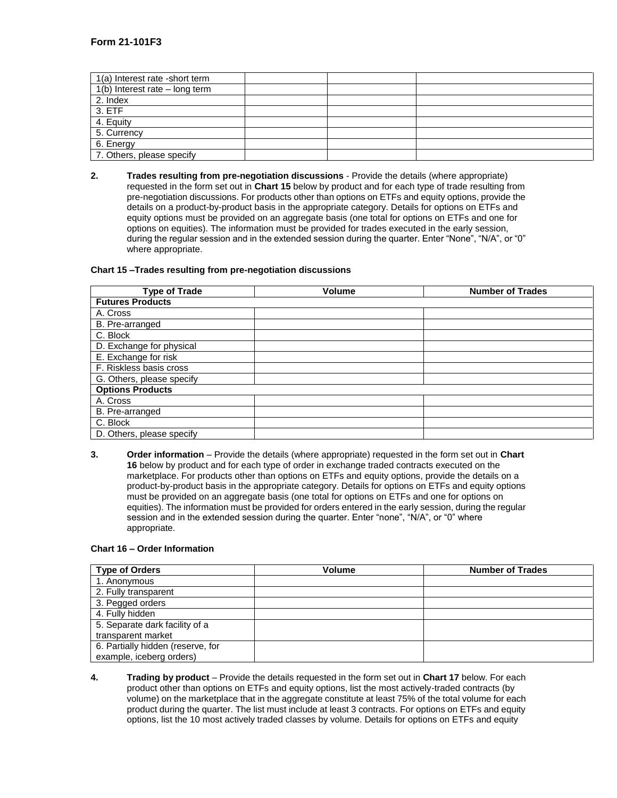| 1(a) Interest rate -short term |  |
|--------------------------------|--|
| 1(b) Interest rate - long term |  |
| 2. Index                       |  |
| 3. ETF                         |  |
| 4. Equity                      |  |
| 5. Currency                    |  |
| 6. Energy                      |  |
| 7. Others, please specify      |  |

**2. Trades resulting from pre-negotiation discussions** - Provide the details (where appropriate) requested in the form set out in **Chart 15** below by product and for each type of trade resulting from pre-negotiation discussions. For products other than options on ETFs and equity options, provide the details on a product-by-product basis in the appropriate category. Details for options on ETFs and equity options must be provided on an aggregate basis (one total for options on ETFs and one for options on equities). The information must be provided for trades executed in the early session, during the regular session and in the extended session during the quarter. Enter "None", "N/A", or "0" where appropriate.

### **Chart 15 –Trades resulting from pre-negotiation discussions**

| <b>Type of Trade</b>      | <b>Volume</b> | <b>Number of Trades</b> |
|---------------------------|---------------|-------------------------|
| <b>Futures Products</b>   |               |                         |
| A. Cross                  |               |                         |
| B. Pre-arranged           |               |                         |
| C. Block                  |               |                         |
| D. Exchange for physical  |               |                         |
| E. Exchange for risk      |               |                         |
| F. Riskless basis cross   |               |                         |
| G. Others, please specify |               |                         |
| <b>Options Products</b>   |               |                         |
| A. Cross                  |               |                         |
| B. Pre-arranged           |               |                         |
| C. Block                  |               |                         |
| D. Others, please specify |               |                         |

**3. Order information** – Provide the details (where appropriate) requested in the form set out in **Chart 16** below by product and for each type of order in exchange traded contracts executed on the marketplace. For products other than options on ETFs and equity options, provide the details on a product-by-product basis in the appropriate category. Details for options on ETFs and equity options must be provided on an aggregate basis (one total for options on ETFs and one for options on equities). The information must be provided for orders entered in the early session, during the regular session and in the extended session during the quarter. Enter "none", "N/A", or "0" where appropriate.

### **Chart 16 – Order Information**

| <b>Type of Orders</b>             | Volume | <b>Number of Trades</b> |
|-----------------------------------|--------|-------------------------|
| 1. Anonymous                      |        |                         |
| 2. Fully transparent              |        |                         |
| 3. Pegged orders                  |        |                         |
| 4. Fully hidden                   |        |                         |
| 5. Separate dark facility of a    |        |                         |
| transparent market                |        |                         |
| 6. Partially hidden (reserve, for |        |                         |
| example, iceberg orders)          |        |                         |

**4. Trading by product** – Provide the details requested in the form set out in **Chart 17** below. For each product other than options on ETFs and equity options, list the most actively-traded contracts (by volume) on the marketplace that in the aggregate constitute at least 75% of the total volume for each product during the quarter. The list must include at least 3 contracts. For options on ETFs and equity options, list the 10 most actively traded classes by volume. Details for options on ETFs and equity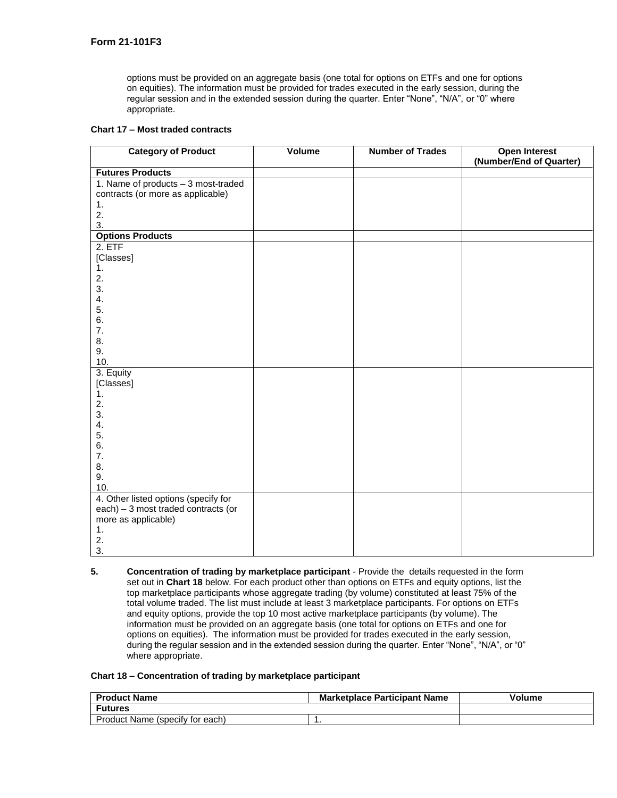options must be provided on an aggregate basis (one total for options on ETFs and one for options on equities). The information must be provided for trades executed in the early session, during the regular session and in the extended session during the quarter. Enter "None", "N/A", or "0" where appropriate.

### **Chart 17 – Most traded contracts**

| <b>Category of Product</b>           | Volume | <b>Number of Trades</b> | <b>Open Interest</b>    |
|--------------------------------------|--------|-------------------------|-------------------------|
| <b>Futures Products</b>              |        |                         | (Number/End of Quarter) |
| 1. Name of products - 3 most-traded  |        |                         |                         |
| contracts (or more as applicable)    |        |                         |                         |
| 1.                                   |        |                         |                         |
| 2.                                   |        |                         |                         |
| 3.                                   |        |                         |                         |
| <b>Options Products</b>              |        |                         |                         |
| 2. ETF                               |        |                         |                         |
| [Classes]                            |        |                         |                         |
| 1.                                   |        |                         |                         |
| 2.                                   |        |                         |                         |
| 3.                                   |        |                         |                         |
| 4.                                   |        |                         |                         |
| 5.                                   |        |                         |                         |
| 6.                                   |        |                         |                         |
| 7.                                   |        |                         |                         |
| 8.                                   |        |                         |                         |
| 9.                                   |        |                         |                         |
| 10.                                  |        |                         |                         |
| 3. Equity                            |        |                         |                         |
| [Classes]                            |        |                         |                         |
| 1.                                   |        |                         |                         |
| 2.                                   |        |                         |                         |
| 3.                                   |        |                         |                         |
| 4.                                   |        |                         |                         |
| 5.                                   |        |                         |                         |
| 6.                                   |        |                         |                         |
| 7.                                   |        |                         |                         |
| 8.                                   |        |                         |                         |
| 9.                                   |        |                         |                         |
| 10.                                  |        |                         |                         |
| 4. Other listed options (specify for |        |                         |                         |
| each) - 3 most traded contracts (or  |        |                         |                         |
| more as applicable)                  |        |                         |                         |
| 1.                                   |        |                         |                         |
| 2.                                   |        |                         |                         |
| 3.                                   |        |                         |                         |

**5. Concentration of trading by marketplace participant** - Provide the details requested in the form set out in **Chart 18** below. For each product other than options on ETFs and equity options, list the top marketplace participants whose aggregate trading (by volume) constituted at least 75% of the total volume traded. The list must include at least 3 marketplace participants. For options on ETFs and equity options, provide the top 10 most active marketplace participants (by volume). The information must be provided on an aggregate basis (one total for options on ETFs and one for options on equities). The information must be provided for trades executed in the early session, during the regular session and in the extended session during the quarter. Enter "None", "N/A", or "0" where appropriate.

| Chart 18 - Concentration of trading by marketplace participant |  |  |  |
|----------------------------------------------------------------|--|--|--|
|----------------------------------------------------------------|--|--|--|

| <b>Product Name</b>             | <b>Marketplace Participant Name</b> | Volume |
|---------------------------------|-------------------------------------|--------|
| <b>Futures</b>                  |                                     |        |
| Product Name (specify for each) |                                     |        |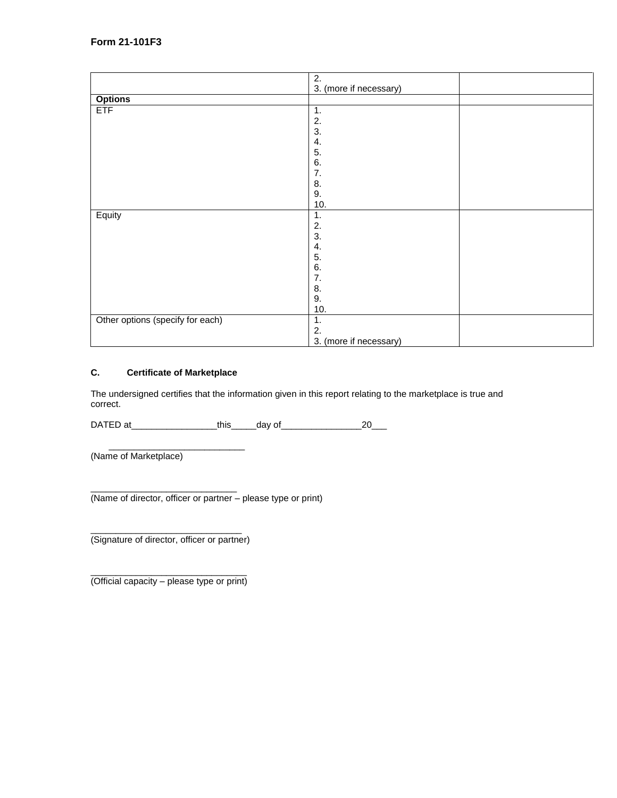|                                  | 2.                     |
|----------------------------------|------------------------|
|                                  | 3. (more if necessary) |
| <b>Options</b>                   |                        |
| <b>ETF</b>                       | $\mathbf 1$ .          |
|                                  | 2.                     |
|                                  | 3.                     |
|                                  | 4.                     |
|                                  | 5.                     |
|                                  | 6.                     |
|                                  | 7.                     |
|                                  | 8.                     |
|                                  | 9.                     |
|                                  | 10.                    |
| Equity                           | 1.                     |
|                                  | 2.                     |
|                                  | 3.                     |
|                                  | 4.                     |
|                                  | 5.                     |
|                                  | 6.                     |
|                                  | 7.                     |
|                                  | 8.                     |
|                                  | 9.                     |
|                                  | 10.                    |
| Other options (specify for each) | 1.                     |
|                                  | 2.                     |
|                                  | 3. (more if necessary) |

# **C. Certificate of Marketplace**

The undersigned certifies that the information given in this report relating to the marketplace is true and correct.

DATED at\_\_\_\_\_\_\_\_\_\_\_\_\_\_\_\_\_this\_\_\_\_\_day of\_\_\_\_\_\_\_\_\_\_\_\_\_\_\_\_20\_\_\_

\_\_\_\_\_\_\_\_\_\_\_\_\_\_\_\_\_\_\_\_\_\_\_\_\_\_\_ (Name of Marketplace)

\_\_\_\_\_\_\_\_\_\_\_\_\_\_\_\_\_\_\_\_\_\_\_\_\_\_\_\_\_ (Name of director, officer or partner – please type or print)

\_\_\_\_\_\_\_\_\_\_\_\_\_\_\_\_\_\_\_\_\_\_\_\_\_\_\_\_\_\_ (Signature of director, officer or partner)

\_\_\_\_\_\_\_\_\_\_\_\_\_\_\_\_\_\_\_\_\_\_\_\_\_\_\_\_\_\_\_ (Official capacity – please type or print)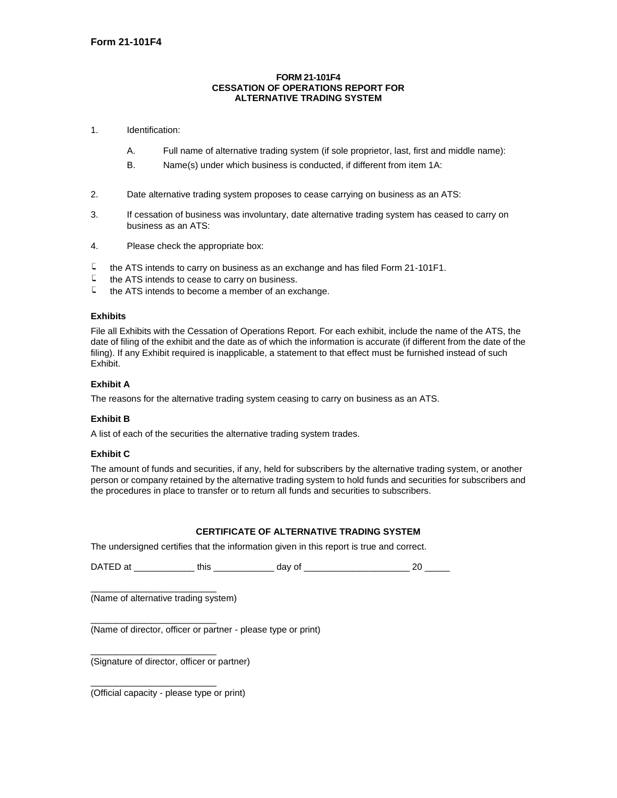### **FORM 21-101F4 CESSATION OF OPERATIONS REPORT FOR ALTERNATIVE TRADING SYSTEM**

- 1. Identification:
	- A. Full name of alternative trading system (if sole proprietor, last, first and middle name):
	- B. Name(s) under which business is conducted, if different from item 1A:
- 2. Date alternative trading system proposes to cease carrying on business as an ATS:
- 3. If cessation of business was involuntary, date alternative trading system has ceased to carry on business as an ATS:
- 4. Please check the appropriate box:
- $\Box$  the ATS intends to carry on business as an exchange and has filed Form 21-101F1.
- $\Box$  the ATS intends to cease to carry on business.
- $\blacksquare$  the ATS intends to become a member of an exchange.

### **Exhibits**

File all Exhibits with the Cessation of Operations Report. For each exhibit, include the name of the ATS, the date of filing of the exhibit and the date as of which the information is accurate (if different from the date of the filing). If any Exhibit required is inapplicable, a statement to that effect must be furnished instead of such Exhibit.

### **Exhibit A**

The reasons for the alternative trading system ceasing to carry on business as an ATS.

### **Exhibit B**

A list of each of the securities the alternative trading system trades.

### **Exhibit C**

The amount of funds and securities, if any, held for subscribers by the alternative trading system, or another person or company retained by the alternative trading system to hold funds and securities for subscribers and the procedures in place to transfer or to return all funds and securities to subscribers.

# **CERTIFICATE OF ALTERNATIVE TRADING SYSTEM**

The undersigned certifies that the information given in this report is true and correct.

DATED at \_\_\_\_\_\_\_\_\_\_\_\_\_\_ this \_\_\_\_\_\_\_\_\_\_\_\_\_\_ day of \_\_\_\_\_\_\_\_\_\_\_\_\_\_\_\_\_\_\_\_\_\_\_\_\_\_\_\_\_ 20 \_\_\_\_\_\_\_

(Name of alternative trading system)

\_\_\_\_\_\_\_\_\_\_\_\_\_\_\_\_\_\_\_\_\_\_\_\_\_

\_\_\_\_\_\_\_\_\_\_\_\_\_\_\_\_\_\_\_\_\_\_\_\_\_

\_\_\_\_\_\_\_\_\_\_\_\_\_\_\_\_\_\_\_\_\_\_\_\_\_

\_\_\_\_\_\_\_\_\_\_\_\_\_\_\_\_\_\_\_\_\_\_\_\_\_

(Name of director, officer or partner - please type or print)

(Signature of director, officer or partner)

(Official capacity - please type or print)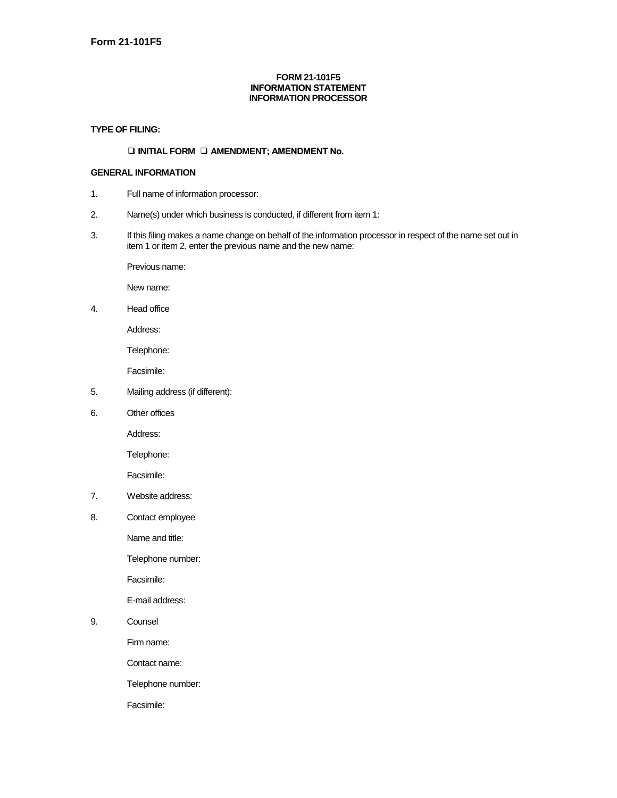### **FORM 21-101F5 INFORMATION STATEMENT INFORMATION PROCESSOR**

### **TYPE OF FILING:**

#### ❑ **INITIAL FORM** ❑ **AMENDMENT; AMENDMENT No.**

#### **GENERAL INFORMATION**

- 1. Full name of information processor:
- 2. Name(s) under which business is conducted, if different from item 1:
- 3. If this filing makes a name change on behalf of the information processor in respect of the name set out in item 1 or item 2, enter the previous name and the new name:

Previous name:

New name:

4. Head office

Address:

Telephone:

Facsimile:

- 5. Mailing address (if different):
- 6. Other offices

Address:

Telephone:

Facsimile:

- 7. Website address:
- 8. Contact employee

Name and title:

Telephone number:

Facsimile:

E-mail address:

9. Counsel

Firm name:

Contact name:

Telephone number:

Facsimile: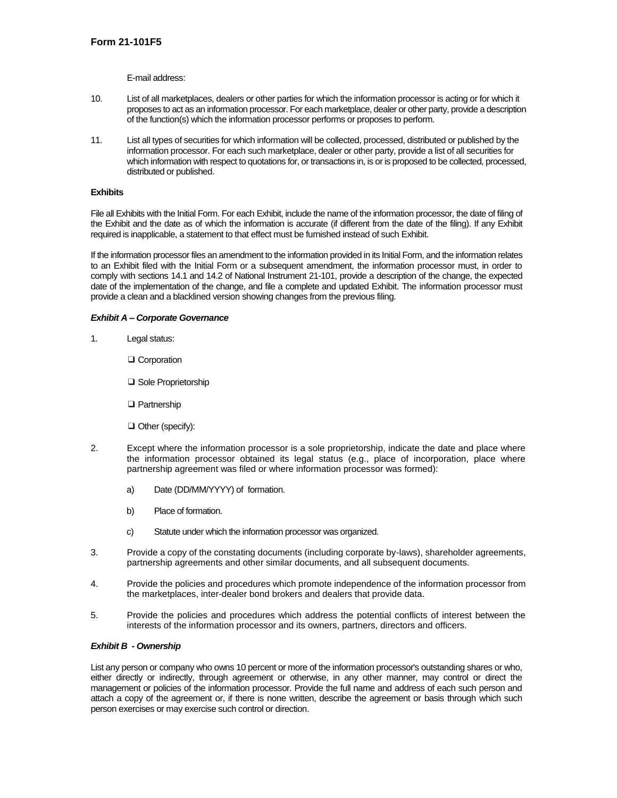E-mail address:

- 10. List of all marketplaces, dealers or other parties for which the information processor is acting or for which it proposes to act as an information processor. For each marketplace, dealer or other party, provide a description of the function(s) which the information processor performs or proposes to perform.
- 11. List all types of securities for which information will be collected, processed, distributed or published by the information processor. For each such marketplace, dealer or other party, provide a list of all securities for which information with respect to quotations for, or transactions in, is or is proposed to be collected, processed, distributed or published.

### **Exhibits**

File all Exhibits with the Initial Form. For each Exhibit, include the name of the information processor, the date of filing of the Exhibit and the date as of which the information is accurate (if different from the date of the filing). If any Exhibit required is inapplicable, a statement to that effect must be furnished instead of such Exhibit.

If the information processor files an amendment to the information provided in its Initial Form, and the information relates to an Exhibit filed with the Initial Form or a subsequent amendment, the information processor must, in order to comply with sections 14.1 and 14.2 of National Instrument 21-101, provide a description of the change, the expected date of the implementation of the change, and file a complete and updated Exhibit. The information processor must provide a clean and a blacklined version showing changes from the previous filing.

### *Exhibit A – Corporate Governance*

- 1. Legal status:
	- ❑ Corporation
	- ❑ Sole Proprietorship
	- ❑ Partnership
	- ❑ Other (specify):
- 2. Except where the information processor is a sole proprietorship, indicate the date and place where the information processor obtained its legal status (e.g., place of incorporation, place where partnership agreement was filed or where information processor was formed):
	- a) Date (DD/MM/YYYY) of formation.
	- b) Place of formation.
	- c) Statute under which the information processor was organized.
- 3. Provide a copy of the constating documents (including corporate by-laws), shareholder agreements, partnership agreements and other similar documents, and all subsequent documents.
- 4. Provide the policies and procedures which promote independence of the information processor from the marketplaces, inter-dealer bond brokers and dealers that provide data.
- 5. Provide the policies and procedures which address the potential conflicts of interest between the interests of the information processor and its owners, partners, directors and officers.

# *Exhibit B - Ownership*

List any person or company who owns 10 percent or more of the information processor's outstanding shares or who, either directly or indirectly, through agreement or otherwise, in any other manner, may control or direct the management or policies of the information processor. Provide the full name and address of each such person and attach a copy of the agreement or, if there is none written, describe the agreement or basis through which such person exercises or may exercise such control or direction.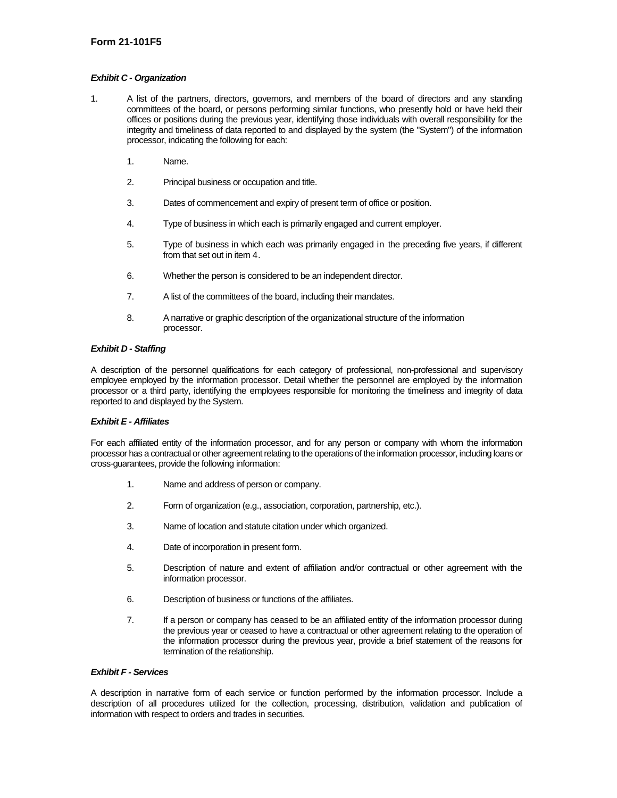#### *Exhibit C - Organization*

- 1. A list of the partners, directors, governors, and members of the board of directors and any standing committees of the board, or persons performing similar functions, who presently hold or have held their offices or positions during the previous year, identifying those individuals with overall responsibility for the integrity and timeliness of data reported to and displayed by the system (the "System") of the information processor, indicating the following for each:
	- 1. Name.
	- 2. Principal business or occupation and title.
	- 3. Dates of commencement and expiry of present term of office or position.
	- 4. Type of business in which each is primarily engaged and current employer.
	- 5. Type of business in which each was primarily engaged in the preceding five years, if different from that set out in item 4.
	- 6. Whether the person is considered to be an independent director.
	- 7. A list of the committees of the board, including their mandates.
	- 8. A narrative or graphic description of the organizational structure of the information processor.

#### *Exhibit D - Staffing*

A description of the personnel qualifications for each category of professional, non-professional and supervisory employee employed by the information processor. Detail whether the personnel are employed by the information processor or a third party, identifying the employees responsible for monitoring the timeliness and integrity of data reported to and displayed by the System.

#### *Exhibit E - Affiliates*

For each affiliated entity of the information processor, and for any person or company with whom the information processor has a contractual or other agreement relating to the operations of the information processor, including loans or cross-guarantees, provide the following information:

- 1. Name and address of person or company.
- 2. Form of organization (e.g., association, corporation, partnership, etc.).
- 3. Name of location and statute citation under which organized.
- 4. Date of incorporation in present form.
- 5. Description of nature and extent of affiliation and/or contractual or other agreement with the information processor.
- 6. Description of business or functions of the affiliates.
- 7. If a person or company has ceased to be an affiliated entity of the information processor during the previous year or ceased to have a contractual or other agreement relating to the operation of the information processor during the previous year, provide a brief statement of the reasons for termination of the relationship.

#### *Exhibit F - Services*

A description in narrative form of each service or function performed by the information processor. Include a description of all procedures utilized for the collection, processing, distribution, validation and publication of information with respect to orders and trades in securities.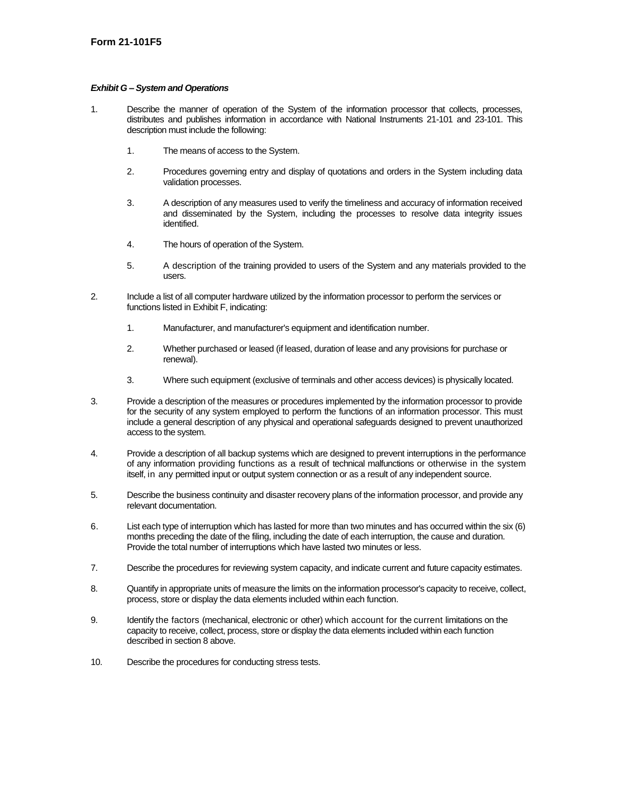#### *Exhibit G – System and Operations*

- 1. Describe the manner of operation of the System of the information processor that collects, processes, distributes and publishes information in accordance with National Instruments 21-101 and 23-101. This description must include the following:
	- 1. The means of access to the System.
	- 2. Procedures governing entry and display of quotations and orders in the System including data validation processes.
	- 3. A description of any measures used to verify the timeliness and accuracy of information received and disseminated by the System, including the processes to resolve data integrity issues identified.
	- 4. The hours of operation of the System.
	- 5. A description of the training provided to users of the System and any materials provided to the users.
- 2. Include a list of all computer hardware utilized by the information processor to perform the services or functions listed in Exhibit F, indicating:
	- 1. Manufacturer, and manufacturer's equipment and identification number.
	- 2. Whether purchased or leased (if leased, duration of lease and any provisions for purchase or renewal).
	- 3. Where such equipment (exclusive of terminals and other access devices) is physically located.
- 3. Provide a description of the measures or procedures implemented by the information processor to provide for the security of any system employed to perform the functions of an information processor. This must include a general description of any physical and operational safeguards designed to prevent unauthorized access to the system.
- 4. Provide a description of all backup systems which are designed to prevent interruptions in the performance of any information providing functions as a result of technical malfunctions or otherwise in the system itself, in any permitted input or output system connection or as a result of any independent source.
- 5. Describe the business continuity and disaster recovery plans of the information processor, and provide any relevant documentation.
- 6. List each type of interruption which has lasted for more than two minutes and has occurred within the six (6) months preceding the date of the filing, including the date of each interruption, the cause and duration. Provide the total number of interruptions which have lasted two minutes or less.
- 7. Describe the procedures for reviewing system capacity, and indicate current and future capacity estimates.
- 8. Quantify in appropriate units of measure the limits on the information processor's capacity to receive, collect, process, store or display the data elements included within each function.
- 9. Identify the factors (mechanical, electronic or other) which account for the current limitations on the capacity to receive, collect, process, store or display the data elements included within each function described in section 8 above.
- 10. Describe the procedures for conducting stress tests.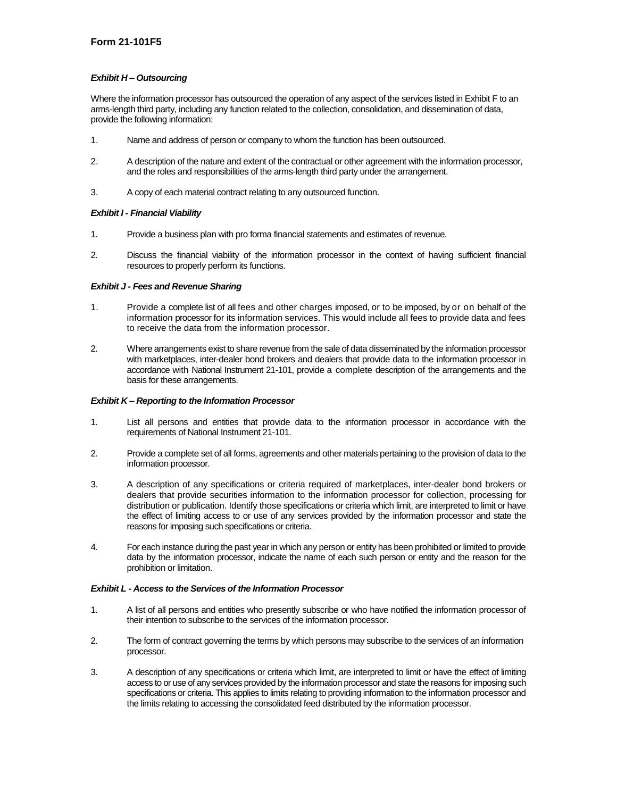# **Form 21-101F5**

### *Exhibit H – Outsourcing*

Where the information processor has outsourced the operation of any aspect of the services listed in Exhibit F to an arms-length third party, including any function related to the collection, consolidation, and dissemination of data, provide the following information:

- 1. Name and address of person or company to whom the function has been outsourced.
- 2. A description of the nature and extent of the contractual or other agreement with the information processor, and the roles and responsibilities of the arms-length third party under the arrangement.
- 3. A copy of each material contract relating to any outsourced function.

#### *Exhibit I - Financial Viability*

- 1. Provide a business plan with pro forma financial statements and estimates of revenue.
- 2. Discuss the financial viability of the information processor in the context of having sufficient financial resources to properly perform its functions.

### *Exhibit J - Fees and Revenue Sharing*

- 1. Provide a complete list of all fees and other charges imposed, or to be imposed, by or on behalf of the information processor for its information services. This would include all fees to provide data and fees to receive the data from the information processor.
- 2. Where arrangements exist to share revenue from the sale of data disseminated by the information processor with marketplaces, inter-dealer bond brokers and dealers that provide data to the information processor in accordance with National Instrument 21-101, provide a complete description of the arrangements and the basis for these arrangements.

#### *Exhibit K – Reporting to the Information Processor*

- 1. List all persons and entities that provide data to the information processor in accordance with the requirements of National Instrument 21-101.
- 2. Provide a complete set of all forms, agreements and other materials pertaining to the provision of data to the information processor.
- 3. A description of any specifications or criteria required of marketplaces, inter-dealer bond brokers or dealers that provide securities information to the information processor for collection, processing for distribution or publication. Identify those specifications or criteria which limit, are interpreted to limit or have the effect of limiting access to or use of any services provided by the information processor and state the reasons for imposing such specifications or criteria.
- 4. For each instance during the past year in which any person or entity has been prohibited or limited to provide data by the information processor, indicate the name of each such person or entity and the reason for the prohibition or limitation.

#### *Exhibit L - Access to the Services of the Information Processor*

- 1. A list of all persons and entities who presently subscribe or who have notified the information processor of their intention to subscribe to the services of the information processor.
- 2. The form of contract governing the terms by which persons may subscribe to the services of an information processor.
- 3. A description of any specifications or criteria which limit, are interpreted to limit or have the effect of limiting access to or use of any services provided by the information processor and state the reasons for imposing such specifications or criteria. This applies to limits relating to providing information to the information processor and the limits relating to accessing the consolidated feed distributed by the information processor.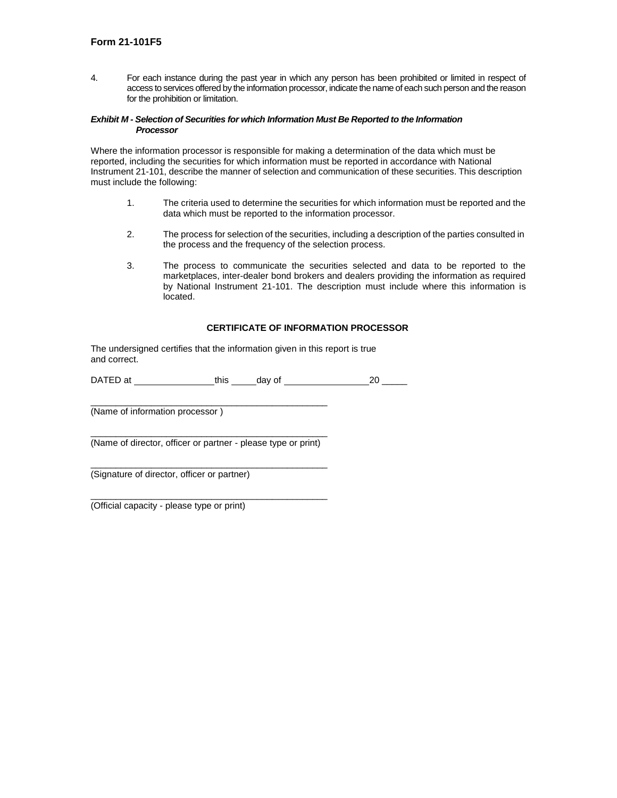# **Form 21-101F5**

4. For each instance during the past year in which any person has been prohibited or limited in respect of access to services offered by the information processor, indicate the name of each such person and the reason for the prohibition or limitation.

#### *Exhibit M - Selection of Securities for which Information Must Be Reported to the Information Processor*

Where the information processor is responsible for making a determination of the data which must be reported, including the securities for which information must be reported in accordance with National Instrument 21-101, describe the manner of selection and communication of these securities. This description must include the following:

- 1. The criteria used to determine the securities for which information must be reported and the data which must be reported to the information processor.
- 2. The process for selection of the securities, including a description of the parties consulted in the process and the frequency of the selection process.
- 3. The process to communicate the securities selected and data to be reported to the marketplaces, inter-dealer bond brokers and dealers providing the information as required by National Instrument 21-101. The description must include where this information is located.

### **CERTIFICATE OF INFORMATION PROCESSOR**

The undersigned certifies that the information given in this report is true and correct.

| DATED at<br>dav of<br>this |  |
|----------------------------|--|

\_\_\_\_\_\_\_\_\_\_\_\_\_\_\_\_\_\_\_\_\_\_\_\_\_\_\_\_\_\_\_\_\_\_\_\_\_\_\_\_\_\_\_\_\_\_\_ (Name of information processor )

\_\_\_\_\_\_\_\_\_\_\_\_\_\_\_\_\_\_\_\_\_\_\_\_\_\_\_\_\_\_\_\_\_\_\_\_\_\_\_\_\_\_\_\_\_\_\_ (Name of director, officer or partner - please type or print)

\_\_\_\_\_\_\_\_\_\_\_\_\_\_\_\_\_\_\_\_\_\_\_\_\_\_\_\_\_\_\_\_\_\_\_\_\_\_\_\_\_\_\_\_\_\_\_

\_\_\_\_\_\_\_\_\_\_\_\_\_\_\_\_\_\_\_\_\_\_\_\_\_\_\_\_\_\_\_\_\_\_\_\_\_\_\_\_\_\_\_\_\_\_\_

(Signature of director, officer or partner)

(Official capacity - please type or print)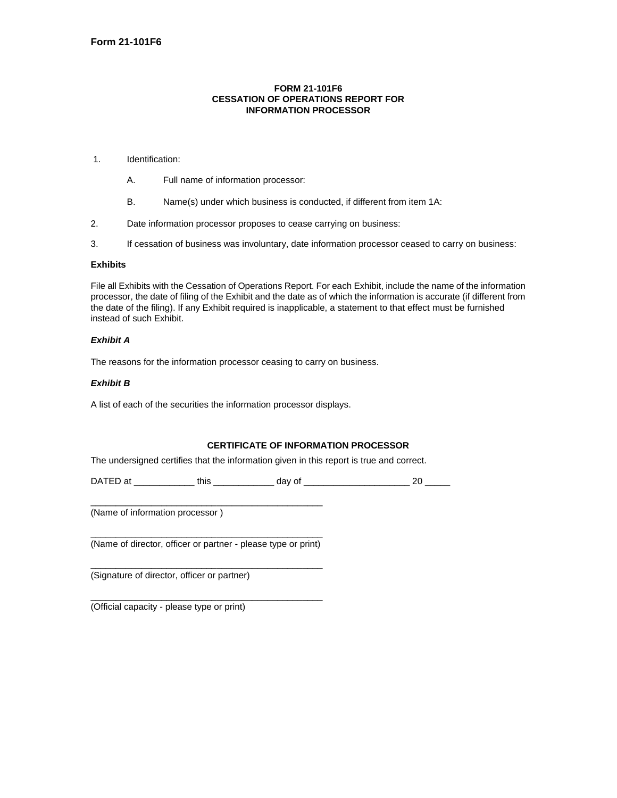### **FORM 21-101F6 CESSATION OF OPERATIONS REPORT FOR INFORMATION PROCESSOR**

### 1. Identification:

- A. Full name of information processor:
- B. Name(s) under which business is conducted, if different from item 1A:
- 2. Date information processor proposes to cease carrying on business:
- 3. If cessation of business was involuntary, date information processor ceased to carry on business:

### **Exhibits**

File all Exhibits with the Cessation of Operations Report. For each Exhibit, include the name of the information processor, the date of filing of the Exhibit and the date as of which the information is accurate (if different from the date of the filing). If any Exhibit required is inapplicable, a statement to that effect must be furnished instead of such Exhibit.

# *Exhibit A*

The reasons for the information processor ceasing to carry on business.

### *Exhibit B*

A list of each of the securities the information processor displays.

# **CERTIFICATE OF INFORMATION PROCESSOR**

The undersigned certifies that the information given in this report is true and correct.

DATED at \_\_\_\_\_\_\_\_\_\_\_\_\_\_ this \_\_\_\_\_\_\_\_\_\_\_\_\_ day of \_\_\_\_\_\_\_\_\_\_\_\_\_\_\_\_\_\_\_\_\_\_\_\_\_\_\_\_\_\_ 20 \_\_\_\_\_\_

(Name of information processor )

\_\_\_\_\_\_\_\_\_\_\_\_\_\_\_\_\_\_\_\_\_\_\_\_\_\_\_\_\_\_\_\_\_\_\_\_\_\_\_\_\_\_\_\_\_\_ (Name of director, officer or partner - please type or print)

\_\_\_\_\_\_\_\_\_\_\_\_\_\_\_\_\_\_\_\_\_\_\_\_\_\_\_\_\_\_\_\_\_\_\_\_\_\_\_\_\_\_\_\_\_\_

\_\_\_\_\_\_\_\_\_\_\_\_\_\_\_\_\_\_\_\_\_\_\_\_\_\_\_\_\_\_\_\_\_\_\_\_\_\_\_\_\_\_\_\_\_\_

\_\_\_\_\_\_\_\_\_\_\_\_\_\_\_\_\_\_\_\_\_\_\_\_\_\_\_\_\_\_\_\_\_\_\_\_\_\_\_\_\_\_\_\_\_\_

(Signature of director, officer or partner)

(Official capacity - please type or print)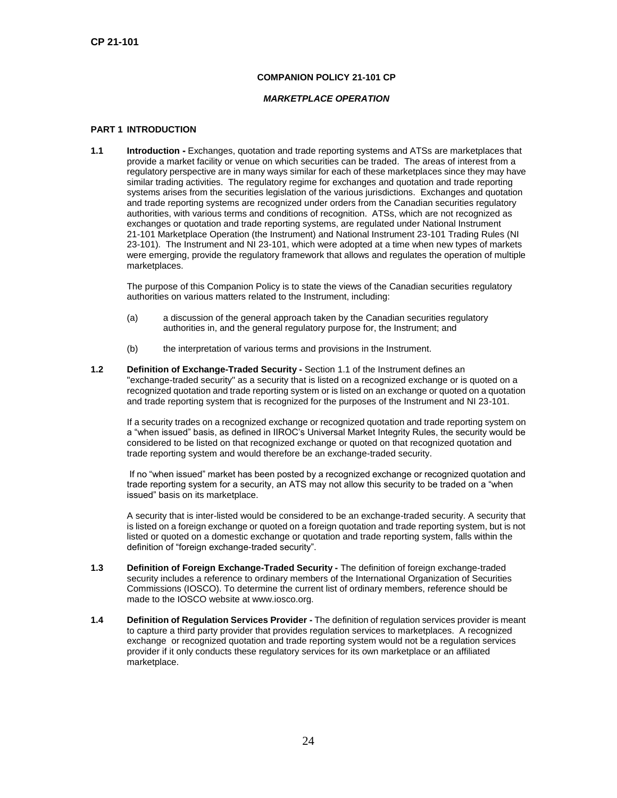### **COMPANION POLICY 21-101 CP**

### *MARKETPLACE OPERATION*

### **PART 1 INTRODUCTION**

**1.1 Introduction -** Exchanges, quotation and trade reporting systems and ATSs are marketplaces that provide a market facility or venue on which securities can be traded. The areas of interest from a regulatory perspective are in many ways similar for each of these marketplaces since they may have similar trading activities. The regulatory regime for exchanges and quotation and trade reporting systems arises from the securities legislation of the various jurisdictions. Exchanges and quotation and trade reporting systems are recognized under orders from the Canadian securities regulatory authorities, with various terms and conditions of recognition. ATSs, which are not recognized as exchanges or quotation and trade reporting systems, are regulated under National Instrument 21-101 Marketplace Operation (the Instrument) and National Instrument 23-101 Trading Rules (NI 23-101). The Instrument and NI 23-101, which were adopted at a time when new types of markets were emerging, provide the regulatory framework that allows and regulates the operation of multiple marketplaces.

The purpose of this Companion Policy is to state the views of the Canadian securities regulatory authorities on various matters related to the Instrument, including:

- (a) a discussion of the general approach taken by the Canadian securities regulatory authorities in, and the general regulatory purpose for, the Instrument; and
- (b) the interpretation of various terms and provisions in the Instrument.
- **1.2 Definition of Exchange-Traded Security -** Section 1.1 of the Instrument defines an "exchange-traded security" as a security that is listed on a recognized exchange or is quoted on a recognized quotation and trade reporting system or is listed on an exchange or quoted on a quotation and trade reporting system that is recognized for the purposes of the Instrument and NI 23-101.

If a security trades on a recognized exchange or recognized quotation and trade reporting system on a "when issued" basis, as defined in IIROC's Universal Market Integrity Rules, the security would be considered to be listed on that recognized exchange or quoted on that recognized quotation and trade reporting system and would therefore be an exchange-traded security.

If no "when issued" market has been posted by a recognized exchange or recognized quotation and trade reporting system for a security, an ATS may not allow this security to be traded on a "when issued" basis on its marketplace.

A security that is inter-listed would be considered to be an exchange-traded security. A security that is listed on a foreign exchange or quoted on a foreign quotation and trade reporting system, but is not listed or quoted on a domestic exchange or quotation and trade reporting system, falls within the definition of "foreign exchange-traded security".

- **1.3 Definition of Foreign Exchange-Traded Security -** The definition of foreign exchange-traded security includes a reference to ordinary members of the International Organization of Securities Commissions (IOSCO). To determine the current list of ordinary members, reference should be made to the IOSCO website at www.iosco.org.
- **1.4 Definition of Regulation Services Provider -** The definition of regulation services provider is meant to capture a third party provider that provides regulation services to marketplaces. A recognized exchange or recognized quotation and trade reporting system would not be a regulation services provider if it only conducts these regulatory services for its own marketplace or an affiliated marketplace.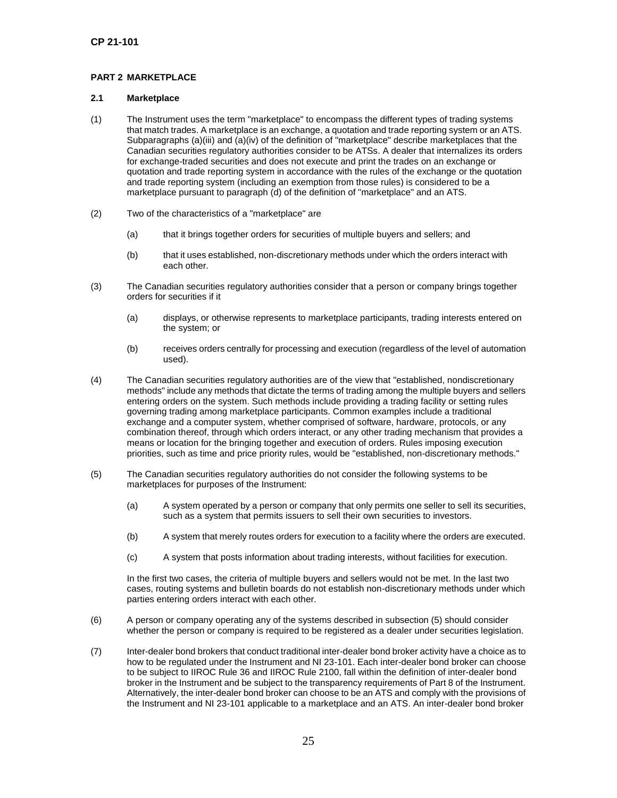# **PART 2 MARKETPLACE**

### **2.1 Marketplace**

- (1) The Instrument uses the term "marketplace" to encompass the different types of trading systems that match trades. A marketplace is an exchange, a quotation and trade reporting system or an ATS. Subparagraphs (a)(iii) and (a)(iv) of the definition of "marketplace" describe marketplaces that the Canadian securities regulatory authorities consider to be ATSs. A dealer that internalizes its orders for exchange-traded securities and does not execute and print the trades on an exchange or quotation and trade reporting system in accordance with the rules of the exchange or the quotation and trade reporting system (including an exemption from those rules) is considered to be a marketplace pursuant to paragraph (d) of the definition of "marketplace" and an ATS.
- (2) Two of the characteristics of a "marketplace" are
	- (a) that it brings together orders for securities of multiple buyers and sellers; and
	- (b) that it uses established, non-discretionary methods under which the orders interact with each other.
- (3) The Canadian securities regulatory authorities consider that a person or company brings together orders for securities if it
	- (a) displays, or otherwise represents to marketplace participants, trading interests entered on the system; or
	- (b) receives orders centrally for processing and execution (regardless of the level of automation used).
- (4) The Canadian securities regulatory authorities are of the view that "established, nondiscretionary methods" include any methods that dictate the terms of trading among the multiple buyers and sellers entering orders on the system. Such methods include providing a trading facility or setting rules governing trading among marketplace participants. Common examples include a traditional exchange and a computer system, whether comprised of software, hardware, protocols, or any combination thereof, through which orders interact, or any other trading mechanism that provides a means or location for the bringing together and execution of orders. Rules imposing execution priorities, such as time and price priority rules, would be "established, non-discretionary methods."
- (5) The Canadian securities regulatory authorities do not consider the following systems to be marketplaces for purposes of the Instrument:
	- (a) A system operated by a person or company that only permits one seller to sell its securities, such as a system that permits issuers to sell their own securities to investors.
	- (b) A system that merely routes orders for execution to a facility where the orders are executed.
	- (c) A system that posts information about trading interests, without facilities for execution.

In the first two cases, the criteria of multiple buyers and sellers would not be met. In the last two cases, routing systems and bulletin boards do not establish non-discretionary methods under which parties entering orders interact with each other.

- (6) A person or company operating any of the systems described in subsection (5) should consider whether the person or company is required to be registered as a dealer under securities legislation.
- (7) Inter-dealer bond brokers that conduct traditional inter-dealer bond broker activity have a choice as to how to be regulated under the Instrument and NI 23-101. Each inter-dealer bond broker can choose to be subject to IIROC Rule 36 and IIROC Rule 2100, fall within the definition of inter-dealer bond broker in the Instrument and be subject to the transparency requirements of Part 8 of the Instrument. Alternatively, the inter-dealer bond broker can choose to be an ATS and comply with the provisions of the Instrument and NI 23-101 applicable to a marketplace and an ATS. An inter-dealer bond broker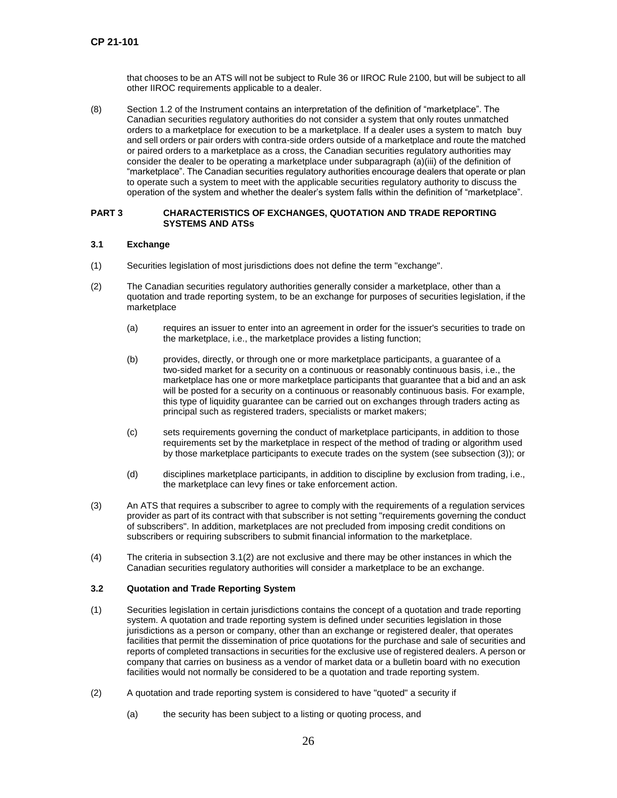that chooses to be an ATS will not be subject to Rule 36 or IIROC Rule 2100, but will be subject to all other IIROC requirements applicable to a dealer.

(8) Section 1.2 of the Instrument contains an interpretation of the definition of "marketplace". The Canadian securities regulatory authorities do not consider a system that only routes unmatched orders to a marketplace for execution to be a marketplace. If a dealer uses a system to match buy and sell orders or pair orders with contra-side orders outside of a marketplace and route the matched or paired orders to a marketplace as a cross, the Canadian securities regulatory authorities may consider the dealer to be operating a marketplace under subparagraph (a)(iii) of the definition of "marketplace". The Canadian securities regulatory authorities encourage dealers that operate or plan to operate such a system to meet with the applicable securities regulatory authority to discuss the operation of the system and whether the dealer's system falls within the definition of "marketplace".

#### **PART 3 CHARACTERISTICS OF EXCHANGES, QUOTATION AND TRADE REPORTING SYSTEMS AND ATSs**

#### **3.1 Exchange**

- (1) Securities legislation of most jurisdictions does not define the term "exchange".
- (2) The Canadian securities regulatory authorities generally consider a marketplace, other than a quotation and trade reporting system, to be an exchange for purposes of securities legislation, if the marketplace
	- (a) requires an issuer to enter into an agreement in order for the issuer's securities to trade on the marketplace, i.e., the marketplace provides a listing function;
	- (b) provides, directly, or through one or more marketplace participants, a guarantee of a two-sided market for a security on a continuous or reasonably continuous basis, i.e., the marketplace has one or more marketplace participants that guarantee that a bid and an ask will be posted for a security on a continuous or reasonably continuous basis. For example, this type of liquidity guarantee can be carried out on exchanges through traders acting as principal such as registered traders, specialists or market makers;
	- (c) sets requirements governing the conduct of marketplace participants, in addition to those requirements set by the marketplace in respect of the method of trading or algorithm used by those marketplace participants to execute trades on the system (see subsection (3)); or
	- (d) disciplines marketplace participants, in addition to discipline by exclusion from trading, i.e., the marketplace can levy fines or take enforcement action.
- (3) An ATS that requires a subscriber to agree to comply with the requirements of a regulation services provider as part of its contract with that subscriber is not setting "requirements governing the conduct of subscribers". In addition, marketplaces are not precluded from imposing credit conditions on subscribers or requiring subscribers to submit financial information to the marketplace.
- (4) The criteria in subsection 3.1(2) are not exclusive and there may be other instances in which the Canadian securities regulatory authorities will consider a marketplace to be an exchange.

### **3.2 Quotation and Trade Reporting System**

- (1) Securities legislation in certain jurisdictions contains the concept of a quotation and trade reporting system. A quotation and trade reporting system is defined under securities legislation in those jurisdictions as a person or company, other than an exchange or registered dealer, that operates facilities that permit the dissemination of price quotations for the purchase and sale of securities and reports of completed transactions in securities for the exclusive use of registered dealers. A person or company that carries on business as a vendor of market data or a bulletin board with no execution facilities would not normally be considered to be a quotation and trade reporting system.
- (2) A quotation and trade reporting system is considered to have "quoted" a security if
	- (a) the security has been subject to a listing or quoting process, and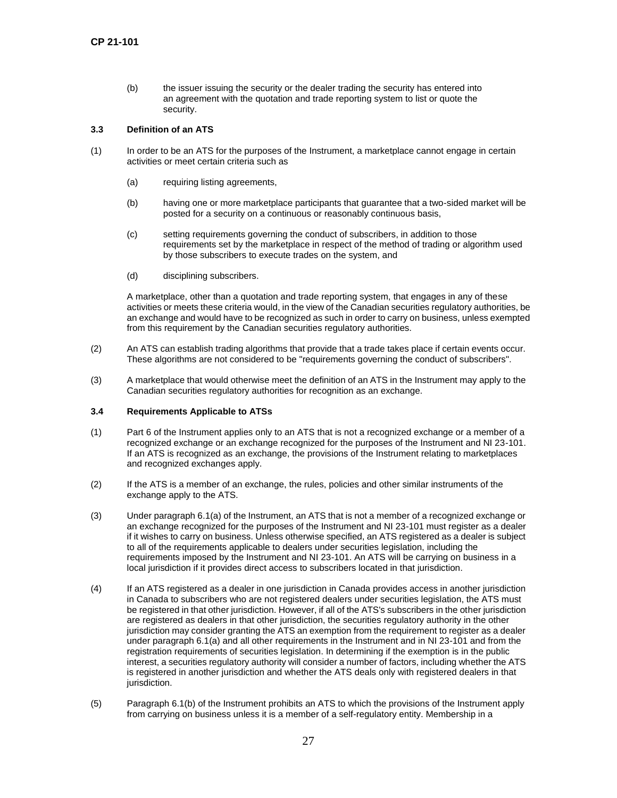(b) the issuer issuing the security or the dealer trading the security has entered into an agreement with the quotation and trade reporting system to list or quote the security.

#### **3.3 Definition of an ATS**

- (1) In order to be an ATS for the purposes of the Instrument, a marketplace cannot engage in certain activities or meet certain criteria such as
	- (a) requiring listing agreements,
	- (b) having one or more marketplace participants that guarantee that a two-sided market will be posted for a security on a continuous or reasonably continuous basis,
	- (c) setting requirements governing the conduct of subscribers, in addition to those requirements set by the marketplace in respect of the method of trading or algorithm used by those subscribers to execute trades on the system, and
	- (d) disciplining subscribers.

A marketplace, other than a quotation and trade reporting system, that engages in any of these activities or meets these criteria would, in the view of the Canadian securities regulatory authorities, be an exchange and would have to be recognized as such in order to carry on business, unless exempted from this requirement by the Canadian securities regulatory authorities.

- (2) An ATS can establish trading algorithms that provide that a trade takes place if certain events occur. These algorithms are not considered to be "requirements governing the conduct of subscribers".
- (3) A marketplace that would otherwise meet the definition of an ATS in the Instrument may apply to the Canadian securities regulatory authorities for recognition as an exchange.

#### **3.4 Requirements Applicable to ATSs**

- (1) Part 6 of the Instrument applies only to an ATS that is not a recognized exchange or a member of a recognized exchange or an exchange recognized for the purposes of the Instrument and NI 23-101. If an ATS is recognized as an exchange, the provisions of the Instrument relating to marketplaces and recognized exchanges apply.
- (2) If the ATS is a member of an exchange, the rules, policies and other similar instruments of the exchange apply to the ATS.
- (3) Under paragraph 6.1(a) of the Instrument, an ATS that is not a member of a recognized exchange or an exchange recognized for the purposes of the Instrument and NI 23-101 must register as a dealer if it wishes to carry on business. Unless otherwise specified, an ATS registered as a dealer is subject to all of the requirements applicable to dealers under securities legislation, including the requirements imposed by the Instrument and NI 23-101. An ATS will be carrying on business in a local jurisdiction if it provides direct access to subscribers located in that jurisdiction.
- (4) If an ATS registered as a dealer in one jurisdiction in Canada provides access in another jurisdiction in Canada to subscribers who are not registered dealers under securities legislation, the ATS must be registered in that other jurisdiction. However, if all of the ATS's subscribers in the other jurisdiction are registered as dealers in that other jurisdiction, the securities regulatory authority in the other jurisdiction may consider granting the ATS an exemption from the requirement to register as a dealer under paragraph 6.1(a) and all other requirements in the Instrument and in NI 23-101 and from the registration requirements of securities legislation. In determining if the exemption is in the public interest, a securities regulatory authority will consider a number of factors, including whether the ATS is registered in another jurisdiction and whether the ATS deals only with registered dealers in that jurisdiction.
- (5) Paragraph 6.1(b) of the Instrument prohibits an ATS to which the provisions of the Instrument apply from carrying on business unless it is a member of a self-regulatory entity. Membership in a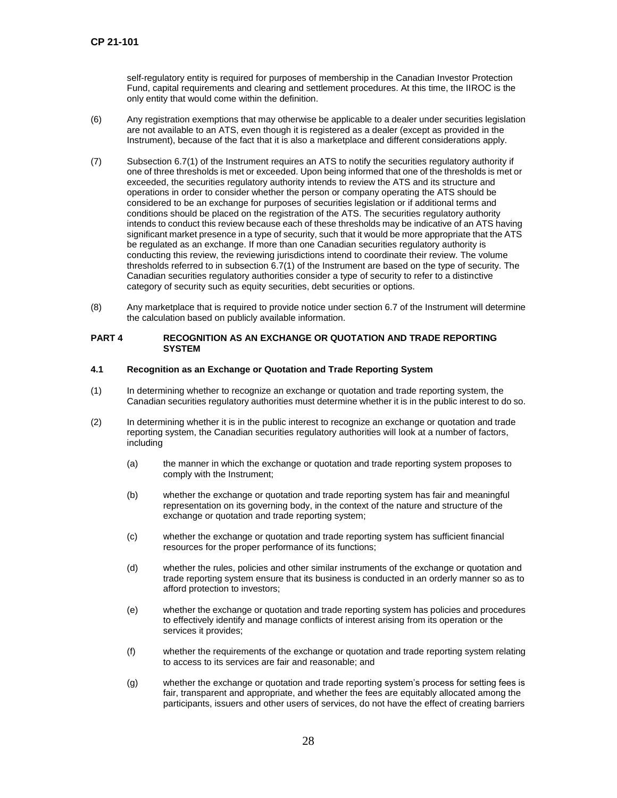self-regulatory entity is required for purposes of membership in the Canadian Investor Protection Fund, capital requirements and clearing and settlement procedures. At this time, the IIROC is the only entity that would come within the definition.

- (6) Any registration exemptions that may otherwise be applicable to a dealer under securities legislation are not available to an ATS, even though it is registered as a dealer (except as provided in the Instrument), because of the fact that it is also a marketplace and different considerations apply.
- (7) Subsection 6.7(1) of the Instrument requires an ATS to notify the securities regulatory authority if one of three thresholds is met or exceeded. Upon being informed that one of the thresholds is met or exceeded, the securities regulatory authority intends to review the ATS and its structure and operations in order to consider whether the person or company operating the ATS should be considered to be an exchange for purposes of securities legislation or if additional terms and conditions should be placed on the registration of the ATS. The securities regulatory authority intends to conduct this review because each of these thresholds may be indicative of an ATS having significant market presence in a type of security, such that it would be more appropriate that the ATS be regulated as an exchange. If more than one Canadian securities regulatory authority is conducting this review, the reviewing jurisdictions intend to coordinate their review. The volume thresholds referred to in subsection 6.7(1) of the Instrument are based on the type of security. The Canadian securities regulatory authorities consider a type of security to refer to a distinctive category of security such as equity securities, debt securities or options.
- (8) Any marketplace that is required to provide notice under section 6.7 of the Instrument will determine the calculation based on publicly available information.

#### **PART 4 RECOGNITION AS AN EXCHANGE OR QUOTATION AND TRADE REPORTING SYSTEM**

#### **4.1 Recognition as an Exchange or Quotation and Trade Reporting System**

- (1) In determining whether to recognize an exchange or quotation and trade reporting system, the Canadian securities regulatory authorities must determine whether it is in the public interest to do so.
- (2) In determining whether it is in the public interest to recognize an exchange or quotation and trade reporting system, the Canadian securities regulatory authorities will look at a number of factors, including
	- (a) the manner in which the exchange or quotation and trade reporting system proposes to comply with the Instrument;
	- (b) whether the exchange or quotation and trade reporting system has fair and meaningful representation on its governing body, in the context of the nature and structure of the exchange or quotation and trade reporting system;
	- (c) whether the exchange or quotation and trade reporting system has sufficient financial resources for the proper performance of its functions;
	- (d) whether the rules, policies and other similar instruments of the exchange or quotation and trade reporting system ensure that its business is conducted in an orderly manner so as to afford protection to investors;
	- (e) whether the exchange or quotation and trade reporting system has policies and procedures to effectively identify and manage conflicts of interest arising from its operation or the services it provides;
	- (f) whether the requirements of the exchange or quotation and trade reporting system relating to access to its services are fair and reasonable; and
	- (g) whether the exchange or quotation and trade reporting system's process for setting fees is fair, transparent and appropriate, and whether the fees are equitably allocated among the participants, issuers and other users of services, do not have the effect of creating barriers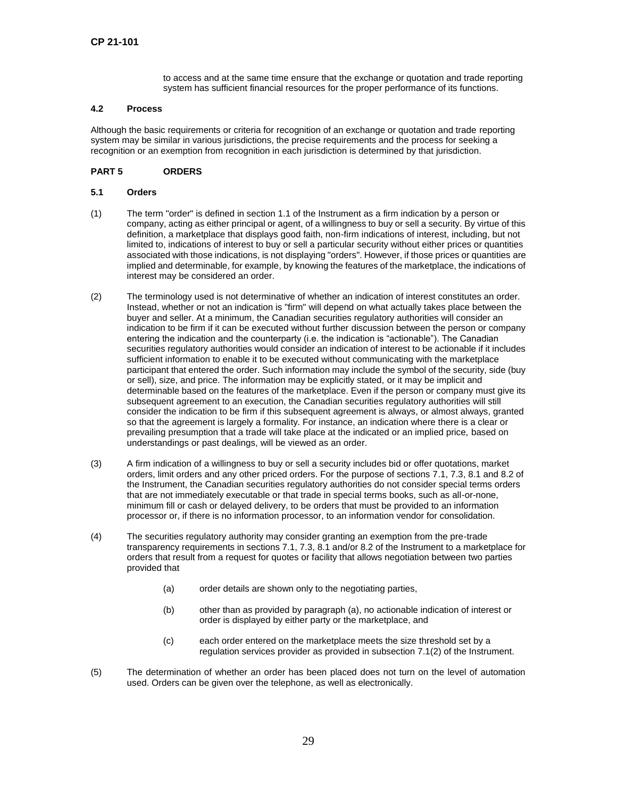to access and at the same time ensure that the exchange or quotation and trade reporting system has sufficient financial resources for the proper performance of its functions.

#### **4.2 Process**

Although the basic requirements or criteria for recognition of an exchange or quotation and trade reporting system may be similar in various jurisdictions, the precise requirements and the process for seeking a recognition or an exemption from recognition in each jurisdiction is determined by that jurisdiction.

### **PART 5 ORDERS**

#### **5.1 Orders**

- (1) The term "order" is defined in section 1.1 of the Instrument as a firm indication by a person or company, acting as either principal or agent, of a willingness to buy or sell a security. By virtue of this definition, a marketplace that displays good faith, non-firm indications of interest, including, but not limited to, indications of interest to buy or sell a particular security without either prices or quantities associated with those indications, is not displaying "orders". However, if those prices or quantities are implied and determinable, for example, by knowing the features of the marketplace, the indications of interest may be considered an order.
- (2) The terminology used is not determinative of whether an indication of interest constitutes an order. Instead, whether or not an indication is "firm" will depend on what actually takes place between the buyer and seller. At a minimum, the Canadian securities regulatory authorities will consider an indication to be firm if it can be executed without further discussion between the person or company entering the indication and the counterparty (i.e. the indication is "actionable"). The Canadian securities regulatory authorities would consider an indication of interest to be actionable if it includes sufficient information to enable it to be executed without communicating with the marketplace participant that entered the order. Such information may include the symbol of the security, side (buy or sell), size, and price. The information may be explicitly stated, or it may be implicit and determinable based on the features of the marketplace. Even if the person or company must give its subsequent agreement to an execution, the Canadian securities regulatory authorities will still consider the indication to be firm if this subsequent agreement is always, or almost always, granted so that the agreement is largely a formality. For instance, an indication where there is a clear or prevailing presumption that a trade will take place at the indicated or an implied price, based on understandings or past dealings, will be viewed as an order.
- (3) A firm indication of a willingness to buy or sell a security includes bid or offer quotations, market orders, limit orders and any other priced orders. For the purpose of sections 7.1, 7.3, 8.1 and 8.2 of the Instrument, the Canadian securities regulatory authorities do not consider special terms orders that are not immediately executable or that trade in special terms books, such as all-or-none, minimum fill or cash or delayed delivery, to be orders that must be provided to an information processor or, if there is no information processor, to an information vendor for consolidation.
- (4) The securities regulatory authority may consider granting an exemption from the pre-trade transparency requirements in sections 7.1, 7.3, 8.1 and/or 8.2 of the Instrument to a marketplace for orders that result from a request for quotes or facility that allows negotiation between two parties provided that
	- (a) order details are shown only to the negotiating parties,
	- (b) other than as provided by paragraph (a), no actionable indication of interest or order is displayed by either party or the marketplace, and
	- (c) each order entered on the marketplace meets the size threshold set by a regulation services provider as provided in subsection 7.1(2) of the Instrument.
- (5) The determination of whether an order has been placed does not turn on the level of automation used. Orders can be given over the telephone, as well as electronically.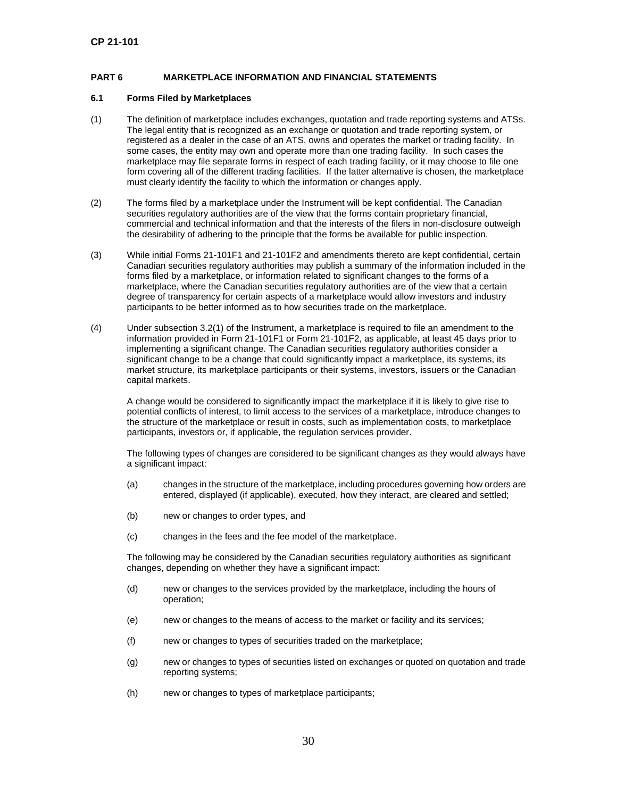### **PART 6 MARKETPLACE INFORMATION AND FINANCIAL STATEMENTS**

#### **6.1 Forms Filed by Marketplaces**

- (1) The definition of marketplace includes exchanges, quotation and trade reporting systems and ATSs. The legal entity that is recognized as an exchange or quotation and trade reporting system, or registered as a dealer in the case of an ATS, owns and operates the market or trading facility. In some cases, the entity may own and operate more than one trading facility. In such cases the marketplace may file separate forms in respect of each trading facility, or it may choose to file one form covering all of the different trading facilities. If the latter alternative is chosen, the marketplace must clearly identify the facility to which the information or changes apply.
- (2) The forms filed by a marketplace under the Instrument will be kept confidential. The Canadian securities regulatory authorities are of the view that the forms contain proprietary financial, commercial and technical information and that the interests of the filers in non-disclosure outweigh the desirability of adhering to the principle that the forms be available for public inspection.
- (3) While initial Forms 21-101F1 and 21-101F2 and amendments thereto are kept confidential, certain Canadian securities regulatory authorities may publish a summary of the information included in the forms filed by a marketplace, or information related to significant changes to the forms of a marketplace, where the Canadian securities regulatory authorities are of the view that a certain degree of transparency for certain aspects of a marketplace would allow investors and industry participants to be better informed as to how securities trade on the marketplace.
- (4) Under subsection 3.2(1) of the Instrument, a marketplace is required to file an amendment to the information provided in Form 21-101F1 or Form 21-101F2, as applicable, at least 45 days prior to implementing a significant change. The Canadian securities regulatory authorities consider a significant change to be a change that could significantly impact a marketplace, its systems, its market structure, its marketplace participants or their systems, investors, issuers or the Canadian capital markets.

A change would be considered to significantly impact the marketplace if it is likely to give rise to potential conflicts of interest, to limit access to the services of a marketplace, introduce changes to the structure of the marketplace or result in costs, such as implementation costs, to marketplace participants, investors or, if applicable, the regulation services provider.

The following types of changes are considered to be significant changes as they would always have a significant impact:

- (a) changes in the structure of the marketplace, including procedures governing how orders are entered, displayed (if applicable), executed, how they interact, are cleared and settled;
- (b) new or changes to order types, and
- (c) changes in the fees and the fee model of the marketplace.

The following may be considered by the Canadian securities regulatory authorities as significant changes, depending on whether they have a significant impact:

- (d) new or changes to the services provided by the marketplace, including the hours of operation;
- (e) new or changes to the means of access to the market or facility and its services;
- (f) new or changes to types of securities traded on the marketplace;
- (g) new or changes to types of securities listed on exchanges or quoted on quotation and trade reporting systems;
- (h) new or changes to types of marketplace participants;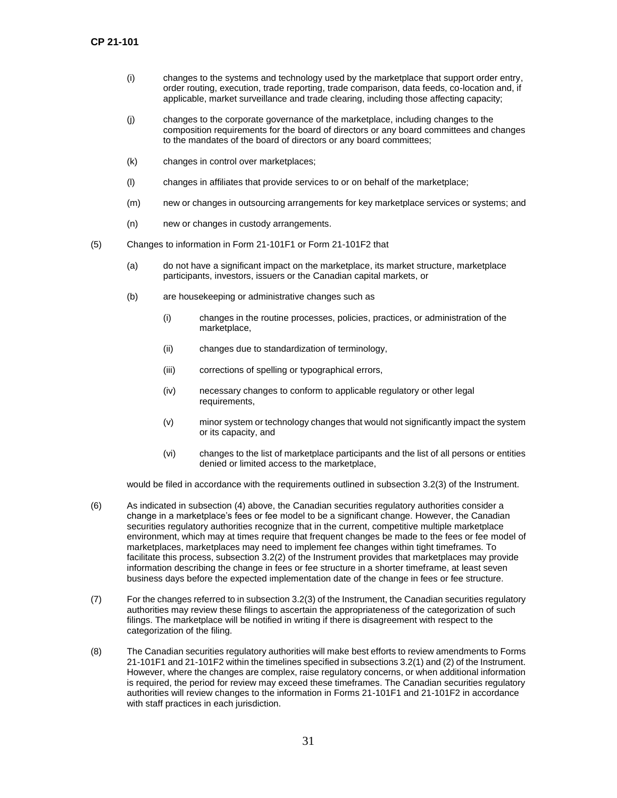- (i) changes to the systems and technology used by the marketplace that support order entry, order routing, execution, trade reporting, trade comparison, data feeds, co-location and, if applicable, market surveillance and trade clearing, including those affecting capacity;
- (j) changes to the corporate governance of the marketplace, including changes to the composition requirements for the board of directors or any board committees and changes to the mandates of the board of directors or any board committees;
- (k) changes in control over marketplaces;
- (l) changes in affiliates that provide services to or on behalf of the marketplace;
- (m) new or changes in outsourcing arrangements for key marketplace services or systems; and
- (n) new or changes in custody arrangements.
- (5) Changes to information in Form 21-101F1 or Form 21-101F2 that
	- (a) do not have a significant impact on the marketplace, its market structure, marketplace participants, investors, issuers or the Canadian capital markets, or
	- (b) are housekeeping or administrative changes such as
		- (i) changes in the routine processes, policies, practices, or administration of the marketplace,
		- (ii) changes due to standardization of terminology,
		- (iii) corrections of spelling or typographical errors,
		- (iv) necessary changes to conform to applicable regulatory or other legal requirements,
		- (v) minor system or technology changes that would not significantly impact the system or its capacity, and
		- (vi) changes to the list of marketplace participants and the list of all persons or entities denied or limited access to the marketplace,

would be filed in accordance with the requirements outlined in subsection 3.2(3) of the Instrument.

- (6) As indicated in subsection (4) above, the Canadian securities regulatory authorities consider a change in a marketplace's fees or fee model to be a significant change. However, the Canadian securities regulatory authorities recognize that in the current, competitive multiple marketplace environment, which may at times require that frequent changes be made to the fees or fee model of marketplaces, marketplaces may need to implement fee changes within tight timeframes. To facilitate this process, subsection 3.2(2) of the Instrument provides that marketplaces may provide information describing the change in fees or fee structure in a shorter timeframe, at least seven business days before the expected implementation date of the change in fees or fee structure.
- (7) For the changes referred to in subsection 3.2(3) of the Instrument, the Canadian securities regulatory authorities may review these filings to ascertain the appropriateness of the categorization of such filings. The marketplace will be notified in writing if there is disagreement with respect to the categorization of the filing.
- (8) The Canadian securities regulatory authorities will make best efforts to review amendments to Forms 21-101F1 and 21-101F2 within the timelines specified in subsections 3.2(1) and (2) of the Instrument. However, where the changes are complex, raise regulatory concerns, or when additional information is required, the period for review may exceed these timeframes. The Canadian securities regulatory authorities will review changes to the information in Forms 21-101F1 and 21-101F2 in accordance with staff practices in each jurisdiction.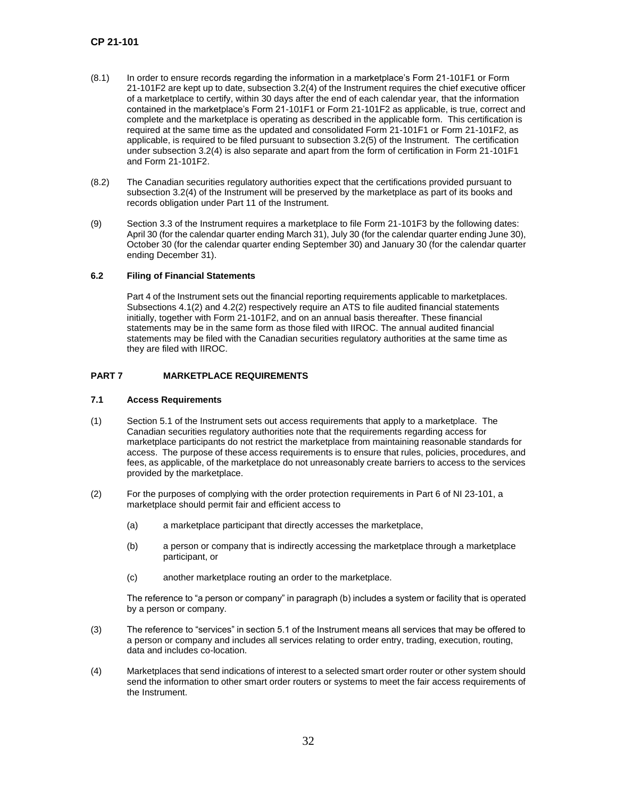# **CP 21-101**

- (8.1) In order to ensure records regarding the information in a marketplace's Form 21-101F1 or Form 21-101F2 are kept up to date, subsection 3.2(4) of the Instrument requires the chief executive officer of a marketplace to certify, within 30 days after the end of each calendar year, that the information contained in the marketplace's Form 21-101F1 or Form 21-101F2 as applicable, is true, correct and complete and the marketplace is operating as described in the applicable form. This certification is required at the same time as the updated and consolidated Form 21-101F1 or Form 21-101F2, as applicable, is required to be filed pursuant to subsection 3.2(5) of the Instrument. The certification under subsection 3.2(4) is also separate and apart from the form of certification in Form 21-101F1 and Form 21-101F2.
- (8.2) The Canadian securities regulatory authorities expect that the certifications provided pursuant to subsection 3.2(4) of the Instrument will be preserved by the marketplace as part of its books and records obligation under Part 11 of the Instrument.
- (9) Section 3.3 of the Instrument requires a marketplace to file Form 21-101F3 by the following dates: April 30 (for the calendar quarter ending March 31), July 30 (for the calendar quarter ending June 30), October 30 (for the calendar quarter ending September 30) and January 30 (for the calendar quarter ending December 31).

### **6.2 Filing of Financial Statements**

Part 4 of the Instrument sets out the financial reporting requirements applicable to marketplaces. Subsections 4.1(2) and 4.2(2) respectively require an ATS to file audited financial statements initially, together with Form 21-101F2, and on an annual basis thereafter. These financial statements may be in the same form as those filed with IIROC. The annual audited financial statements may be filed with the Canadian securities regulatory authorities at the same time as they are filed with IIROC.

### **PART 7 MARKETPLACE REQUIREMENTS**

### **7.1 Access Requirements**

- (1) Section 5.1 of the Instrument sets out access requirements that apply to a marketplace. The Canadian securities regulatory authorities note that the requirements regarding access for marketplace participants do not restrict the marketplace from maintaining reasonable standards for access. The purpose of these access requirements is to ensure that rules, policies, procedures, and fees, as applicable, of the marketplace do not unreasonably create barriers to access to the services provided by the marketplace.
- (2) For the purposes of complying with the order protection requirements in Part 6 of NI 23-101, a marketplace should permit fair and efficient access to
	- (a) a marketplace participant that directly accesses the marketplace,
	- (b) a person or company that is indirectly accessing the marketplace through a marketplace participant, or
	- (c) another marketplace routing an order to the marketplace.

The reference to "a person or company" in paragraph (b) includes a system or facility that is operated by a person or company.

- (3) The reference to "services" in section 5.1 of the Instrument means all services that may be offered to a person or company and includes all services relating to order entry, trading, execution, routing, data and includes co-location.
- (4) Marketplaces that send indications of interest to a selected smart order router or other system should send the information to other smart order routers or systems to meet the fair access requirements of the Instrument.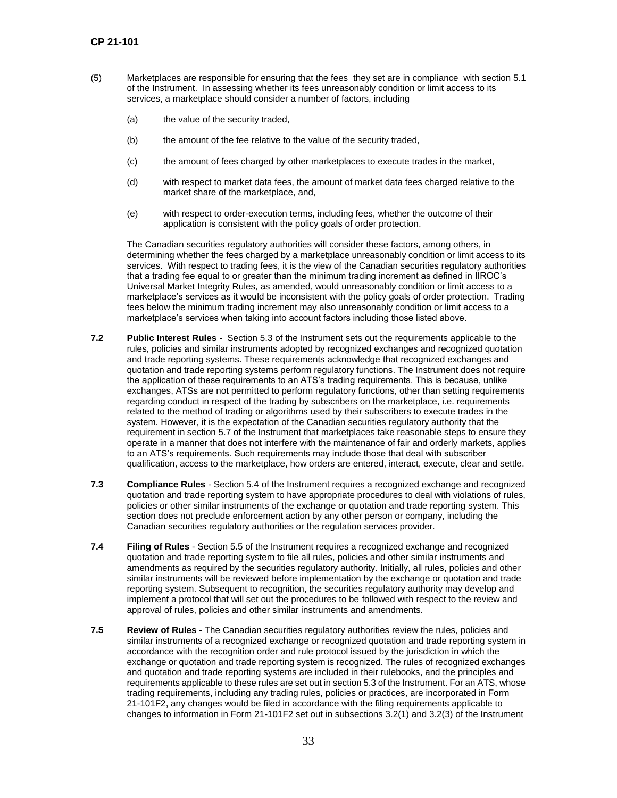- (5) Marketplaces are responsible for ensuring that the fees they set are in compliance with section 5.1 of the Instrument. In assessing whether its fees unreasonably condition or limit access to its services, a marketplace should consider a number of factors, including
	- (a) the value of the security traded,
	- (b) the amount of the fee relative to the value of the security traded,
	- (c) the amount of fees charged by other marketplaces to execute trades in the market,
	- (d) with respect to market data fees, the amount of market data fees charged relative to the market share of the marketplace, and,
	- (e) with respect to order-execution terms, including fees, whether the outcome of their application is consistent with the policy goals of order protection.

The Canadian securities regulatory authorities will consider these factors, among others, in determining whether the fees charged by a marketplace unreasonably condition or limit access to its services. With respect to trading fees, it is the view of the Canadian securities regulatory authorities that a trading fee equal to or greater than the minimum trading increment as defined in IIROC's Universal Market Integrity Rules, as amended, would unreasonably condition or limit access to a marketplace's services as it would be inconsistent with the policy goals of order protection. Trading fees below the minimum trading increment may also unreasonably condition or limit access to a marketplace's services when taking into account factors including those listed above.

- **7.2 Public Interest Rules** Section 5.3 of the Instrument sets out the requirements applicable to the rules, policies and similar instruments adopted by recognized exchanges and recognized quotation and trade reporting systems. These requirements acknowledge that recognized exchanges and quotation and trade reporting systems perform regulatory functions. The Instrument does not require the application of these requirements to an ATS's trading requirements. This is because, unlike exchanges, ATSs are not permitted to perform regulatory functions, other than setting requirements regarding conduct in respect of the trading by subscribers on the marketplace, i.e. requirements related to the method of trading or algorithms used by their subscribers to execute trades in the system. However, it is the expectation of the Canadian securities regulatory authority that the requirement in section 5.7 of the Instrument that marketplaces take reasonable steps to ensure they operate in a manner that does not interfere with the maintenance of fair and orderly markets, applies to an ATS's requirements. Such requirements may include those that deal with subscriber qualification, access to the marketplace, how orders are entered, interact, execute, clear and settle.
- **7.3 Compliance Rules** Section 5.4 of the Instrument requires a recognized exchange and recognized quotation and trade reporting system to have appropriate procedures to deal with violations of rules, policies or other similar instruments of the exchange or quotation and trade reporting system. This section does not preclude enforcement action by any other person or company, including the Canadian securities regulatory authorities or the regulation services provider.
- **7.4 Filing of Rules** Section 5.5 of the Instrument requires a recognized exchange and recognized quotation and trade reporting system to file all rules, policies and other similar instruments and amendments as required by the securities regulatory authority. Initially, all rules, policies and other similar instruments will be reviewed before implementation by the exchange or quotation and trade reporting system. Subsequent to recognition, the securities regulatory authority may develop and implement a protocol that will set out the procedures to be followed with respect to the review and approval of rules, policies and other similar instruments and amendments.
- **7.5 Review of Rules** The Canadian securities regulatory authorities review the rules, policies and similar instruments of a recognized exchange or recognized quotation and trade reporting system in accordance with the recognition order and rule protocol issued by the jurisdiction in which the exchange or quotation and trade reporting system is recognized. The rules of recognized exchanges and quotation and trade reporting systems are included in their rulebooks, and the principles and requirements applicable to these rules are set out in section 5.3 of the Instrument. For an ATS, whose trading requirements, including any trading rules, policies or practices, are incorporated in Form 21-101F2, any changes would be filed in accordance with the filing requirements applicable to changes to information in Form 21-101F2 set out in subsections 3.2(1) and 3.2(3) of the Instrument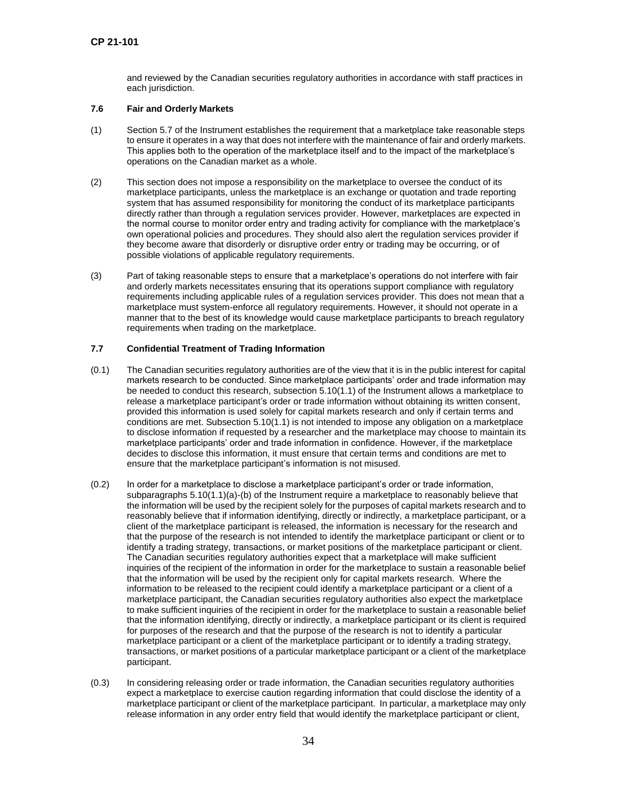and reviewed by the Canadian securities regulatory authorities in accordance with staff practices in each jurisdiction.

### **7.6 Fair and Orderly Markets**

- (1) Section 5.7 of the Instrument establishes the requirement that a marketplace take reasonable steps to ensure it operates in a way that does not interfere with the maintenance of fair and orderly markets. This applies both to the operation of the marketplace itself and to the impact of the marketplace's operations on the Canadian market as a whole.
- (2) This section does not impose a responsibility on the marketplace to oversee the conduct of its marketplace participants, unless the marketplace is an exchange or quotation and trade reporting system that has assumed responsibility for monitoring the conduct of its marketplace participants directly rather than through a regulation services provider. However, marketplaces are expected in the normal course to monitor order entry and trading activity for compliance with the marketplace's own operational policies and procedures. They should also alert the regulation services provider if they become aware that disorderly or disruptive order entry or trading may be occurring, or of possible violations of applicable regulatory requirements.
- (3) Part of taking reasonable steps to ensure that a marketplace's operations do not interfere with fair and orderly markets necessitates ensuring that its operations support compliance with regulatory requirements including applicable rules of a regulation services provider. This does not mean that a marketplace must system-enforce all regulatory requirements. However, it should not operate in a manner that to the best of its knowledge would cause marketplace participants to breach regulatory requirements when trading on the marketplace.

## **7.7 Confidential Treatment of Trading Information**

- (0.1) The Canadian securities regulatory authorities are of the view that it is in the public interest for capital markets research to be conducted. Since marketplace participants' order and trade information may be needed to conduct this research, subsection 5.10(1.1) of the Instrument allows a marketplace to release a marketplace participant's order or trade information without obtaining its written consent, provided this information is used solely for capital markets research and only if certain terms and conditions are met. Subsection 5.10(1.1) is not intended to impose any obligation on a marketplace to disclose information if requested by a researcher and the marketplace may choose to maintain its marketplace participants' order and trade information in confidence. However, if the marketplace decides to disclose this information, it must ensure that certain terms and conditions are met to ensure that the marketplace participant's information is not misused.
- (0.2) In order for a marketplace to disclose a marketplace participant's order or trade information, subparagraphs 5.10(1.1)(a)-(b) of the Instrument require a marketplace to reasonably believe that the information will be used by the recipient solely for the purposes of capital markets research and to reasonably believe that if information identifying, directly or indirectly, a marketplace participant, or a client of the marketplace participant is released, the information is necessary for the research and that the purpose of the research is not intended to identify the marketplace participant or client or to identify a trading strategy, transactions, or market positions of the marketplace participant or client. The Canadian securities regulatory authorities expect that a marketplace will make sufficient inquiries of the recipient of the information in order for the marketplace to sustain a reasonable belief that the information will be used by the recipient only for capital markets research. Where the information to be released to the recipient could identify a marketplace participant or a client of a marketplace participant, the Canadian securities regulatory authorities also expect the marketplace to make sufficient inquiries of the recipient in order for the marketplace to sustain a reasonable belief that the information identifying, directly or indirectly, a marketplace participant or its client is required for purposes of the research and that the purpose of the research is not to identify a particular marketplace participant or a client of the marketplace participant or to identify a trading strategy, transactions, or market positions of a particular marketplace participant or a client of the marketplace participant.
- (0.3) In considering releasing order or trade information, the Canadian securities regulatory authorities expect a marketplace to exercise caution regarding information that could disclose the identity of a marketplace participant or client of the marketplace participant. In particular, a marketplace may only release information in any order entry field that would identify the marketplace participant or client,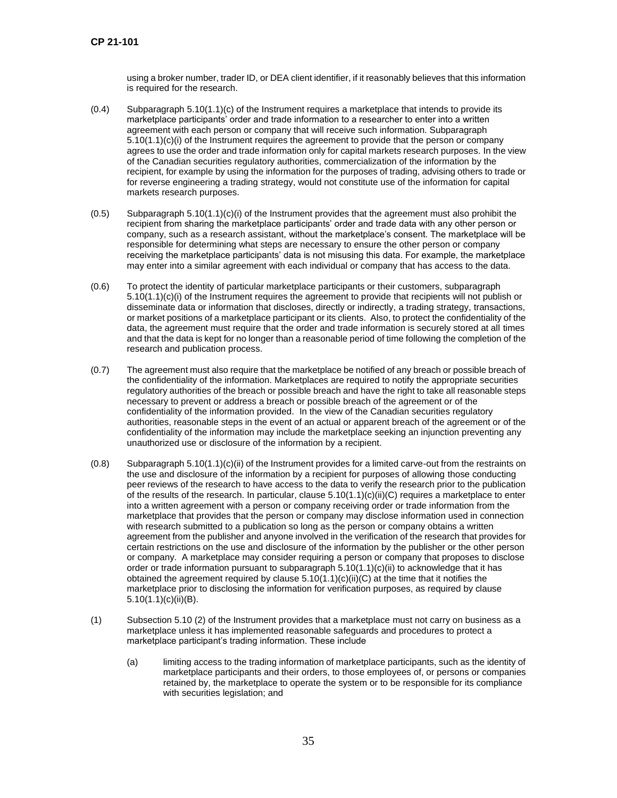using a broker number, trader ID, or DEA client identifier, if it reasonably believes that this information is required for the research.

- (0.4) Subparagraph 5.10(1.1)(c) of the Instrument requires a marketplace that intends to provide its marketplace participants' order and trade information to a researcher to enter into a written agreement with each person or company that will receive such information. Subparagraph 5.10(1.1)(c)(i) of the Instrument requires the agreement to provide that the person or company agrees to use the order and trade information only for capital markets research purposes. In the view of the Canadian securities regulatory authorities, commercialization of the information by the recipient, for example by using the information for the purposes of trading, advising others to trade or for reverse engineering a trading strategy, would not constitute use of the information for capital markets research purposes.
- $(0.5)$  Subparagraph 5.10 $(1.1)(c)(i)$  of the Instrument provides that the agreement must also prohibit the recipient from sharing the marketplace participants' order and trade data with any other person or company, such as a research assistant, without the marketplace's consent. The marketplace will be responsible for determining what steps are necessary to ensure the other person or company receiving the marketplace participants' data is not misusing this data. For example, the marketplace may enter into a similar agreement with each individual or company that has access to the data.
- (0.6) To protect the identity of particular marketplace participants or their customers, subparagraph 5.10(1.1)(c)(i) of the Instrument requires the agreement to provide that recipients will not publish or disseminate data or information that discloses, directly or indirectly, a trading strategy, transactions, or market positions of a marketplace participant or its clients. Also, to protect the confidentiality of the data, the agreement must require that the order and trade information is securely stored at all times and that the data is kept for no longer than a reasonable period of time following the completion of the research and publication process.
- (0.7) The agreement must also require that the marketplace be notified of any breach or possible breach of the confidentiality of the information. Marketplaces are required to notify the appropriate securities regulatory authorities of the breach or possible breach and have the right to take all reasonable steps necessary to prevent or address a breach or possible breach of the agreement or of the confidentiality of the information provided. In the view of the Canadian securities regulatory authorities, reasonable steps in the event of an actual or apparent breach of the agreement or of the confidentiality of the information may include the marketplace seeking an injunction preventing any unauthorized use or disclosure of the information by a recipient.
- (0.8) Subparagraph 5.10(1.1)(c)(ii) of the Instrument provides for a limited carve-out from the restraints on the use and disclosure of the information by a recipient for purposes of allowing those conducting peer reviews of the research to have access to the data to verify the research prior to the publication of the results of the research. In particular, clause 5.10(1.1)(c)(ii)(C) requires a marketplace to enter into a written agreement with a person or company receiving order or trade information from the marketplace that provides that the person or company may disclose information used in connection with research submitted to a publication so long as the person or company obtains a written agreement from the publisher and anyone involved in the verification of the research that provides for certain restrictions on the use and disclosure of the information by the publisher or the other person or company. A marketplace may consider requiring a person or company that proposes to disclose order or trade information pursuant to subparagraph  $5.10(1.1)(c)(ii)$  to acknowledge that it has obtained the agreement required by clause  $5.10(1.1)(c)(ii)(C)$  at the time that it notifies the marketplace prior to disclosing the information for verification purposes, as required by clause 5.10(1.1)(c)(ii)(B).
- (1) Subsection 5.10 (2) of the Instrument provides that a marketplace must not carry on business as a marketplace unless it has implemented reasonable safeguards and procedures to protect a marketplace participant's trading information. These include
	- (a) limiting access to the trading information of marketplace participants, such as the identity of marketplace participants and their orders, to those employees of, or persons or companies retained by, the marketplace to operate the system or to be responsible for its compliance with securities legislation; and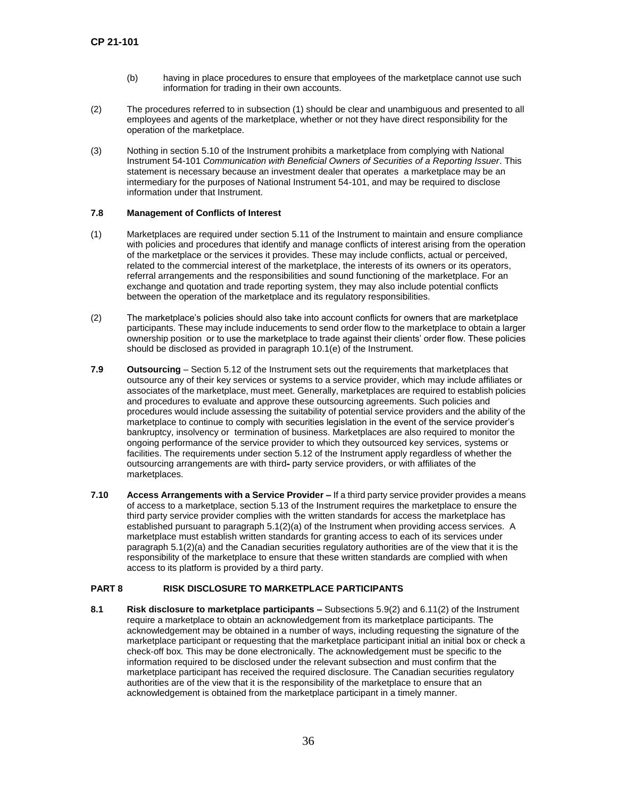- (b) having in place procedures to ensure that employees of the marketplace cannot use such information for trading in their own accounts.
- (2) The procedures referred to in subsection (1) should be clear and unambiguous and presented to all employees and agents of the marketplace, whether or not they have direct responsibility for the operation of the marketplace.
- (3) Nothing in section 5.10 of the Instrument prohibits a marketplace from complying with National Instrument 54-101 *Communication with Beneficial Owners of Securities of a Reporting Issuer*. This statement is necessary because an investment dealer that operates a marketplace may be an intermediary for the purposes of National Instrument 54-101, and may be required to disclose information under that Instrument.

## **7.8 Management of Conflicts of Interest**

- (1) Marketplaces are required under section 5.11 of the Instrument to maintain and ensure compliance with policies and procedures that identify and manage conflicts of interest arising from the operation of the marketplace or the services it provides. These may include conflicts, actual or perceived, related to the commercial interest of the marketplace, the interests of its owners or its operators, referral arrangements and the responsibilities and sound functioning of the marketplace. For an exchange and quotation and trade reporting system, they may also include potential conflicts between the operation of the marketplace and its regulatory responsibilities.
- (2) The marketplace's policies should also take into account conflicts for owners that are marketplace participants. These may include inducements to send order flow to the marketplace to obtain a larger ownership position or to use the marketplace to trade against their clients' order flow. These policies should be disclosed as provided in paragraph 10.1(e) of the Instrument.
- **7.9 Outsourcing** Section 5.12 of the Instrument sets out the requirements that marketplaces that outsource any of their key services or systems to a service provider, which may include affiliates or associates of the marketplace, must meet. Generally, marketplaces are required to establish policies and procedures to evaluate and approve these outsourcing agreements. Such policies and procedures would include assessing the suitability of potential service providers and the ability of the marketplace to continue to comply with securities legislation in the event of the service provider's bankruptcy, insolvency or termination of business. Marketplaces are also required to monitor the ongoing performance of the service provider to which they outsourced key services, systems or facilities. The requirements under section 5.12 of the Instrument apply regardless of whether the outsourcing arrangements are with third- party service providers, or with affiliates of the marketplaces.
- **7.10 Access Arrangements with a Service Provider –** If a third party service provider provides a means of access to a marketplace, section 5.13 of the Instrument requires the marketplace to ensure the third party service provider complies with the written standards for access the marketplace has established pursuant to paragraph 5.1(2)(a) of the Instrument when providing access services. A marketplace must establish written standards for granting access to each of its services under paragraph 5.1(2)(a) and the Canadian securities regulatory authorities are of the view that it is the responsibility of the marketplace to ensure that these written standards are complied with when access to its platform is provided by a third party.

## **PART 8 RISK DISCLOSURE TO MARKETPLACE PARTICIPANTS**

**8.1 Risk disclosure to marketplace participants –** Subsections 5.9(2) and 6.11(2) of the Instrument require a marketplace to obtain an acknowledgement from its marketplace participants. The acknowledgement may be obtained in a number of ways, including requesting the signature of the marketplace participant or requesting that the marketplace participant initial an initial box or check a check-off box. This may be done electronically. The acknowledgement must be specific to the information required to be disclosed under the relevant subsection and must confirm that the marketplace participant has received the required disclosure. The Canadian securities regulatory authorities are of the view that it is the responsibility of the marketplace to ensure that an acknowledgement is obtained from the marketplace participant in a timely manner.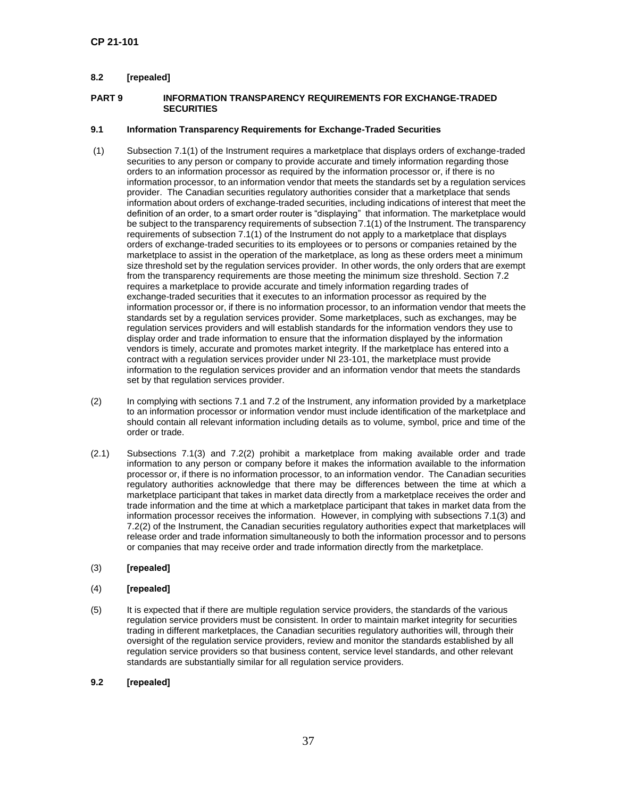# **8.2 [repealed]**

#### **PART 9 INFORMATION TRANSPARENCY REQUIREMENTS FOR EXCHANGE-TRADED SECURITIES**

### **9.1 Information Transparency Requirements for Exchange-Traded Securities**

- (1) Subsection 7.1(1) of the Instrument requires a marketplace that displays orders of exchange-traded securities to any person or company to provide accurate and timely information regarding those orders to an information processor as required by the information processor or, if there is no information processor, to an information vendor that meets the standards set by a regulation services provider. The Canadian securities regulatory authorities consider that a marketplace that sends information about orders of exchange-traded securities, including indications of interest that meet the definition of an order, to a smart order router is "displaying" that information. The marketplace would be subject to the transparency requirements of subsection 7.1(1) of the Instrument. The transparency requirements of subsection 7.1(1) of the Instrument do not apply to a marketplace that displays orders of exchange-traded securities to its employees or to persons or companies retained by the marketplace to assist in the operation of the marketplace, as long as these orders meet a minimum size threshold set by the regulation services provider. In other words, the only orders that are exempt from the transparency requirements are those meeting the minimum size threshold. Section 7.2 requires a marketplace to provide accurate and timely information regarding trades of exchange-traded securities that it executes to an information processor as required by the information processor or, if there is no information processor, to an information vendor that meets the standards set by a regulation services provider. Some marketplaces, such as exchanges, may be regulation services providers and will establish standards for the information vendors they use to display order and trade information to ensure that the information displayed by the information vendors is timely, accurate and promotes market integrity. If the marketplace has entered into a contract with a regulation services provider under NI 23-101, the marketplace must provide information to the regulation services provider and an information vendor that meets the standards set by that regulation services provider.
- (2) In complying with sections 7.1 and 7.2 of the Instrument, any information provided by a marketplace to an information processor or information vendor must include identification of the marketplace and should contain all relevant information including details as to volume, symbol, price and time of the order or trade.
- (2.1) Subsections 7.1(3) and 7.2(2) prohibit a marketplace from making available order and trade information to any person or company before it makes the information available to the information processor or, if there is no information processor, to an information vendor. The Canadian securities regulatory authorities acknowledge that there may be differences between the time at which a marketplace participant that takes in market data directly from a marketplace receives the order and trade information and the time at which a marketplace participant that takes in market data from the information processor receives the information. However, in complying with subsections 7.1(3) and 7.2(2) of the Instrument, the Canadian securities regulatory authorities expect that marketplaces will release order and trade information simultaneously to both the information processor and to persons or companies that may receive order and trade information directly from the marketplace.
- (3) **[repealed]**

## (4) **[repealed]**

(5) It is expected that if there are multiple regulation service providers, the standards of the various regulation service providers must be consistent. In order to maintain market integrity for securities trading in different marketplaces, the Canadian securities regulatory authorities will, through their oversight of the regulation service providers, review and monitor the standards established by all regulation service providers so that business content, service level standards, and other relevant standards are substantially similar for all regulation service providers.

## **9.2 [repealed]**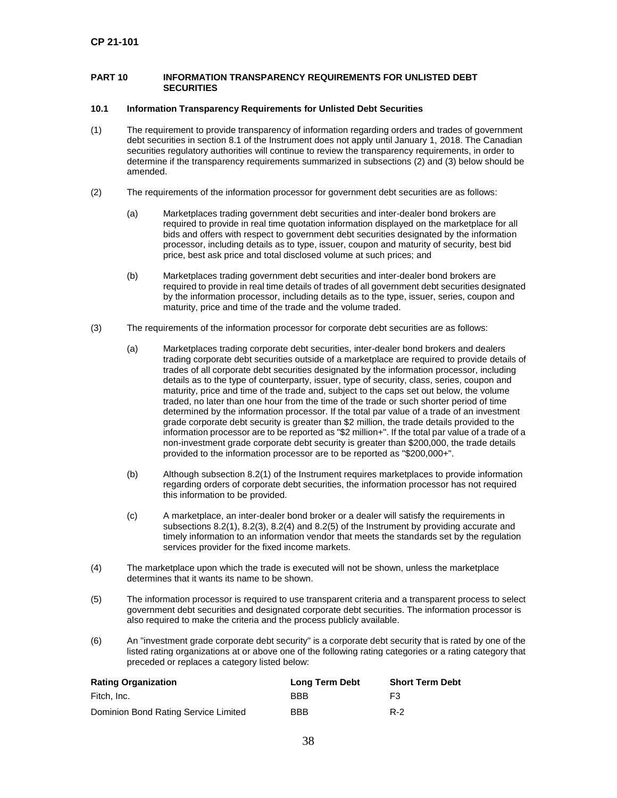#### **PART 10 INFORMATION TRANSPARENCY REQUIREMENTS FOR UNLISTED DEBT SECURITIES**

### **10.1 Information Transparency Requirements for Unlisted Debt Securities**

- (1) The requirement to provide transparency of information regarding orders and trades of government debt securities in section 8.1 of the Instrument does not apply until January 1, 2018. The Canadian securities regulatory authorities will continue to review the transparency requirements, in order to determine if the transparency requirements summarized in subsections (2) and (3) below should be amended.
- (2) The requirements of the information processor for government debt securities are as follows:
	- (a) Marketplaces trading government debt securities and inter-dealer bond brokers are required to provide in real time quotation information displayed on the marketplace for all bids and offers with respect to government debt securities designated by the information processor, including details as to type, issuer, coupon and maturity of security, best bid price, best ask price and total disclosed volume at such prices; and
	- (b) Marketplaces trading government debt securities and inter-dealer bond brokers are required to provide in real time details of trades of all government debt securities designated by the information processor, including details as to the type, issuer, series, coupon and maturity, price and time of the trade and the volume traded.
- (3) The requirements of the information processor for corporate debt securities are as follows:
	- (a) Marketplaces trading corporate debt securities, inter-dealer bond brokers and dealers trading corporate debt securities outside of a marketplace are required to provide details of trades of all corporate debt securities designated by the information processor, including details as to the type of counterparty, issuer, type of security, class, series, coupon and maturity, price and time of the trade and, subject to the caps set out below, the volume traded, no later than one hour from the time of the trade or such shorter period of time determined by the information processor. If the total par value of a trade of an investment grade corporate debt security is greater than \$2 million, the trade details provided to the information processor are to be reported as "\$2 million+". If the total par value of a trade of a non-investment grade corporate debt security is greater than \$200,000, the trade details provided to the information processor are to be reported as "\$200,000+".
	- (b) Although subsection 8.2(1) of the Instrument requires marketplaces to provide information regarding orders of corporate debt securities, the information processor has not required this information to be provided.
	- (c) A marketplace, an inter-dealer bond broker or a dealer will satisfy the requirements in subsections 8.2(1), 8.2(3), 8.2(4) and 8.2(5) of the Instrument by providing accurate and timely information to an information vendor that meets the standards set by the regulation services provider for the fixed income markets.
- (4) The marketplace upon which the trade is executed will not be shown, unless the marketplace determines that it wants its name to be shown.
- (5) The information processor is required to use transparent criteria and a transparent process to select government debt securities and designated corporate debt securities. The information processor is also required to make the criteria and the process publicly available.
- (6) An "investment grade corporate debt security" is a corporate debt security that is rated by one of the listed rating organizations at or above one of the following rating categories or a rating category that preceded or replaces a category listed below:

| <b>Rating Organization</b>           | <b>Long Term Debt</b> | <b>Short Term Debt</b> |
|--------------------------------------|-----------------------|------------------------|
| Fitch. Inc.                          | <b>BBB</b>            | F <sub>3</sub>         |
| Dominion Bond Rating Service Limited | <b>BBB</b>            | R-2                    |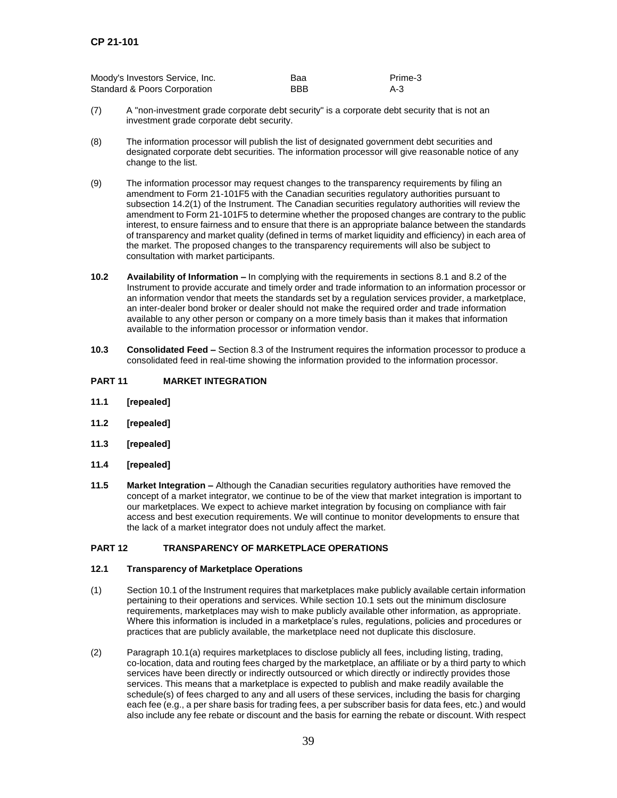| Moody's Investors Service, Inc. | Baa        | Prime-3 |
|---------------------------------|------------|---------|
| Standard & Poors Corporation    | <b>BBB</b> | $A - 3$ |

- (7) A "non-investment grade corporate debt security" is a corporate debt security that is not an investment grade corporate debt security.
- (8) The information processor will publish the list of designated government debt securities and designated corporate debt securities. The information processor will give reasonable notice of any change to the list.
- (9) The information processor may request changes to the transparency requirements by filing an amendment to Form 21-101F5 with the Canadian securities regulatory authorities pursuant to subsection 14.2(1) of the Instrument. The Canadian securities regulatory authorities will review the amendment to Form 21-101F5 to determine whether the proposed changes are contrary to the public interest, to ensure fairness and to ensure that there is an appropriate balance between the standards of transparency and market quality (defined in terms of market liquidity and efficiency) in each area of the market. The proposed changes to the transparency requirements will also be subject to consultation with market participants.
- **10.2 Availability of Information –** In complying with the requirements in sections 8.1 and 8.2 of the Instrument to provide accurate and timely order and trade information to an information processor or an information vendor that meets the standards set by a regulation services provider, a marketplace, an inter-dealer bond broker or dealer should not make the required order and trade information available to any other person or company on a more timely basis than it makes that information available to the information processor or information vendor.
- **10.3 Consolidated Feed –** Section 8.3 of the Instrument requires the information processor to produce a consolidated feed in real-time showing the information provided to the information processor.

## **PART 11 MARKET INTEGRATION**

- **11.1 [repealed]**
- **11.2 [repealed]**
- **11.3 [repealed]**
- **11.4 [repealed]**
- **11.5 Market Integration –** Although the Canadian securities regulatory authorities have removed the concept of a market integrator, we continue to be of the view that market integration is important to our marketplaces. We expect to achieve market integration by focusing on compliance with fair access and best execution requirements. We will continue to monitor developments to ensure that the lack of a market integrator does not unduly affect the market.

### **PART 12 TRANSPARENCY OF MARKETPLACE OPERATIONS**

### **12.1 Transparency of Marketplace Operations**

- (1) Section 10.1 of the Instrument requires that marketplaces make publicly available certain information pertaining to their operations and services. While section 10.1 sets out the minimum disclosure requirements, marketplaces may wish to make publicly available other information, as appropriate. Where this information is included in a marketplace's rules, regulations, policies and procedures or practices that are publicly available, the marketplace need not duplicate this disclosure.
- (2) Paragraph 10.1(a) requires marketplaces to disclose publicly all fees, including listing, trading, co-location, data and routing fees charged by the marketplace, an affiliate or by a third party to which services have been directly or indirectly outsourced or which directly or indirectly provides those services. This means that a marketplace is expected to publish and make readily available the schedule(s) of fees charged to any and all users of these services, including the basis for charging each fee (e.g., a per share basis for trading fees, a per subscriber basis for data fees, etc.) and would also include any fee rebate or discount and the basis for earning the rebate or discount. With respect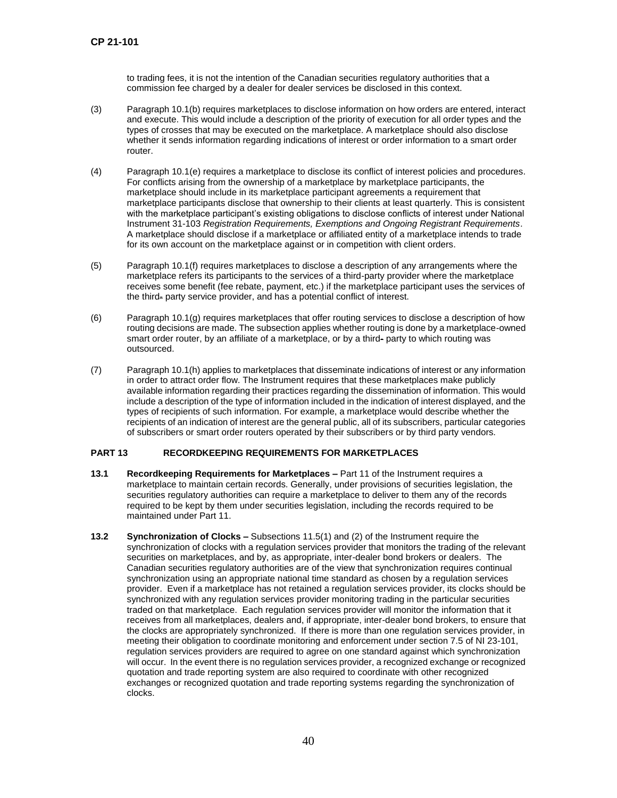to trading fees, it is not the intention of the Canadian securities regulatory authorities that a commission fee charged by a dealer for dealer services be disclosed in this context.

- (3) Paragraph 10.1(b) requires marketplaces to disclose information on how orders are entered, interact and execute. This would include a description of the priority of execution for all order types and the types of crosses that may be executed on the marketplace. A marketplace should also disclose whether it sends information regarding indications of interest or order information to a smart order router.
- (4) Paragraph 10.1(e) requires a marketplace to disclose its conflict of interest policies and procedures. For conflicts arising from the ownership of a marketplace by marketplace participants, the marketplace should include in its marketplace participant agreements a requirement that marketplace participants disclose that ownership to their clients at least quarterly. This is consistent with the marketplace participant's existing obligations to disclose conflicts of interest under National Instrument 31-103 *Registration Requirements, Exemptions and Ongoing Registrant Requirements*. A marketplace should disclose if a marketplace or affiliated entity of a marketplace intends to trade for its own account on the marketplace against or in competition with client orders.
- (5) Paragraph 10.1(f) requires marketplaces to disclose a description of any arrangements where the marketplace refers its participants to the services of a third-party provider where the marketplace receives some benefit (fee rebate, payment, etc.) if the marketplace participant uses the services of the third- party service provider, and has a potential conflict of interest.
- (6) Paragraph 10.1(g) requires marketplaces that offer routing services to disclose a description of how routing decisions are made. The subsection applies whether routing is done by a marketplace-owned smart order router, by an affiliate of a marketplace, or by a third- party to which routing was outsourced.
- (7) Paragraph 10.1(h) applies to marketplaces that disseminate indications of interest or any information in order to attract order flow. The Instrument requires that these marketplaces make publicly available information regarding their practices regarding the dissemination of information. This would include a description of the type of information included in the indication of interest displayed, and the types of recipients of such information. For example, a marketplace would describe whether the recipients of an indication of interest are the general public, all of its subscribers, particular categories of subscribers or smart order routers operated by their subscribers or by third party vendors.

### **PART 13 RECORDKEEPING REQUIREMENTS FOR MARKETPLACES**

- **13.1 Recordkeeping Requirements for Marketplaces –** Part 11 of the Instrument requires a marketplace to maintain certain records. Generally, under provisions of securities legislation, the securities regulatory authorities can require a marketplace to deliver to them any of the records required to be kept by them under securities legislation, including the records required to be maintained under Part 11.
- **13.2 Synchronization of Clocks –** Subsections 11.5(1) and (2) of the Instrument require the synchronization of clocks with a regulation services provider that monitors the trading of the relevant securities on marketplaces, and by, as appropriate, inter-dealer bond brokers or dealers. The Canadian securities regulatory authorities are of the view that synchronization requires continual synchronization using an appropriate national time standard as chosen by a regulation services provider. Even if a marketplace has not retained a regulation services provider, its clocks should be synchronized with any regulation services provider monitoring trading in the particular securities traded on that marketplace. Each regulation services provider will monitor the information that it receives from all marketplaces, dealers and, if appropriate, inter-dealer bond brokers, to ensure that the clocks are appropriately synchronized. If there is more than one regulation services provider, in meeting their obligation to coordinate monitoring and enforcement under section 7.5 of NI 23-101, regulation services providers are required to agree on one standard against which synchronization will occur. In the event there is no regulation services provider, a recognized exchange or recognized quotation and trade reporting system are also required to coordinate with other recognized exchanges or recognized quotation and trade reporting systems regarding the synchronization of clocks.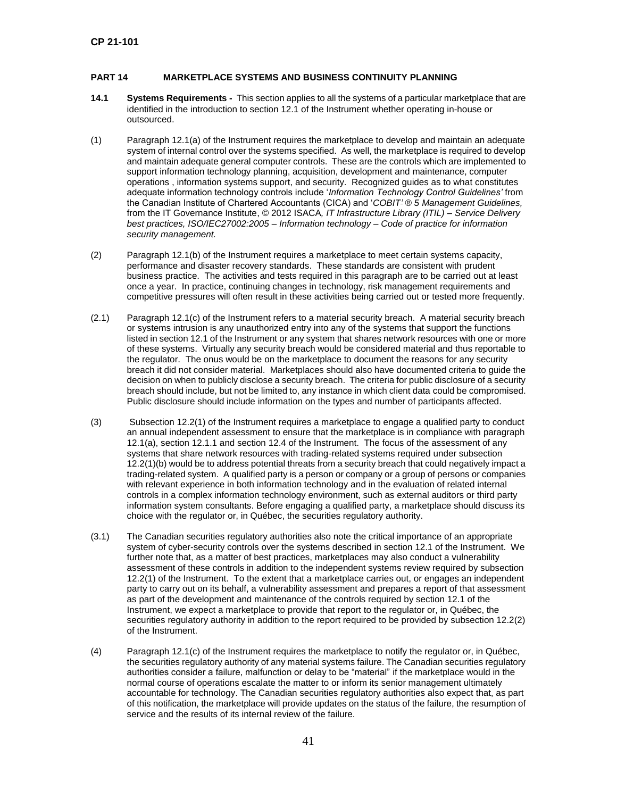## **PART 14 MARKETPLACE SYSTEMS AND BUSINESS CONTINUITY PLANNING**

- **14.1 Systems Requirements -** This section applies to all the systems of a particular marketplace that are identified in the introduction to section 12.1 of the Instrument whether operating in-house or outsourced.
- (1) Paragraph 12.1(a) of the Instrument requires the marketplace to develop and maintain an adequate system of internal control over the systems specified. As well, the marketplace is required to develop and maintain adequate general computer controls. These are the controls which are implemented to support information technology planning, acquisition, development and maintenance, computer operations , information systems support, and security. Recognized guides as to what constitutes adequate information technology controls include '*Information Technology Control Guidelines'* from the Canadian Institute of Chartered Accountants (CICA) and '*COBIT' ® 5 Management Guidelines,*  from the IT Governance Institute, © 2012 ISACA*, IT Infrastructure Library (ITIL) – Service Delivery best practices, ISO/IEC27002:2005 – Information technology – Code of practice for information security management.*
- (2) Paragraph 12.1(b) of the Instrument requires a marketplace to meet certain systems capacity, performance and disaster recovery standards. These standards are consistent with prudent business practice. The activities and tests required in this paragraph are to be carried out at least once a year. In practice, continuing changes in technology, risk management requirements and competitive pressures will often result in these activities being carried out or tested more frequently.
- (2.1) Paragraph 12.1(c) of the Instrument refers to a material security breach. A material security breach or systems intrusion is any unauthorized entry into any of the systems that support the functions listed in section 12.1 of the Instrument or any system that shares network resources with one or more of these systems. Virtually any security breach would be considered material and thus reportable to the regulator. The onus would be on the marketplace to document the reasons for any security breach it did not consider material. Marketplaces should also have documented criteria to guide the decision on when to publicly disclose a security breach. The criteria for public disclosure of a security breach should include, but not be limited to, any instance in which client data could be compromised. Public disclosure should include information on the types and number of participants affected.
- (3) Subsection 12.2(1) of the Instrument requires a marketplace to engage a qualified party to conduct an annual independent assessment to ensure that the marketplace is in compliance with paragraph 12.1(a), section 12.1.1 and section 12.4 of the Instrument. The focus of the assessment of any systems that share network resources with trading-related systems required under subsection 12.2(1)(b) would be to address potential threats from a security breach that could negatively impact a trading-related system. A qualified party is a person or company or a group of persons or companies with relevant experience in both information technology and in the evaluation of related internal controls in a complex information technology environment, such as external auditors or third party information system consultants. Before engaging a qualified party, a marketplace should discuss its choice with the regulator or, in Québec, the securities regulatory authority.
- (3.1) The Canadian securities regulatory authorities also note the critical importance of an appropriate system of cyber-security controls over the systems described in section 12.1 of the Instrument. We further note that, as a matter of best practices, marketplaces may also conduct a vulnerability assessment of these controls in addition to the independent systems review required by subsection 12.2(1) of the Instrument. To the extent that a marketplace carries out, or engages an independent party to carry out on its behalf, a vulnerability assessment and prepares a report of that assessment as part of the development and maintenance of the controls required by section 12.1 of the Instrument, we expect a marketplace to provide that report to the regulator or, in Québec, the securities regulatory authority in addition to the report required to be provided by subsection 12.2(2) of the Instrument.
- (4) Paragraph 12.1(c) of the Instrument requires the marketplace to notify the regulator or, in Québec, the securities regulatory authority of any material systems failure. The Canadian securities regulatory authorities consider a failure, malfunction or delay to be "material" if the marketplace would in the normal course of operations escalate the matter to or inform its senior management ultimately accountable for technology. The Canadian securities regulatory authorities also expect that, as part of this notification, the marketplace will provide updates on the status of the failure, the resumption of service and the results of its internal review of the failure.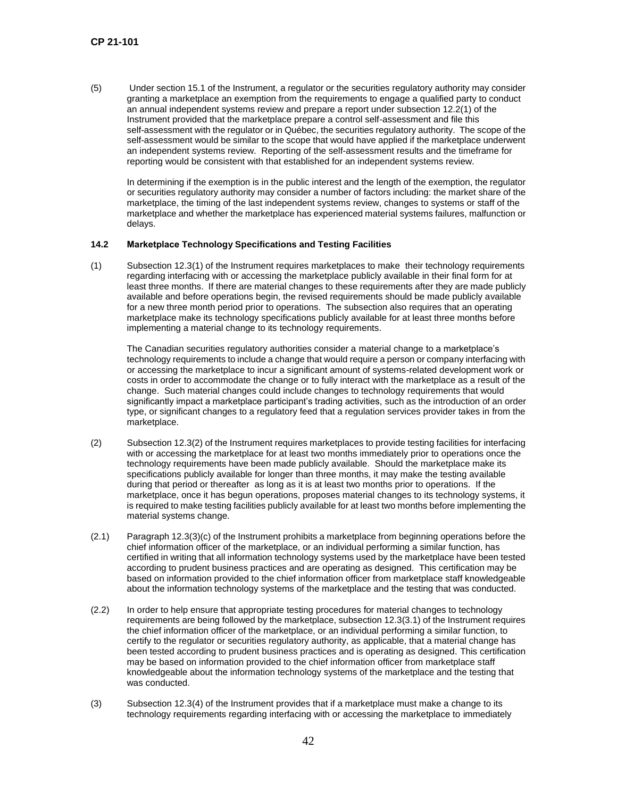(5) Under section 15.1 of the Instrument, a regulator or the securities regulatory authority may consider granting a marketplace an exemption from the requirements to engage a qualified party to conduct an annual independent systems review and prepare a report under subsection 12.2(1) of the Instrument provided that the marketplace prepare a control self-assessment and file this self-assessment with the regulator or in Québec, the securities regulatory authority. The scope of the self-assessment would be similar to the scope that would have applied if the marketplace underwent an independent systems review. Reporting of the self-assessment results and the timeframe for reporting would be consistent with that established for an independent systems review.

In determining if the exemption is in the public interest and the length of the exemption, the regulator or securities regulatory authority may consider a number of factors including: the market share of the marketplace, the timing of the last independent systems review, changes to systems or staff of the marketplace and whether the marketplace has experienced material systems failures, malfunction or delays.

### **14.2 Marketplace Technology Specifications and Testing Facilities**

(1) Subsection 12.3(1) of the Instrument requires marketplaces to make their technology requirements regarding interfacing with or accessing the marketplace publicly available in their final form for at least three months. If there are material changes to these requirements after they are made publicly available and before operations begin, the revised requirements should be made publicly available for a new three month period prior to operations. The subsection also requires that an operating marketplace make its technology specifications publicly available for at least three months before implementing a material change to its technology requirements.

The Canadian securities regulatory authorities consider a material change to a marketplace's technology requirements to include a change that would require a person or company interfacing with or accessing the marketplace to incur a significant amount of systems-related development work or costs in order to accommodate the change or to fully interact with the marketplace as a result of the change. Such material changes could include changes to technology requirements that would significantly impact a marketplace participant's trading activities, such as the introduction of an order type, or significant changes to a regulatory feed that a regulation services provider takes in from the marketplace.

- (2) Subsection 12.3(2) of the Instrument requires marketplaces to provide testing facilities for interfacing with or accessing the marketplace for at least two months immediately prior to operations once the technology requirements have been made publicly available. Should the marketplace make its specifications publicly available for longer than three months, it may make the testing available during that period or thereafter as long as it is at least two months prior to operations. If the marketplace, once it has begun operations, proposes material changes to its technology systems, it is required to make testing facilities publicly available for at least two months before implementing the material systems change.
- (2.1) Paragraph 12.3(3)(c) of the Instrument prohibits a marketplace from beginning operations before the chief information officer of the marketplace, or an individual performing a similar function, has certified in writing that all information technology systems used by the marketplace have been tested according to prudent business practices and are operating as designed. This certification may be based on information provided to the chief information officer from marketplace staff knowledgeable about the information technology systems of the marketplace and the testing that was conducted.
- (2.2) In order to help ensure that appropriate testing procedures for material changes to technology requirements are being followed by the marketplace, subsection 12.3(3.1) of the Instrument requires the chief information officer of the marketplace, or an individual performing a similar function, to certify to the regulator or securities regulatory authority, as applicable, that a material change has been tested according to prudent business practices and is operating as designed. This certification may be based on information provided to the chief information officer from marketplace staff knowledgeable about the information technology systems of the marketplace and the testing that was conducted.
- (3) Subsection 12.3(4) of the Instrument provides that if a marketplace must make a change to its technology requirements regarding interfacing with or accessing the marketplace to immediately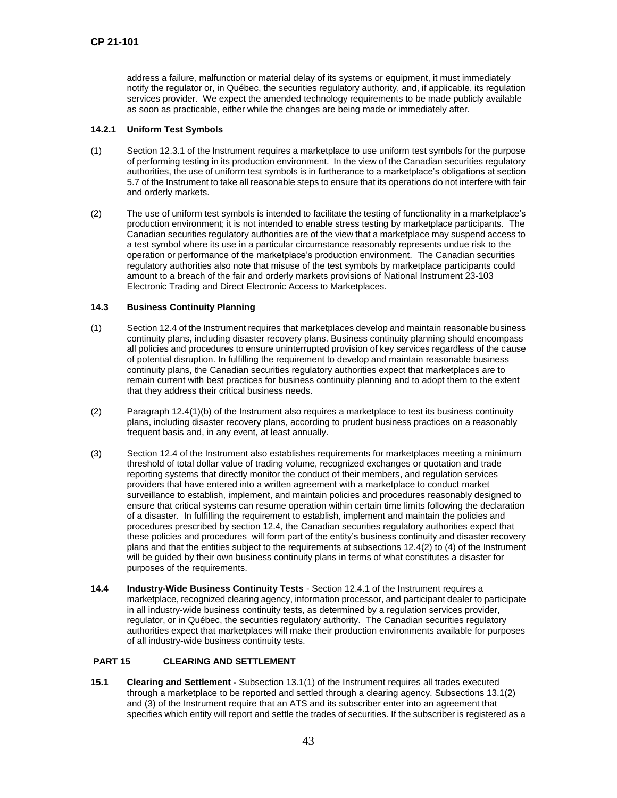address a failure, malfunction or material delay of its systems or equipment, it must immediately notify the regulator or, in Québec, the securities regulatory authority, and, if applicable, its regulation services provider. We expect the amended technology requirements to be made publicly available as soon as practicable, either while the changes are being made or immediately after.

### **14.2.1 Uniform Test Symbols**

- (1) Section 12.3.1 of the Instrument requires a marketplace to use uniform test symbols for the purpose of performing testing in its production environment. In the view of the Canadian securities regulatory authorities, the use of uniform test symbols is in furtherance to a marketplace's obligations at section 5.7 of the Instrument to take all reasonable steps to ensure that its operations do not interfere with fair and orderly markets.
- (2) The use of uniform test symbols is intended to facilitate the testing of functionality in a marketplace's production environment; it is not intended to enable stress testing by marketplace participants. The Canadian securities regulatory authorities are of the view that a marketplace may suspend access to a test symbol where its use in a particular circumstance reasonably represents undue risk to the operation or performance of the marketplace's production environment. The Canadian securities regulatory authorities also note that misuse of the test symbols by marketplace participants could amount to a breach of the fair and orderly markets provisions of National Instrument 23-103 Electronic Trading and Direct Electronic Access to Marketplaces.

### **14.3 Business Continuity Planning**

- (1) Section 12.4 of the Instrument requires that marketplaces develop and maintain reasonable business continuity plans, including disaster recovery plans. Business continuity planning should encompass all policies and procedures to ensure uninterrupted provision of key services regardless of the cause of potential disruption. In fulfilling the requirement to develop and maintain reasonable business continuity plans, the Canadian securities regulatory authorities expect that marketplaces are to remain current with best practices for business continuity planning and to adopt them to the extent that they address their critical business needs.
- (2) Paragraph 12.4(1)(b) of the Instrument also requires a marketplace to test its business continuity plans, including disaster recovery plans, according to prudent business practices on a reasonably frequent basis and, in any event, at least annually.
- (3) Section 12.4 of the Instrument also establishes requirements for marketplaces meeting a minimum threshold of total dollar value of trading volume, recognized exchanges or quotation and trade reporting systems that directly monitor the conduct of their members, and regulation services providers that have entered into a written agreement with a marketplace to conduct market surveillance to establish, implement, and maintain policies and procedures reasonably designed to ensure that critical systems can resume operation within certain time limits following the declaration of a disaster. In fulfilling the requirement to establish, implement and maintain the policies and procedures prescribed by section 12.4, the Canadian securities regulatory authorities expect that these policies and procedures will form part of the entity's business continuity and disaster recovery plans and that the entities subject to the requirements at subsections 12.4(2) to (4) of the Instrument will be guided by their own business continuity plans in terms of what constitutes a disaster for purposes of the requirements.
- **14.4 Industry-Wide Business Continuity Tests** Section 12.4.1 of the Instrument requires a marketplace, recognized clearing agency, information processor, and participant dealer to participate in all industry-wide business continuity tests, as determined by a regulation services provider, regulator, or in Québec, the securities regulatory authority. The Canadian securities regulatory authorities expect that marketplaces will make their production environments available for purposes of all industry-wide business continuity tests.

# **PART 15 CLEARING AND SETTLEMENT**

**15.1 Clearing and Settlement -** Subsection 13.1(1) of the Instrument requires all trades executed through a marketplace to be reported and settled through a clearing agency. Subsections 13.1(2) and (3) of the Instrument require that an ATS and its subscriber enter into an agreement that specifies which entity will report and settle the trades of securities. If the subscriber is registered as a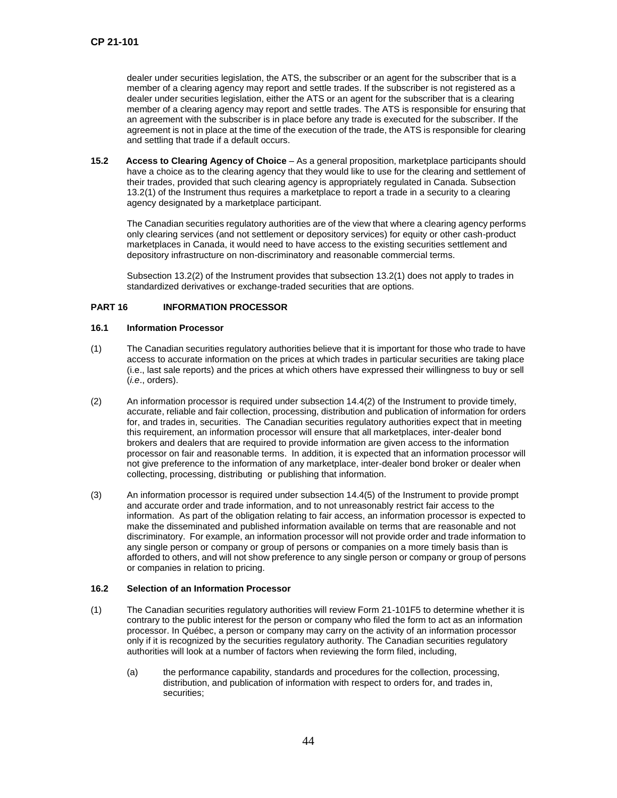dealer under securities legislation, the ATS, the subscriber or an agent for the subscriber that is a member of a clearing agency may report and settle trades. If the subscriber is not registered as a dealer under securities legislation, either the ATS or an agent for the subscriber that is a clearing member of a clearing agency may report and settle trades. The ATS is responsible for ensuring that an agreement with the subscriber is in place before any trade is executed for the subscriber. If the agreement is not in place at the time of the execution of the trade, the ATS is responsible for clearing and settling that trade if a default occurs.

**15.2 Access to Clearing Agency of Choice** – As a general proposition, marketplace participants should have a choice as to the clearing agency that they would like to use for the clearing and settlement of their trades, provided that such clearing agency is appropriately regulated in Canada. Subsection 13.2(1) of the Instrument thus requires a marketplace to report a trade in a security to a clearing agency designated by a marketplace participant.

The Canadian securities regulatory authorities are of the view that where a clearing agency performs only clearing services (and not settlement or depository services) for equity or other cash-product marketplaces in Canada, it would need to have access to the existing securities settlement and depository infrastructure on non-discriminatory and reasonable commercial terms.

Subsection 13.2(2) of the Instrument provides that subsection 13.2(1) does not apply to trades in standardized derivatives or exchange-traded securities that are options.

## **PART 16 INFORMATION PROCESSOR**

## **16.1 Information Processor**

- (1) The Canadian securities regulatory authorities believe that it is important for those who trade to have access to accurate information on the prices at which trades in particular securities are taking place (i.e., last sale reports) and the prices at which others have expressed their willingness to buy or sell (*i.e*., orders).
- (2) An information processor is required under subsection 14.4(2) of the Instrument to provide timely, accurate, reliable and fair collection, processing, distribution and publication of information for orders for, and trades in, securities. The Canadian securities regulatory authorities expect that in meeting this requirement, an information processor will ensure that all marketplaces, inter-dealer bond brokers and dealers that are required to provide information are given access to the information processor on fair and reasonable terms. In addition, it is expected that an information processor will not give preference to the information of any marketplace, inter-dealer bond broker or dealer when collecting, processing, distributing or publishing that information.
- (3) An information processor is required under subsection 14.4(5) of the Instrument to provide prompt and accurate order and trade information, and to not unreasonably restrict fair access to the information. As part of the obligation relating to fair access, an information processor is expected to make the disseminated and published information available on terms that are reasonable and not discriminatory. For example, an information processor will not provide order and trade information to any single person or company or group of persons or companies on a more timely basis than is afforded to others, and will not show preference to any single person or company or group of persons or companies in relation to pricing.

## **16.2 Selection of an Information Processor**

- (1) The Canadian securities regulatory authorities will review Form 21-101F5 to determine whether it is contrary to the public interest for the person or company who filed the form to act as an information processor. In Québec, a person or company may carry on the activity of an information processor only if it is recognized by the securities regulatory authority. The Canadian securities regulatory authorities will look at a number of factors when reviewing the form filed, including,
	- (a) the performance capability, standards and procedures for the collection, processing, distribution, and publication of information with respect to orders for, and trades in, securities;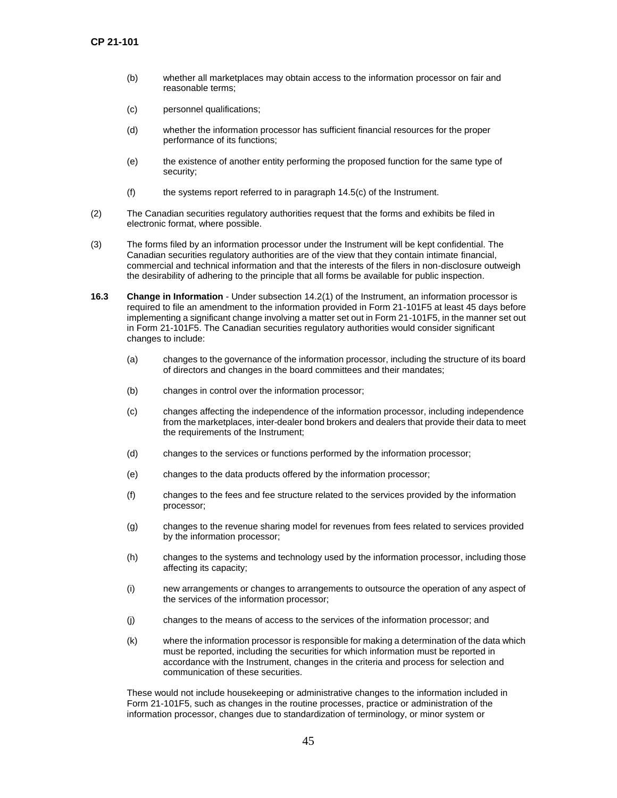- (b) whether all marketplaces may obtain access to the information processor on fair and reasonable terms;
- (c) personnel qualifications;
- (d) whether the information processor has sufficient financial resources for the proper performance of its functions;
- (e) the existence of another entity performing the proposed function for the same type of security;
- $(f)$  the systems report referred to in paragraph 14.5(c) of the Instrument.
- (2) The Canadian securities regulatory authorities request that the forms and exhibits be filed in electronic format, where possible.
- (3) The forms filed by an information processor under the Instrument will be kept confidential. The Canadian securities regulatory authorities are of the view that they contain intimate financial, commercial and technical information and that the interests of the filers in non-disclosure outweigh the desirability of adhering to the principle that all forms be available for public inspection.
- **16.3 Change in Information** Under subsection 14.2(1) of the Instrument, an information processor is required to file an amendment to the information provided in Form 21-101F5 at least 45 days before implementing a significant change involving a matter set out in Form 21-101F5, in the manner set out in Form 21-101F5. The Canadian securities regulatory authorities would consider significant changes to include:
	- (a) changes to the governance of the information processor, including the structure of its board of directors and changes in the board committees and their mandates;
	- (b) changes in control over the information processor;
	- (c) changes affecting the independence of the information processor, including independence from the marketplaces, inter-dealer bond brokers and dealers that provide their data to meet the requirements of the Instrument;
	- (d) changes to the services or functions performed by the information processor;
	- (e) changes to the data products offered by the information processor;
	- (f) changes to the fees and fee structure related to the services provided by the information processor;
	- (g) changes to the revenue sharing model for revenues from fees related to services provided by the information processor;
	- (h) changes to the systems and technology used by the information processor, including those affecting its capacity;
	- (i) new arrangements or changes to arrangements to outsource the operation of any aspect of the services of the information processor;
	- (j) changes to the means of access to the services of the information processor; and
	- (k) where the information processor is responsible for making a determination of the data which must be reported, including the securities for which information must be reported in accordance with the Instrument, changes in the criteria and process for selection and communication of these securities.

These would not include housekeeping or administrative changes to the information included in Form 21-101F5, such as changes in the routine processes, practice or administration of the information processor, changes due to standardization of terminology, or minor system or